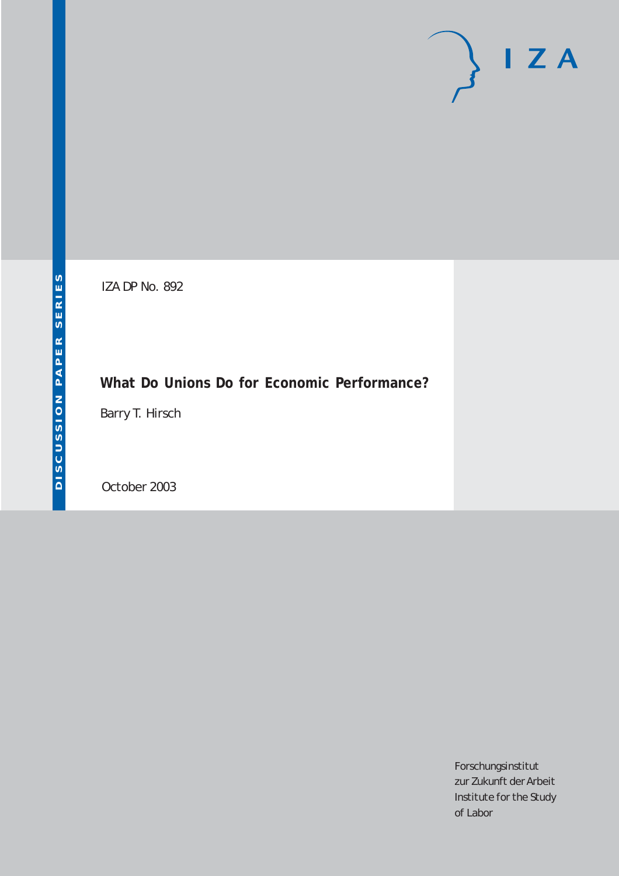# $I Z A$

IZA DP No. 892

## **What Do Unions Do for Economic Performance?**

Barry T. Hirsch

October 2003

Forschungsinstitut zur Zukunft der Arbeit Institute for the Study of Labor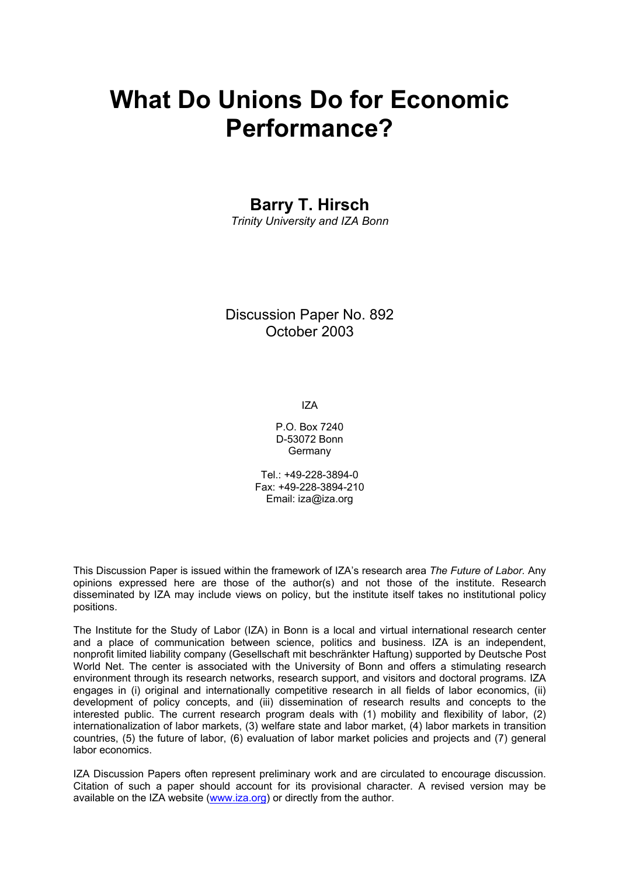# **What Do Unions Do for Economic Performance?**

**Barry T. Hirsch** 

*Trinity University and IZA Bonn* 

### Discussion Paper No. 892 October 2003

IZA

P.O. Box 7240 D-53072 Bonn **Germany** 

Tel.: +49-228-3894-0 Fax: +49-228-3894-210 Email: [iza@iza.org](mailto:iza@iza.org)

This Discussion Paper is issued within the framework of IZA's research area *The Future of Labor.* Any opinions expressed here are those of the author(s) and not those of the institute. Research disseminated by IZA may include views on policy, but the institute itself takes no institutional policy positions.

The Institute for the Study of Labor (IZA) in Bonn is a local and virtual international research center and a place of communication between science, politics and business. IZA is an independent, nonprofit limited liability company (Gesellschaft mit beschränkter Haftung) supported by Deutsche Post World Net. The center is associated with the University of Bonn and offers a stimulating research environment through its research networks, research support, and visitors and doctoral programs. IZA engages in (i) original and internationally competitive research in all fields of labor economics, (ii) development of policy concepts, and (iii) dissemination of research results and concepts to the interested public. The current research program deals with (1) mobility and flexibility of labor, (2) internationalization of labor markets, (3) welfare state and labor market, (4) labor markets in transition countries, (5) the future of labor, (6) evaluation of labor market policies and projects and (7) general labor economics.

IZA Discussion Papers often represent preliminary work and are circulated to encourage discussion. Citation of such a paper should account for its provisional character. A revised version may be available on the IZA website ([www.iza.org](http://www.iza.org/)) or directly from the author.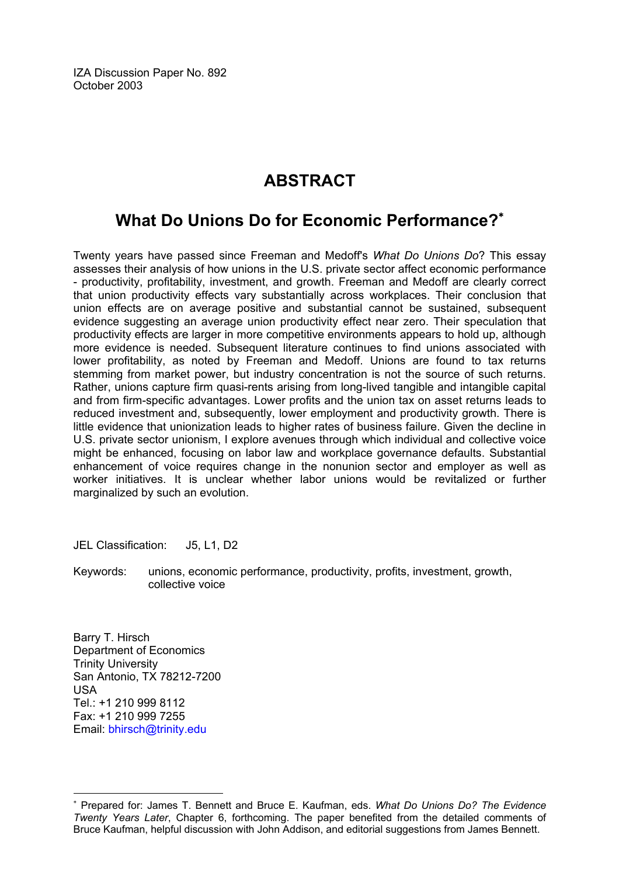IZA Discussion Paper No. 892 October 2003

## **ABSTRACT**

## **What Do Unions Do for Economic Performance?**[∗](#page-2-0)

Twenty years have passed since Freeman and Medoff's *What Do Unions Do*? This essay assesses their analysis of how unions in the U.S. private sector affect economic performance - productivity, profitability, investment, and growth. Freeman and Medoff are clearly correct that union productivity effects vary substantially across workplaces. Their conclusion that union effects are on average positive and substantial cannot be sustained, subsequent evidence suggesting an average union productivity effect near zero. Their speculation that productivity effects are larger in more competitive environments appears to hold up, although more evidence is needed. Subsequent literature continues to find unions associated with lower profitability, as noted by Freeman and Medoff. Unions are found to tax returns stemming from market power, but industry concentration is not the source of such returns. Rather, unions capture firm quasi-rents arising from long-lived tangible and intangible capital and from firm-specific advantages. Lower profits and the union tax on asset returns leads to reduced investment and, subsequently, lower employment and productivity growth. There is little evidence that unionization leads to higher rates of business failure. Given the decline in U.S. private sector unionism, I explore avenues through which individual and collective voice might be enhanced, focusing on labor law and workplace governance defaults. Substantial enhancement of voice requires change in the nonunion sector and employer as well as worker initiatives. It is unclear whether labor unions would be revitalized or further marginalized by such an evolution.

JEL Classification: J5, L1, D2

Keywords: unions, economic performance, productivity, profits, investment, growth, collective voice

Barry T. Hirsch Department of Economics Trinity University San Antonio, TX 78212-7200 USA Tel.: +1 210 999 8112 Fax: +1 210 999 7255 Email: [bhirsch@trinity.edu](mailto:bhirsch@trinity.edu)

 $\overline{a}$ 

<span id="page-2-0"></span><sup>∗</sup> Prepared for: James T. Bennett and Bruce E. Kaufman, eds. *What Do Unions Do? The Evidence Twenty Years Later*, Chapter 6, forthcoming. The paper benefited from the detailed comments of Bruce Kaufman, helpful discussion with John Addison, and editorial suggestions from James Bennett.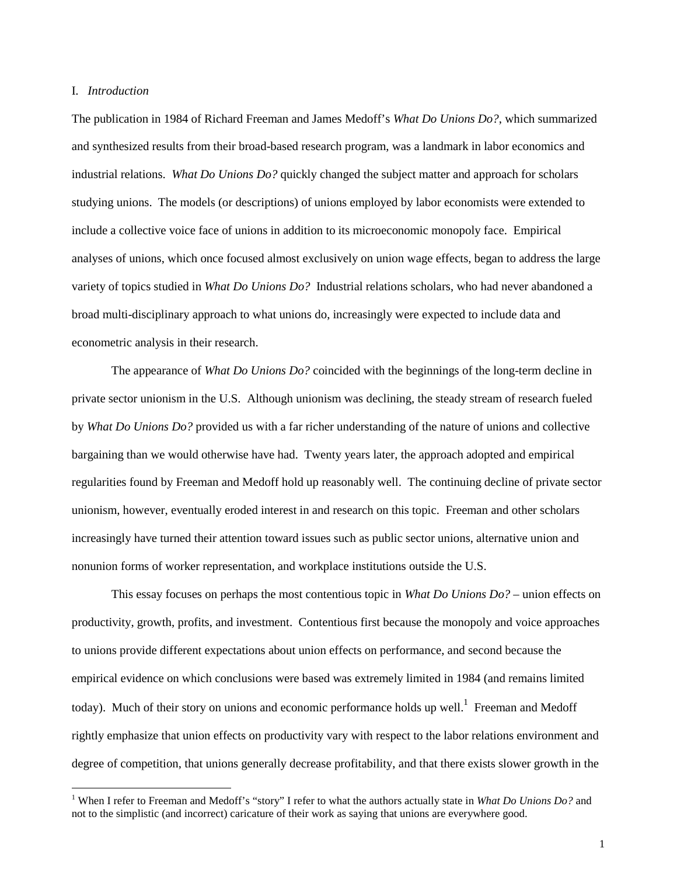#### I. *Introduction*

<u>.</u>

The publication in 1984 of Richard Freeman and James Medoff's *What Do Unions Do?*, which summarized and synthesized results from their broad-based research program, was a landmark in labor economics and industrial relations. *What Do Unions Do?* quickly changed the subject matter and approach for scholars studying unions. The models (or descriptions) of unions employed by labor economists were extended to include a collective voice face of unions in addition to its microeconomic monopoly face. Empirical analyses of unions, which once focused almost exclusively on union wage effects, began to address the large variety of topics studied in *What Do Unions Do?* Industrial relations scholars, who had never abandoned a broad multi-disciplinary approach to what unions do, increasingly were expected to include data and econometric analysis in their research.

The appearance of *What Do Unions Do?* coincided with the beginnings of the long-term decline in private sector unionism in the U.S. Although unionism was declining, the steady stream of research fueled by *What Do Unions Do?* provided us with a far richer understanding of the nature of unions and collective bargaining than we would otherwise have had. Twenty years later, the approach adopted and empirical regularities found by Freeman and Medoff hold up reasonably well. The continuing decline of private sector unionism, however, eventually eroded interest in and research on this topic. Freeman and other scholars increasingly have turned their attention toward issues such as public sector unions, alternative union and nonunion forms of worker representation, and workplace institutions outside the U.S.

This essay focuses on perhaps the most contentious topic in *What Do Unions Do?* – union effects on productivity, growth, profits, and investment. Contentious first because the monopoly and voice approaches to unions provide different expectations about union effects on performance, and second because the empirical evidence on which conclusions were based was extremely limited in 1984 (and remains limited today). Much of their story on unions and economic performance holds up well.<sup>1</sup> Freeman and Medoff rightly emphasize that union effects on productivity vary with respect to the labor relations environment and degree of competition, that unions generally decrease profitability, and that there exists slower growth in the

<sup>&</sup>lt;sup>1</sup> When I refer to Freeman and Medoff's "story" I refer to what the authors actually state in *What Do Unions Do?* and not to the simplistic (and incorrect) caricature of their work as saying that unions are everywhere good.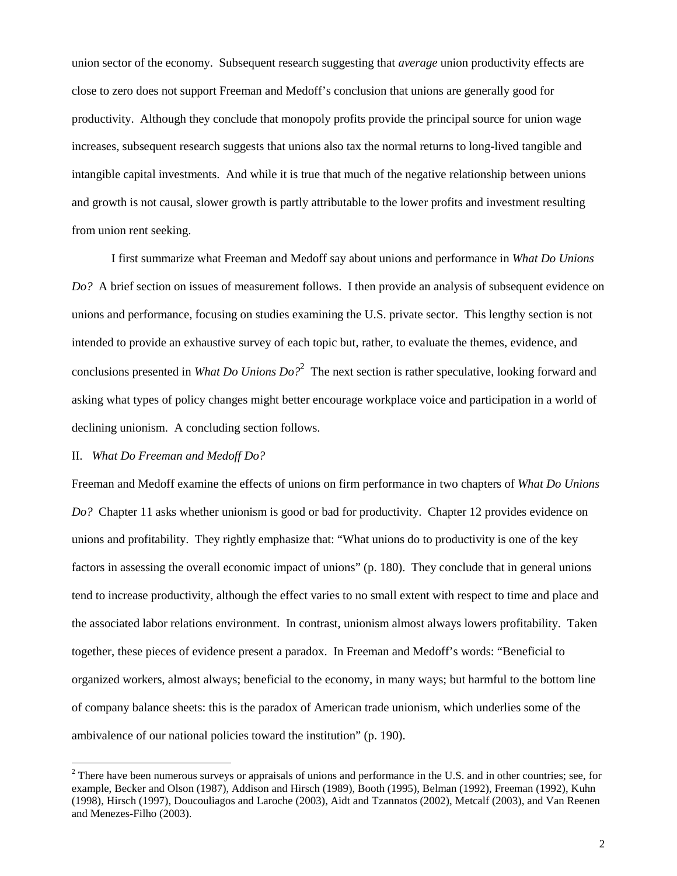union sector of the economy. Subsequent research suggesting that *average* union productivity effects are close to zero does not support Freeman and Medoff's conclusion that unions are generally good for productivity. Although they conclude that monopoly profits provide the principal source for union wage increases, subsequent research suggests that unions also tax the normal returns to long-lived tangible and intangible capital investments. And while it is true that much of the negative relationship between unions and growth is not causal, slower growth is partly attributable to the lower profits and investment resulting from union rent seeking.

I first summarize what Freeman and Medoff say about unions and performance in *What Do Unions Do?* A brief section on issues of measurement follows. I then provide an analysis of subsequent evidence on unions and performance, focusing on studies examining the U.S. private sector. This lengthy section is not intended to provide an exhaustive survey of each topic but, rather, to evaluate the themes, evidence, and conclusions presented in *What Do Unions Do?*<sup>2</sup> The next section is rather speculative, looking forward and asking what types of policy changes might better encourage workplace voice and participation in a world of declining unionism. A concluding section follows.

#### II. *What Do Freeman and Medoff Do?*

<u>.</u>

Freeman and Medoff examine the effects of unions on firm performance in two chapters of *What Do Unions Do?* Chapter 11 asks whether unionism is good or bad for productivity. Chapter 12 provides evidence on unions and profitability. They rightly emphasize that: "What unions do to productivity is one of the key factors in assessing the overall economic impact of unions" (p. 180). They conclude that in general unions tend to increase productivity, although the effect varies to no small extent with respect to time and place and the associated labor relations environment. In contrast, unionism almost always lowers profitability. Taken together, these pieces of evidence present a paradox. In Freeman and Medoff's words: "Beneficial to organized workers, almost always; beneficial to the economy, in many ways; but harmful to the bottom line of company balance sheets: this is the paradox of American trade unionism, which underlies some of the ambivalence of our national policies toward the institution" (p. 190).

 $2^2$  There have been numerous surveys or appraisals of unions and performance in the U.S. and in other countries; see, for example, Becker and Olson (1987), Addison and Hirsch (1989), Booth (1995), Belman (1992), Freeman (1992), Kuhn (1998), Hirsch (1997), Doucouliagos and Laroche (2003), Aidt and Tzannatos (2002), Metcalf (2003), and Van Reenen and Menezes-Filho (2003).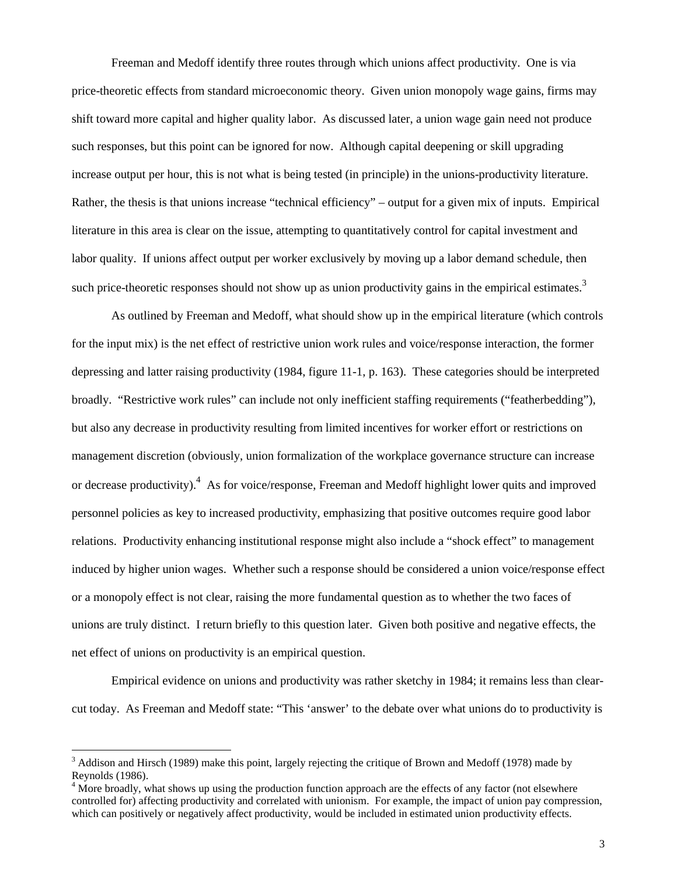Freeman and Medoff identify three routes through which unions affect productivity. One is via price-theoretic effects from standard microeconomic theory. Given union monopoly wage gains, firms may shift toward more capital and higher quality labor. As discussed later, a union wage gain need not produce such responses, but this point can be ignored for now. Although capital deepening or skill upgrading increase output per hour, this is not what is being tested (in principle) in the unions-productivity literature. Rather, the thesis is that unions increase "technical efficiency" – output for a given mix of inputs. Empirical literature in this area is clear on the issue, attempting to quantitatively control for capital investment and labor quality. If unions affect output per worker exclusively by moving up a labor demand schedule, then such price-theoretic responses should not show up as union productivity gains in the empirical estimates.<sup>3</sup>

As outlined by Freeman and Medoff, what should show up in the empirical literature (which controls for the input mix) is the net effect of restrictive union work rules and voice/response interaction, the former depressing and latter raising productivity (1984, figure 11-1, p. 163). These categories should be interpreted broadly. "Restrictive work rules" can include not only inefficient staffing requirements ("featherbedding"), but also any decrease in productivity resulting from limited incentives for worker effort or restrictions on management discretion (obviously, union formalization of the workplace governance structure can increase or decrease productivity).<sup>4</sup> As for voice/response, Freeman and Medoff highlight lower quits and improved personnel policies as key to increased productivity, emphasizing that positive outcomes require good labor relations. Productivity enhancing institutional response might also include a "shock effect" to management induced by higher union wages. Whether such a response should be considered a union voice/response effect or a monopoly effect is not clear, raising the more fundamental question as to whether the two faces of unions are truly distinct. I return briefly to this question later. Given both positive and negative effects, the net effect of unions on productivity is an empirical question.

Empirical evidence on unions and productivity was rather sketchy in 1984; it remains less than clearcut today. As Freeman and Medoff state: "This 'answer' to the debate over what unions do to productivity is

 $3$  Addison and Hirsch (1989) make this point, largely rejecting the critique of Brown and Medoff (1978) made by Reynolds (1986).

<sup>&</sup>lt;sup>4</sup> More broadly, what shows up using the production function approach are the effects of any factor (not elsewhere controlled for) affecting productivity and correlated with unionism. For example, the impact of union pay compression, which can positively or negatively affect productivity, would be included in estimated union productivity effects.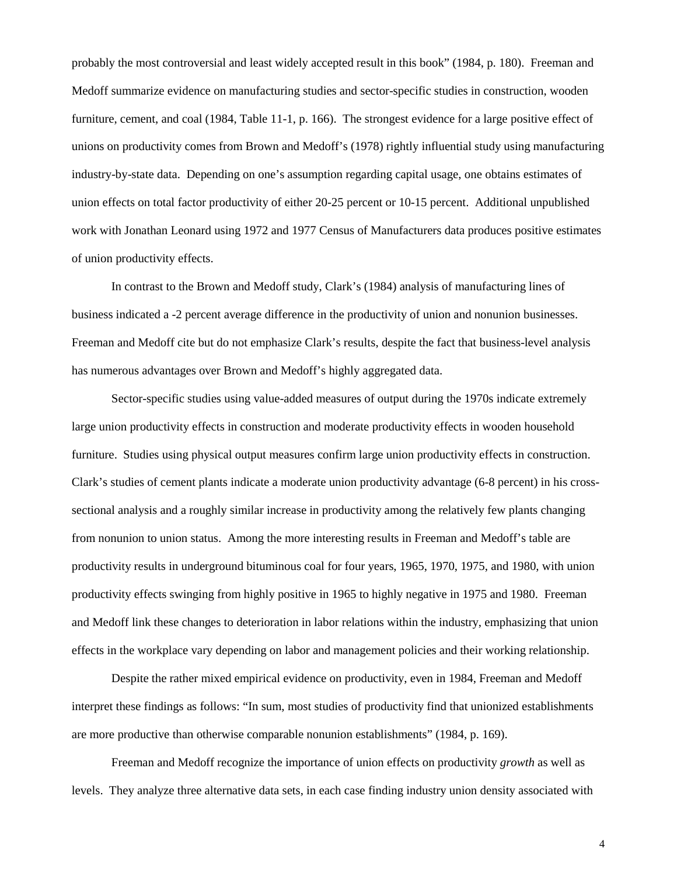probably the most controversial and least widely accepted result in this book" (1984, p. 180). Freeman and Medoff summarize evidence on manufacturing studies and sector-specific studies in construction, wooden furniture, cement, and coal (1984, Table 11-1, p. 166). The strongest evidence for a large positive effect of unions on productivity comes from Brown and Medoff's (1978) rightly influential study using manufacturing industry-by-state data. Depending on one's assumption regarding capital usage, one obtains estimates of union effects on total factor productivity of either 20-25 percent or 10-15 percent. Additional unpublished work with Jonathan Leonard using 1972 and 1977 Census of Manufacturers data produces positive estimates of union productivity effects.

In contrast to the Brown and Medoff study, Clark's (1984) analysis of manufacturing lines of business indicated a -2 percent average difference in the productivity of union and nonunion businesses. Freeman and Medoff cite but do not emphasize Clark's results, despite the fact that business-level analysis has numerous advantages over Brown and Medoff's highly aggregated data.

Sector-specific studies using value-added measures of output during the 1970s indicate extremely large union productivity effects in construction and moderate productivity effects in wooden household furniture. Studies using physical output measures confirm large union productivity effects in construction. Clark's studies of cement plants indicate a moderate union productivity advantage (6-8 percent) in his crosssectional analysis and a roughly similar increase in productivity among the relatively few plants changing from nonunion to union status. Among the more interesting results in Freeman and Medoff's table are productivity results in underground bituminous coal for four years, 1965, 1970, 1975, and 1980, with union productivity effects swinging from highly positive in 1965 to highly negative in 1975 and 1980. Freeman and Medoff link these changes to deterioration in labor relations within the industry, emphasizing that union effects in the workplace vary depending on labor and management policies and their working relationship.

Despite the rather mixed empirical evidence on productivity, even in 1984, Freeman and Medoff interpret these findings as follows: "In sum, most studies of productivity find that unionized establishments are more productive than otherwise comparable nonunion establishments" (1984, p. 169).

Freeman and Medoff recognize the importance of union effects on productivity *growth* as well as levels. They analyze three alternative data sets, in each case finding industry union density associated with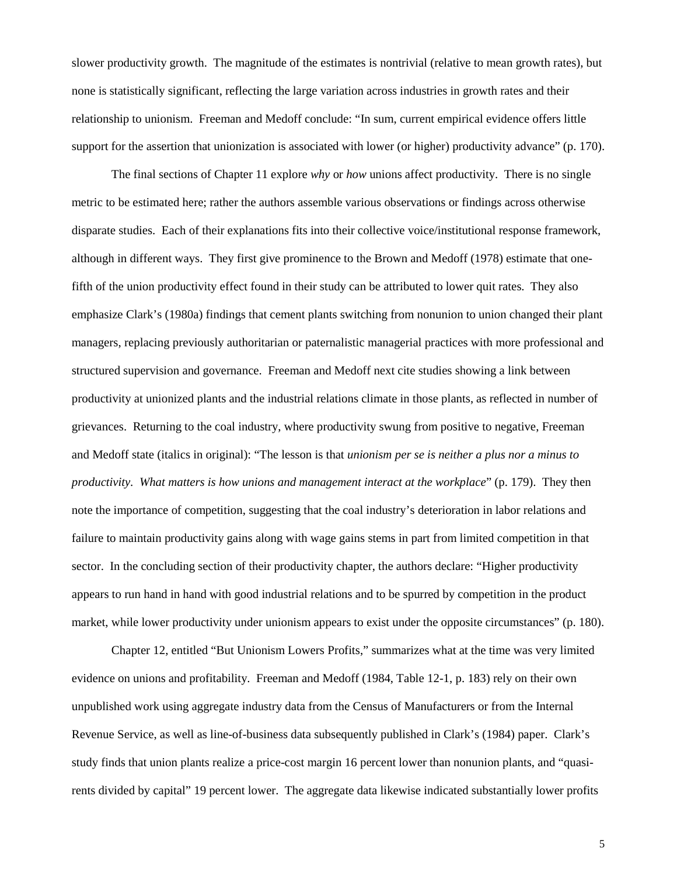slower productivity growth. The magnitude of the estimates is nontrivial (relative to mean growth rates), but none is statistically significant, reflecting the large variation across industries in growth rates and their relationship to unionism. Freeman and Medoff conclude: "In sum, current empirical evidence offers little support for the assertion that unionization is associated with lower (or higher) productivity advance" (p. 170).

The final sections of Chapter 11 explore *why* or *how* unions affect productivity. There is no single metric to be estimated here; rather the authors assemble various observations or findings across otherwise disparate studies. Each of their explanations fits into their collective voice/institutional response framework, although in different ways. They first give prominence to the Brown and Medoff (1978) estimate that onefifth of the union productivity effect found in their study can be attributed to lower quit rates. They also emphasize Clark's (1980a) findings that cement plants switching from nonunion to union changed their plant managers, replacing previously authoritarian or paternalistic managerial practices with more professional and structured supervision and governance. Freeman and Medoff next cite studies showing a link between productivity at unionized plants and the industrial relations climate in those plants, as reflected in number of grievances. Returning to the coal industry, where productivity swung from positive to negative, Freeman and Medoff state (italics in original): "The lesson is that *unionism per se is neither a plus nor a minus to productivity. What matters is how unions and management interact at the workplace*" (p. 179). They then note the importance of competition, suggesting that the coal industry's deterioration in labor relations and failure to maintain productivity gains along with wage gains stems in part from limited competition in that sector. In the concluding section of their productivity chapter, the authors declare: "Higher productivity appears to run hand in hand with good industrial relations and to be spurred by competition in the product market, while lower productivity under unionism appears to exist under the opposite circumstances" (p. 180).

Chapter 12, entitled "But Unionism Lowers Profits," summarizes what at the time was very limited evidence on unions and profitability. Freeman and Medoff (1984, Table 12-1, p. 183) rely on their own unpublished work using aggregate industry data from the Census of Manufacturers or from the Internal Revenue Service, as well as line-of-business data subsequently published in Clark's (1984) paper. Clark's study finds that union plants realize a price-cost margin 16 percent lower than nonunion plants, and "quasirents divided by capital" 19 percent lower. The aggregate data likewise indicated substantially lower profits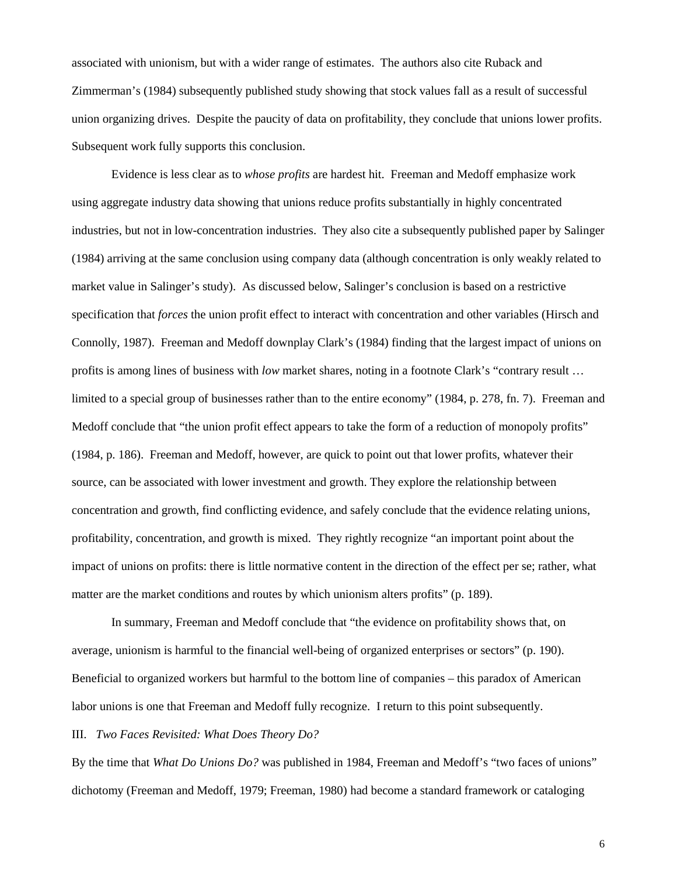associated with unionism, but with a wider range of estimates. The authors also cite Ruback and Zimmerman's (1984) subsequently published study showing that stock values fall as a result of successful union organizing drives. Despite the paucity of data on profitability, they conclude that unions lower profits. Subsequent work fully supports this conclusion.

Evidence is less clear as to *whose profits* are hardest hit. Freeman and Medoff emphasize work using aggregate industry data showing that unions reduce profits substantially in highly concentrated industries, but not in low-concentration industries. They also cite a subsequently published paper by Salinger (1984) arriving at the same conclusion using company data (although concentration is only weakly related to market value in Salinger's study). As discussed below, Salinger's conclusion is based on a restrictive specification that *forces* the union profit effect to interact with concentration and other variables (Hirsch and Connolly, 1987). Freeman and Medoff downplay Clark's (1984) finding that the largest impact of unions on profits is among lines of business with *low* market shares, noting in a footnote Clark's "contrary result … limited to a special group of businesses rather than to the entire economy" (1984, p. 278, fn. 7). Freeman and Medoff conclude that "the union profit effect appears to take the form of a reduction of monopoly profits" (1984, p. 186). Freeman and Medoff, however, are quick to point out that lower profits, whatever their source, can be associated with lower investment and growth. They explore the relationship between concentration and growth, find conflicting evidence, and safely conclude that the evidence relating unions, profitability, concentration, and growth is mixed. They rightly recognize "an important point about the impact of unions on profits: there is little normative content in the direction of the effect per se; rather, what matter are the market conditions and routes by which unionism alters profits" (p. 189).

In summary, Freeman and Medoff conclude that "the evidence on profitability shows that, on average, unionism is harmful to the financial well-being of organized enterprises or sectors" (p. 190). Beneficial to organized workers but harmful to the bottom line of companies – this paradox of American labor unions is one that Freeman and Medoff fully recognize. I return to this point subsequently.

#### III. *Two Faces Revisited: What Does Theory Do?*

By the time that *What Do Unions Do?* was published in 1984, Freeman and Medoff's "two faces of unions" dichotomy (Freeman and Medoff, 1979; Freeman, 1980) had become a standard framework or cataloging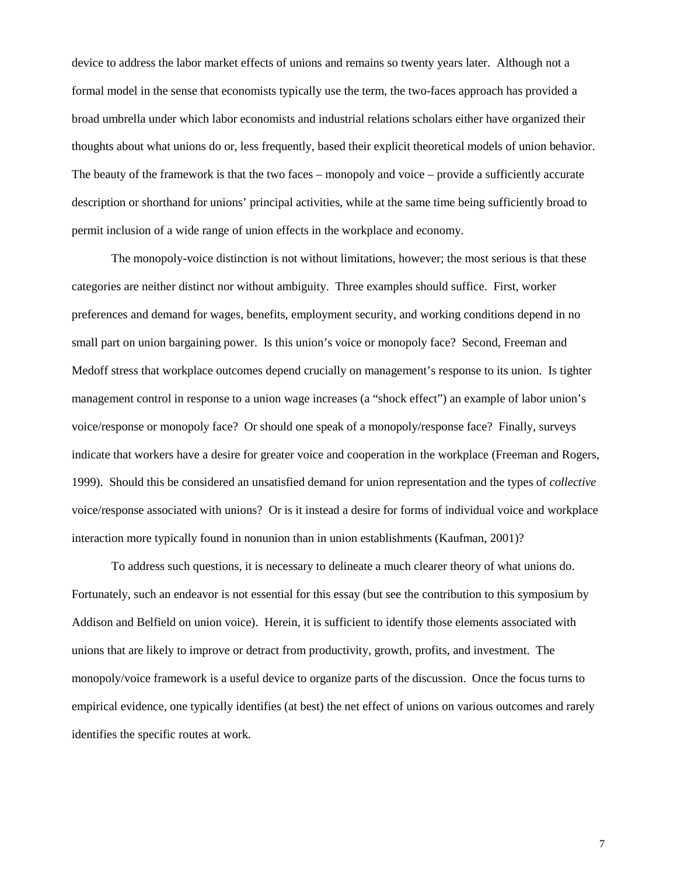device to address the labor market effects of unions and remains so twenty years later. Although not a formal model in the sense that economists typically use the term, the two-faces approach has provided a broad umbrella under which labor economists and industrial relations scholars either have organized their thoughts about what unions do or, less frequently, based their explicit theoretical models of union behavior. The beauty of the framework is that the two faces – monopoly and voice – provide a sufficiently accurate description or shorthand for unions' principal activities, while at the same time being sufficiently broad to permit inclusion of a wide range of union effects in the workplace and economy.

The monopoly-voice distinction is not without limitations, however; the most serious is that these categories are neither distinct nor without ambiguity. Three examples should suffice. First, worker preferences and demand for wages, benefits, employment security, and working conditions depend in no small part on union bargaining power. Is this union's voice or monopoly face? Second, Freeman and Medoff stress that workplace outcomes depend crucially on management's response to its union. Is tighter management control in response to a union wage increases (a "shock effect") an example of labor union's voice/response or monopoly face? Or should one speak of a monopoly/response face? Finally, surveys indicate that workers have a desire for greater voice and cooperation in the workplace (Freeman and Rogers, 1999). Should this be considered an unsatisfied demand for union representation and the types of *collective* voice/response associated with unions? Or is it instead a desire for forms of individual voice and workplace interaction more typically found in nonunion than in union establishments (Kaufman, 2001)?

To address such questions, it is necessary to delineate a much clearer theory of what unions do. Fortunately, such an endeavor is not essential for this essay (but see the contribution to this symposium by Addison and Belfield on union voice). Herein, it is sufficient to identify those elements associated with unions that are likely to improve or detract from productivity, growth, profits, and investment. The monopoly/voice framework is a useful device to organize parts of the discussion. Once the focus turns to empirical evidence, one typically identifies (at best) the net effect of unions on various outcomes and rarely identifies the specific routes at work.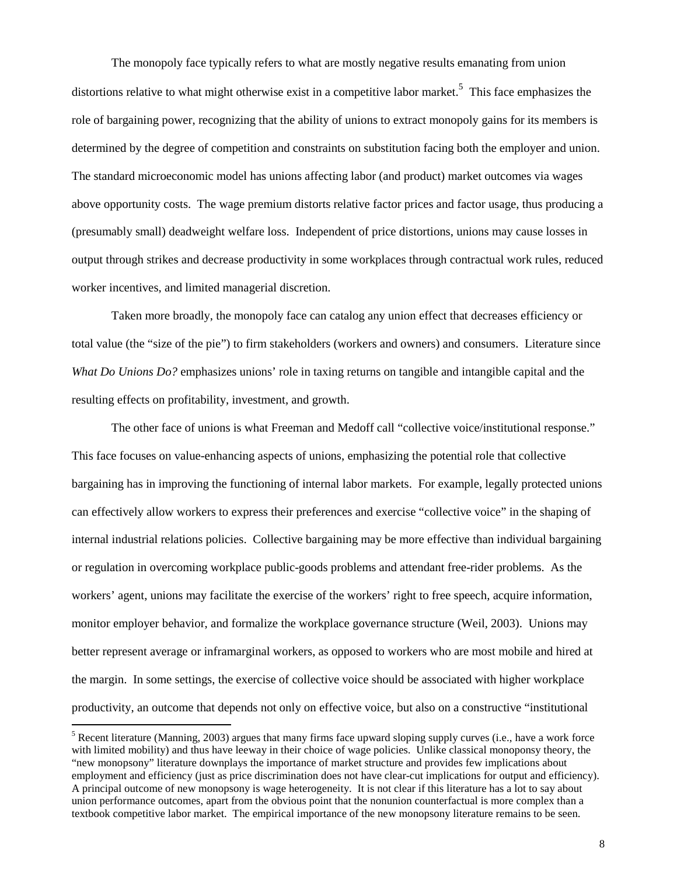The monopoly face typically refers to what are mostly negative results emanating from union distortions relative to what might otherwise exist in a competitive labor market.<sup>5</sup> This face emphasizes the role of bargaining power, recognizing that the ability of unions to extract monopoly gains for its members is determined by the degree of competition and constraints on substitution facing both the employer and union. The standard microeconomic model has unions affecting labor (and product) market outcomes via wages above opportunity costs. The wage premium distorts relative factor prices and factor usage, thus producing a (presumably small) deadweight welfare loss. Independent of price distortions, unions may cause losses in output through strikes and decrease productivity in some workplaces through contractual work rules, reduced worker incentives, and limited managerial discretion.

Taken more broadly, the monopoly face can catalog any union effect that decreases efficiency or total value (the "size of the pie") to firm stakeholders (workers and owners) and consumers. Literature since *What Do Unions Do?* emphasizes unions' role in taxing returns on tangible and intangible capital and the resulting effects on profitability, investment, and growth.

The other face of unions is what Freeman and Medoff call "collective voice/institutional response." This face focuses on value-enhancing aspects of unions, emphasizing the potential role that collective bargaining has in improving the functioning of internal labor markets. For example, legally protected unions can effectively allow workers to express their preferences and exercise "collective voice" in the shaping of internal industrial relations policies. Collective bargaining may be more effective than individual bargaining or regulation in overcoming workplace public-goods problems and attendant free-rider problems. As the workers' agent, unions may facilitate the exercise of the workers' right to free speech, acquire information, monitor employer behavior, and formalize the workplace governance structure (Weil, 2003). Unions may better represent average or inframarginal workers, as opposed to workers who are most mobile and hired at the margin. In some settings, the exercise of collective voice should be associated with higher workplace productivity, an outcome that depends not only on effective voice, but also on a constructive "institutional

 $<sup>5</sup>$  Recent literature (Manning, 2003) argues that many firms face upward sloping supply curves (i.e., have a work force</sup> with limited mobility) and thus have leeway in their choice of wage policies. Unlike classical monoponsy theory, the "new monopsony" literature downplays the importance of market structure and provides few implications about employment and efficiency (just as price discrimination does not have clear-cut implications for output and efficiency). A principal outcome of new monopsony is wage heterogeneity. It is not clear if this literature has a lot to say about union performance outcomes, apart from the obvious point that the nonunion counterfactual is more complex than a textbook competitive labor market. The empirical importance of the new monopsony literature remains to be seen.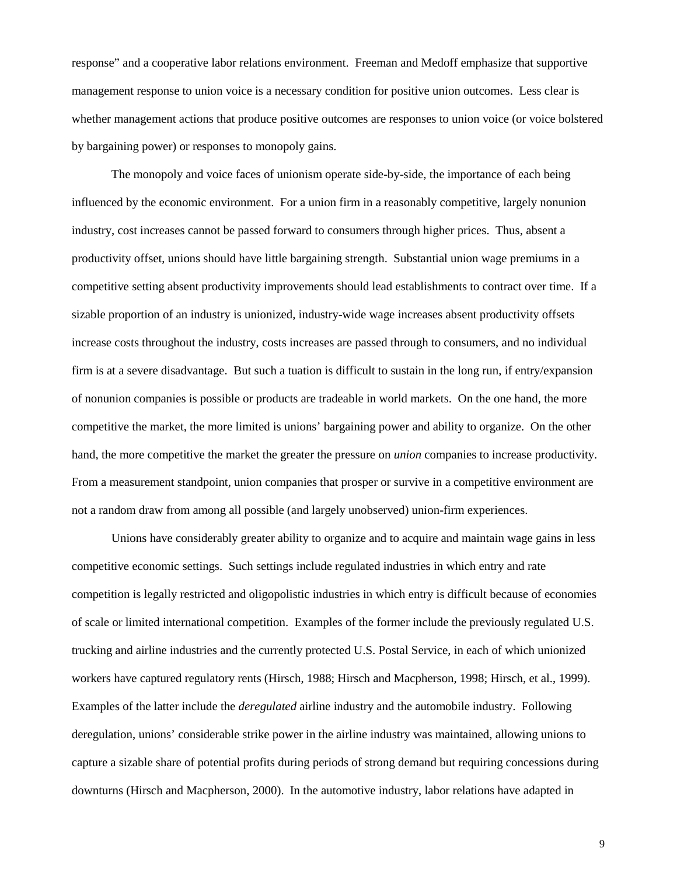response" and a cooperative labor relations environment. Freeman and Medoff emphasize that supportive management response to union voice is a necessary condition for positive union outcomes. Less clear is whether management actions that produce positive outcomes are responses to union voice (or voice bolstered by bargaining power) or responses to monopoly gains.

The monopoly and voice faces of unionism operate side-by-side, the importance of each being influenced by the economic environment. For a union firm in a reasonably competitive, largely nonunion industry, cost increases cannot be passed forward to consumers through higher prices. Thus, absent a productivity offset, unions should have little bargaining strength. Substantial union wage premiums in a competitive setting absent productivity improvements should lead establishments to contract over time. If a sizable proportion of an industry is unionized, industry-wide wage increases absent productivity offsets increase costs throughout the industry, costs increases are passed through to consumers, and no individual firm is at a severe disadvantage. But such a tuation is difficult to sustain in the long run, if entry/expansion of nonunion companies is possible or products are tradeable in world markets. On the one hand, the more competitive the market, the more limited is unions' bargaining power and ability to organize. On the other hand, the more competitive the market the greater the pressure on *union* companies to increase productivity. From a measurement standpoint, union companies that prosper or survive in a competitive environment are not a random draw from among all possible (and largely unobserved) union-firm experiences.

Unions have considerably greater ability to organize and to acquire and maintain wage gains in less competitive economic settings. Such settings include regulated industries in which entry and rate competition is legally restricted and oligopolistic industries in which entry is difficult because of economies of scale or limited international competition. Examples of the former include the previously regulated U.S. trucking and airline industries and the currently protected U.S. Postal Service, in each of which unionized workers have captured regulatory rents (Hirsch, 1988; Hirsch and Macpherson, 1998; Hirsch, et al., 1999). Examples of the latter include the *deregulated* airline industry and the automobile industry. Following deregulation, unions' considerable strike power in the airline industry was maintained, allowing unions to capture a sizable share of potential profits during periods of strong demand but requiring concessions during downturns (Hirsch and Macpherson, 2000). In the automotive industry, labor relations have adapted in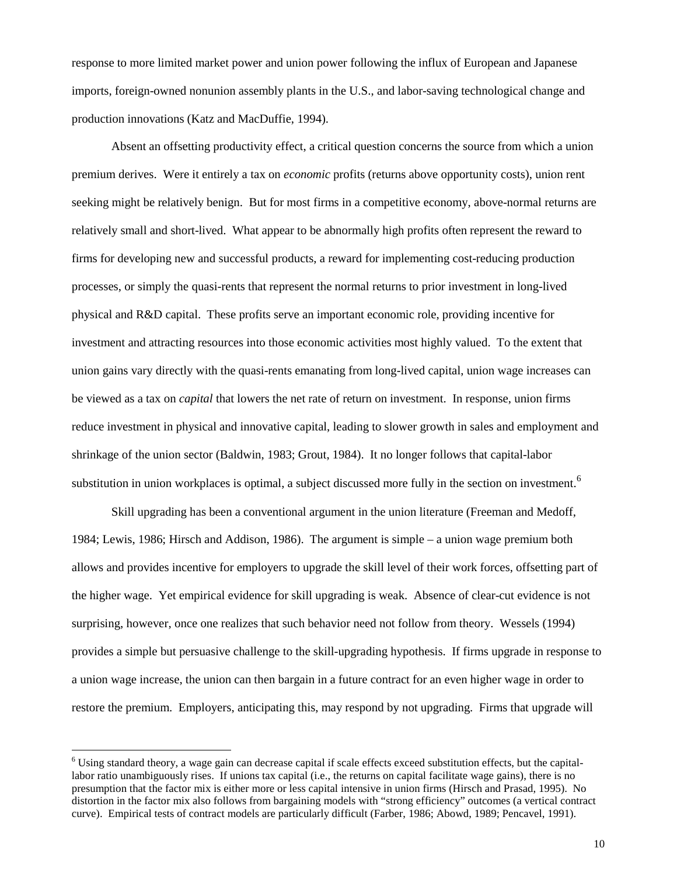response to more limited market power and union power following the influx of European and Japanese imports, foreign-owned nonunion assembly plants in the U.S., and labor-saving technological change and production innovations (Katz and MacDuffie, 1994).

Absent an offsetting productivity effect, a critical question concerns the source from which a union premium derives. Were it entirely a tax on *economic* profits (returns above opportunity costs), union rent seeking might be relatively benign. But for most firms in a competitive economy, above-normal returns are relatively small and short-lived. What appear to be abnormally high profits often represent the reward to firms for developing new and successful products, a reward for implementing cost-reducing production processes, or simply the quasi-rents that represent the normal returns to prior investment in long-lived physical and R&D capital. These profits serve an important economic role, providing incentive for investment and attracting resources into those economic activities most highly valued. To the extent that union gains vary directly with the quasi-rents emanating from long-lived capital, union wage increases can be viewed as a tax on *capital* that lowers the net rate of return on investment. In response, union firms reduce investment in physical and innovative capital, leading to slower growth in sales and employment and shrinkage of the union sector (Baldwin, 1983; Grout, 1984). It no longer follows that capital-labor substitution in union workplaces is optimal, a subject discussed more fully in the section on investment.<sup>6</sup>

Skill upgrading has been a conventional argument in the union literature (Freeman and Medoff, 1984; Lewis, 1986; Hirsch and Addison, 1986). The argument is simple – a union wage premium both allows and provides incentive for employers to upgrade the skill level of their work forces, offsetting part of the higher wage. Yet empirical evidence for skill upgrading is weak. Absence of clear-cut evidence is not surprising, however, once one realizes that such behavior need not follow from theory. Wessels (1994) provides a simple but persuasive challenge to the skill-upgrading hypothesis. If firms upgrade in response to a union wage increase, the union can then bargain in a future contract for an even higher wage in order to restore the premium. Employers, anticipating this, may respond by not upgrading. Firms that upgrade will

<sup>&</sup>lt;sup>6</sup> Using standard theory, a wage gain can decrease capital if scale effects exceed substitution effects, but the capitallabor ratio unambiguously rises. If unions tax capital (i.e., the returns on capital facilitate wage gains), there is no presumption that the factor mix is either more or less capital intensive in union firms (Hirsch and Prasad, 1995). No distortion in the factor mix also follows from bargaining models with "strong efficiency" outcomes (a vertical contract curve). Empirical tests of contract models are particularly difficult (Farber, 1986; Abowd, 1989; Pencavel, 1991).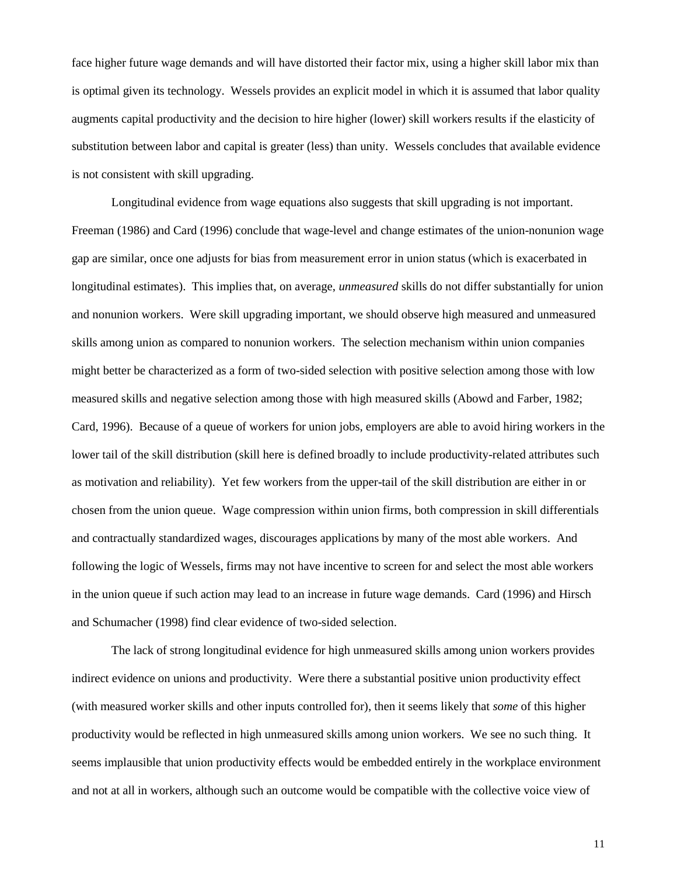face higher future wage demands and will have distorted their factor mix, using a higher skill labor mix than is optimal given its technology. Wessels provides an explicit model in which it is assumed that labor quality augments capital productivity and the decision to hire higher (lower) skill workers results if the elasticity of substitution between labor and capital is greater (less) than unity. Wessels concludes that available evidence is not consistent with skill upgrading.

Longitudinal evidence from wage equations also suggests that skill upgrading is not important. Freeman (1986) and Card (1996) conclude that wage-level and change estimates of the union-nonunion wage gap are similar, once one adjusts for bias from measurement error in union status (which is exacerbated in longitudinal estimates). This implies that, on average, *unmeasured* skills do not differ substantially for union and nonunion workers. Were skill upgrading important, we should observe high measured and unmeasured skills among union as compared to nonunion workers. The selection mechanism within union companies might better be characterized as a form of two-sided selection with positive selection among those with low measured skills and negative selection among those with high measured skills (Abowd and Farber, 1982; Card, 1996). Because of a queue of workers for union jobs, employers are able to avoid hiring workers in the lower tail of the skill distribution (skill here is defined broadly to include productivity-related attributes such as motivation and reliability). Yet few workers from the upper-tail of the skill distribution are either in or chosen from the union queue. Wage compression within union firms, both compression in skill differentials and contractually standardized wages, discourages applications by many of the most able workers. And following the logic of Wessels, firms may not have incentive to screen for and select the most able workers in the union queue if such action may lead to an increase in future wage demands. Card (1996) and Hirsch and Schumacher (1998) find clear evidence of two-sided selection.

The lack of strong longitudinal evidence for high unmeasured skills among union workers provides indirect evidence on unions and productivity. Were there a substantial positive union productivity effect (with measured worker skills and other inputs controlled for), then it seems likely that *some* of this higher productivity would be reflected in high unmeasured skills among union workers. We see no such thing. It seems implausible that union productivity effects would be embedded entirely in the workplace environment and not at all in workers, although such an outcome would be compatible with the collective voice view of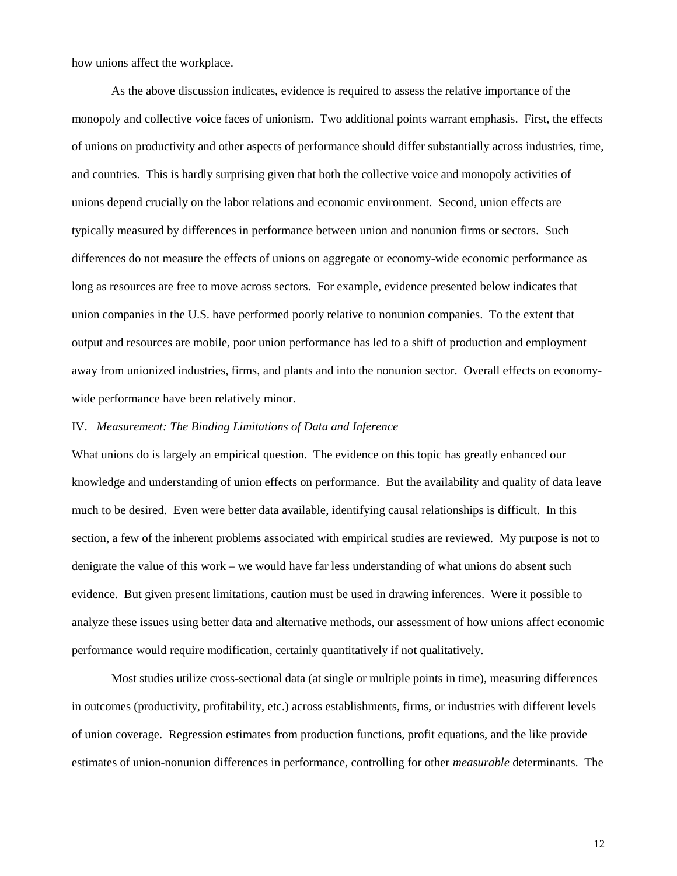how unions affect the workplace.

As the above discussion indicates, evidence is required to assess the relative importance of the monopoly and collective voice faces of unionism. Two additional points warrant emphasis. First, the effects of unions on productivity and other aspects of performance should differ substantially across industries, time, and countries. This is hardly surprising given that both the collective voice and monopoly activities of unions depend crucially on the labor relations and economic environment. Second, union effects are typically measured by differences in performance between union and nonunion firms or sectors. Such differences do not measure the effects of unions on aggregate or economy-wide economic performance as long as resources are free to move across sectors. For example, evidence presented below indicates that union companies in the U.S. have performed poorly relative to nonunion companies. To the extent that output and resources are mobile, poor union performance has led to a shift of production and employment away from unionized industries, firms, and plants and into the nonunion sector. Overall effects on economywide performance have been relatively minor.

#### IV. *Measurement: The Binding Limitations of Data and Inference*

What unions do is largely an empirical question. The evidence on this topic has greatly enhanced our knowledge and understanding of union effects on performance. But the availability and quality of data leave much to be desired. Even were better data available, identifying causal relationships is difficult. In this section, a few of the inherent problems associated with empirical studies are reviewed. My purpose is not to denigrate the value of this work – we would have far less understanding of what unions do absent such evidence. But given present limitations, caution must be used in drawing inferences. Were it possible to analyze these issues using better data and alternative methods, our assessment of how unions affect economic performance would require modification, certainly quantitatively if not qualitatively.

Most studies utilize cross-sectional data (at single or multiple points in time), measuring differences in outcomes (productivity, profitability, etc.) across establishments, firms, or industries with different levels of union coverage. Regression estimates from production functions, profit equations, and the like provide estimates of union-nonunion differences in performance, controlling for other *measurable* determinants. The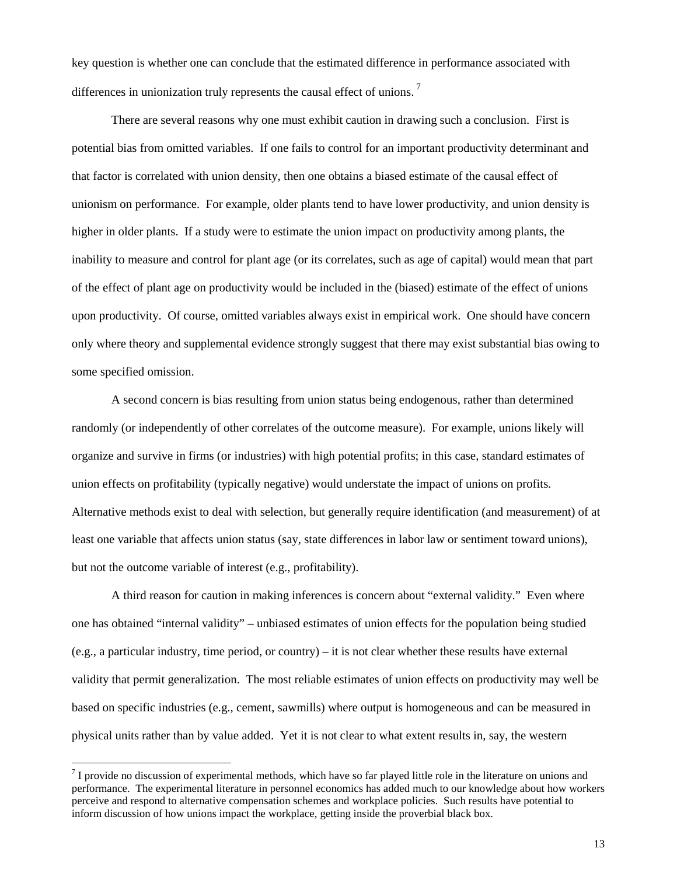key question is whether one can conclude that the estimated difference in performance associated with differences in unionization truly represents the causal effect of unions.<sup>7</sup>

There are several reasons why one must exhibit caution in drawing such a conclusion. First is potential bias from omitted variables. If one fails to control for an important productivity determinant and that factor is correlated with union density, then one obtains a biased estimate of the causal effect of unionism on performance. For example, older plants tend to have lower productivity, and union density is higher in older plants. If a study were to estimate the union impact on productivity among plants, the inability to measure and control for plant age (or its correlates, such as age of capital) would mean that part of the effect of plant age on productivity would be included in the (biased) estimate of the effect of unions upon productivity. Of course, omitted variables always exist in empirical work. One should have concern only where theory and supplemental evidence strongly suggest that there may exist substantial bias owing to some specified omission.

A second concern is bias resulting from union status being endogenous, rather than determined randomly (or independently of other correlates of the outcome measure). For example, unions likely will organize and survive in firms (or industries) with high potential profits; in this case, standard estimates of union effects on profitability (typically negative) would understate the impact of unions on profits. Alternative methods exist to deal with selection, but generally require identification (and measurement) of at least one variable that affects union status (say, state differences in labor law or sentiment toward unions), but not the outcome variable of interest (e.g., profitability).

A third reason for caution in making inferences is concern about "external validity." Even where one has obtained "internal validity" – unbiased estimates of union effects for the population being studied (e.g., a particular industry, time period, or country) – it is not clear whether these results have external validity that permit generalization. The most reliable estimates of union effects on productivity may well be based on specific industries (e.g., cement, sawmills) where output is homogeneous and can be measured in physical units rather than by value added. Yet it is not clear to what extent results in, say, the western

 $<sup>7</sup>$  I provide no discussion of experimental methods, which have so far played little role in the literature on unions and</sup> performance. The experimental literature in personnel economics has added much to our knowledge about how workers perceive and respond to alternative compensation schemes and workplace policies. Such results have potential to inform discussion of how unions impact the workplace, getting inside the proverbial black box.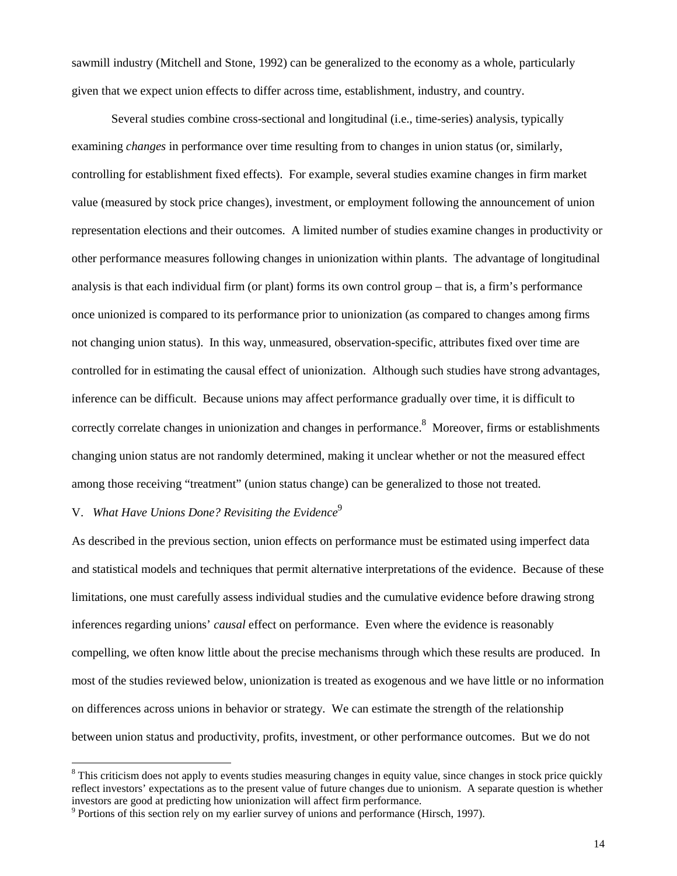sawmill industry (Mitchell and Stone, 1992) can be generalized to the economy as a whole, particularly given that we expect union effects to differ across time, establishment, industry, and country.

Several studies combine cross-sectional and longitudinal (i.e., time-series) analysis, typically examining *changes* in performance over time resulting from to changes in union status (or, similarly, controlling for establishment fixed effects). For example, several studies examine changes in firm market value (measured by stock price changes), investment, or employment following the announcement of union representation elections and their outcomes. A limited number of studies examine changes in productivity or other performance measures following changes in unionization within plants. The advantage of longitudinal analysis is that each individual firm (or plant) forms its own control group – that is, a firm's performance once unionized is compared to its performance prior to unionization (as compared to changes among firms not changing union status). In this way, unmeasured, observation-specific, attributes fixed over time are controlled for in estimating the causal effect of unionization. Although such studies have strong advantages, inference can be difficult. Because unions may affect performance gradually over time, it is difficult to correctly correlate changes in unionization and changes in performance.<sup>8</sup> Moreover, firms or establishments changing union status are not randomly determined, making it unclear whether or not the measured effect among those receiving "treatment" (union status change) can be generalized to those not treated.

#### V. What Have Unions Done? Revisiting the Evidence<sup>9</sup>

<u>.</u>

As described in the previous section, union effects on performance must be estimated using imperfect data and statistical models and techniques that permit alternative interpretations of the evidence. Because of these limitations, one must carefully assess individual studies and the cumulative evidence before drawing strong inferences regarding unions' *causal* effect on performance. Even where the evidence is reasonably compelling, we often know little about the precise mechanisms through which these results are produced. In most of the studies reviewed below, unionization is treated as exogenous and we have little or no information on differences across unions in behavior or strategy. We can estimate the strength of the relationship between union status and productivity, profits, investment, or other performance outcomes. But we do not

<sup>&</sup>lt;sup>8</sup> This criticism does not apply to events studies measuring changes in equity value, since changes in stock price quickly reflect investors' expectations as to the present value of future changes due to unionism. A separate question is whether investors are good at predicting how unionization will affect firm performance.

<sup>&</sup>lt;sup>9</sup> Portions of this section rely on my earlier survey of unions and performance (Hirsch, 1997).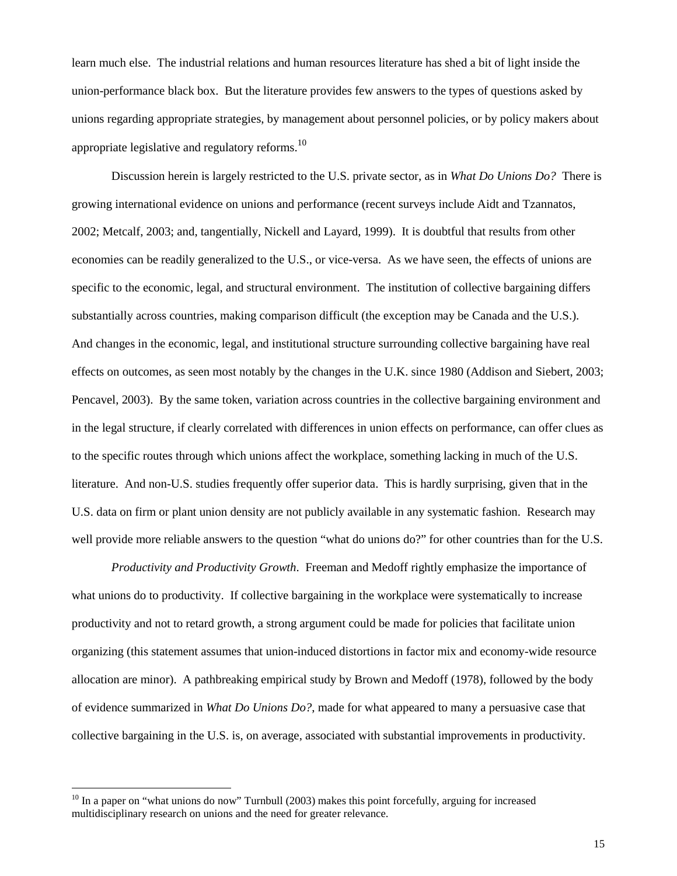learn much else. The industrial relations and human resources literature has shed a bit of light inside the union-performance black box. But the literature provides few answers to the types of questions asked by unions regarding appropriate strategies, by management about personnel policies, or by policy makers about appropriate legislative and regulatory reforms.<sup>10</sup>

Discussion herein is largely restricted to the U.S. private sector, as in *What Do Unions Do?* There is growing international evidence on unions and performance (recent surveys include Aidt and Tzannatos, 2002; Metcalf, 2003; and, tangentially, Nickell and Layard, 1999). It is doubtful that results from other economies can be readily generalized to the U.S., or vice-versa. As we have seen, the effects of unions are specific to the economic, legal, and structural environment. The institution of collective bargaining differs substantially across countries, making comparison difficult (the exception may be Canada and the U.S.). And changes in the economic, legal, and institutional structure surrounding collective bargaining have real effects on outcomes, as seen most notably by the changes in the U.K. since 1980 (Addison and Siebert, 2003; Pencavel, 2003). By the same token, variation across countries in the collective bargaining environment and in the legal structure, if clearly correlated with differences in union effects on performance, can offer clues as to the specific routes through which unions affect the workplace, something lacking in much of the U.S. literature. And non-U.S. studies frequently offer superior data. This is hardly surprising, given that in the U.S. data on firm or plant union density are not publicly available in any systematic fashion. Research may well provide more reliable answers to the question "what do unions do?" for other countries than for the U.S.

*Productivity and Productivity Growth*. Freeman and Medoff rightly emphasize the importance of what unions do to productivity. If collective bargaining in the workplace were systematically to increase productivity and not to retard growth, a strong argument could be made for policies that facilitate union organizing (this statement assumes that union-induced distortions in factor mix and economy-wide resource allocation are minor). A pathbreaking empirical study by Brown and Medoff (1978), followed by the body of evidence summarized in *What Do Unions Do?*, made for what appeared to many a persuasive case that collective bargaining in the U.S. is, on average, associated with substantial improvements in productivity.

 $10$  In a paper on "what unions do now" Turnbull (2003) makes this point forcefully, arguing for increased multidisciplinary research on unions and the need for greater relevance.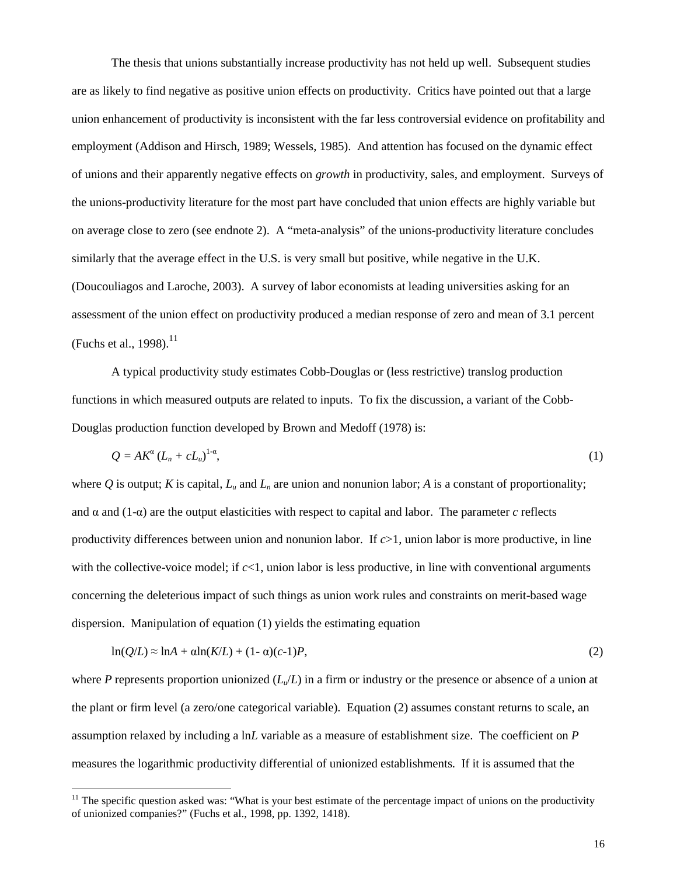The thesis that unions substantially increase productivity has not held up well. Subsequent studies are as likely to find negative as positive union effects on productivity. Critics have pointed out that a large union enhancement of productivity is inconsistent with the far less controversial evidence on profitability and employment (Addison and Hirsch, 1989; Wessels, 1985). And attention has focused on the dynamic effect of unions and their apparently negative effects on *growth* in productivity, sales, and employment. Surveys of the unions-productivity literature for the most part have concluded that union effects are highly variable but on average close to zero (see endnote 2). A "meta-analysis" of the unions-productivity literature concludes similarly that the average effect in the U.S. is very small but positive, while negative in the U.K. (Doucouliagos and Laroche, 2003). A survey of labor economists at leading universities asking for an assessment of the union effect on productivity produced a median response of zero and mean of 3.1 percent (Fuchs et al., 1998).<sup>11</sup>

A typical productivity study estimates Cobb-Douglas or (less restrictive) translog production functions in which measured outputs are related to inputs. To fix the discussion, a variant of the Cobb-Douglas production function developed by Brown and Medoff (1978) is:

$$
Q = AK^{\alpha} (L_n + cL_u)^{1-\alpha}, \tag{1}
$$

where Q is output; *K* is capital,  $L_u$  and  $L_n$  are union and nonunion labor; A is a constant of proportionality; and  $\alpha$  and  $(1-\alpha)$  are the output elasticities with respect to capital and labor. The parameter *c* reflects productivity differences between union and nonunion labor. If *c*>1, union labor is more productive, in line with the collective-voice model; if  $c<1$ , union labor is less productive, in line with conventional arguments concerning the deleterious impact of such things as union work rules and constraints on merit-based wage dispersion. Manipulation of equation (1) yields the estimating equation

$$
\ln(Q/L) \approx \ln A + \alpha \ln(K/L) + (1 - \alpha)(c-1)P,
$$
\n(2)

where *P* represents proportion unionized  $(L<sub>u</sub>/L)$  in a firm or industry or the presence or absence of a union at the plant or firm level (a zero/one categorical variable). Equation (2) assumes constant returns to scale, an assumption relaxed by including a ln*L* variable as a measure of establishment size. The coefficient on *P* measures the logarithmic productivity differential of unionized establishments. If it is assumed that the

 $11$  The specific question asked was: "What is your best estimate of the percentage impact of unions on the productivity of unionized companies?" (Fuchs et al., 1998, pp. 1392, 1418).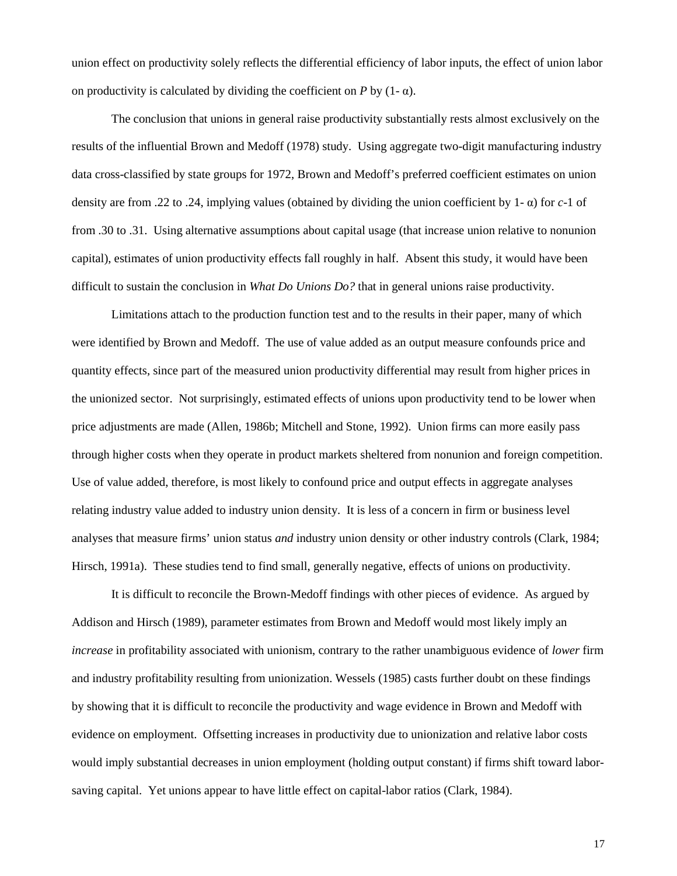union effect on productivity solely reflects the differential efficiency of labor inputs, the effect of union labor on productivity is calculated by dividing the coefficient on *P* by  $(1 - \alpha)$ .

The conclusion that unions in general raise productivity substantially rests almost exclusively on the results of the influential Brown and Medoff (1978) study. Using aggregate two-digit manufacturing industry data cross-classified by state groups for 1972, Brown and Medoff's preferred coefficient estimates on union density are from .22 to .24, implying values (obtained by dividing the union coefficient by 1- α) for *c*-1 of from .30 to .31. Using alternative assumptions about capital usage (that increase union relative to nonunion capital), estimates of union productivity effects fall roughly in half. Absent this study, it would have been difficult to sustain the conclusion in *What Do Unions Do?* that in general unions raise productivity.

Limitations attach to the production function test and to the results in their paper, many of which were identified by Brown and Medoff. The use of value added as an output measure confounds price and quantity effects, since part of the measured union productivity differential may result from higher prices in the unionized sector. Not surprisingly, estimated effects of unions upon productivity tend to be lower when price adjustments are made (Allen, 1986b; Mitchell and Stone, 1992). Union firms can more easily pass through higher costs when they operate in product markets sheltered from nonunion and foreign competition. Use of value added, therefore, is most likely to confound price and output effects in aggregate analyses relating industry value added to industry union density. It is less of a concern in firm or business level analyses that measure firms' union status *and* industry union density or other industry controls (Clark, 1984; Hirsch, 1991a). These studies tend to find small, generally negative, effects of unions on productivity.

It is difficult to reconcile the Brown-Medoff findings with other pieces of evidence. As argued by Addison and Hirsch (1989), parameter estimates from Brown and Medoff would most likely imply an *increase* in profitability associated with unionism, contrary to the rather unambiguous evidence of *lower* firm and industry profitability resulting from unionization. Wessels (1985) casts further doubt on these findings by showing that it is difficult to reconcile the productivity and wage evidence in Brown and Medoff with evidence on employment. Offsetting increases in productivity due to unionization and relative labor costs would imply substantial decreases in union employment (holding output constant) if firms shift toward laborsaving capital. Yet unions appear to have little effect on capital-labor ratios (Clark, 1984).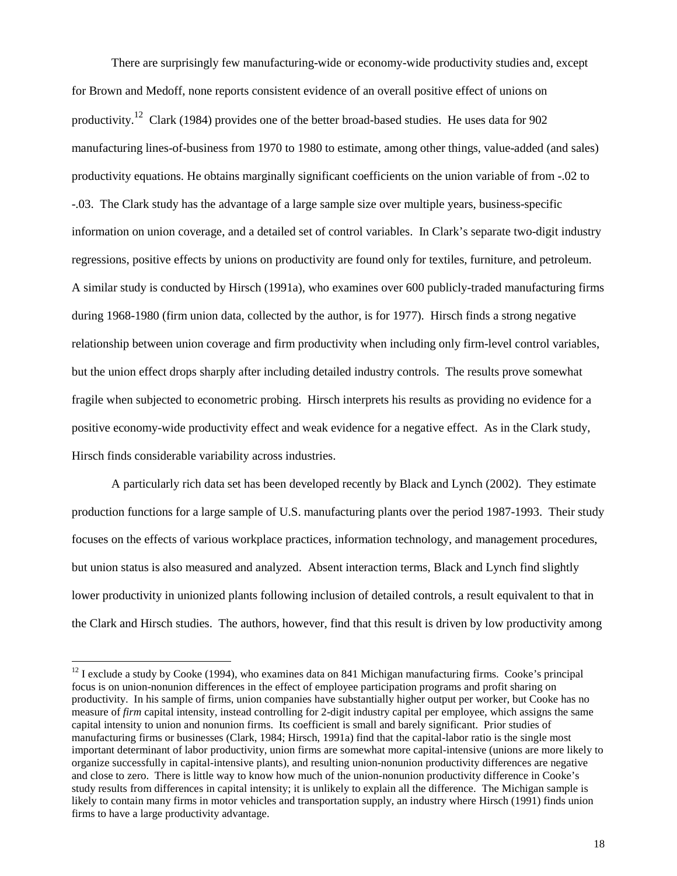There are surprisingly few manufacturing-wide or economy-wide productivity studies and, except for Brown and Medoff, none reports consistent evidence of an overall positive effect of unions on productivity.<sup>12</sup> Clark (1984) provides one of the better broad-based studies. He uses data for 902 manufacturing lines-of-business from 1970 to 1980 to estimate, among other things, value-added (and sales) productivity equations. He obtains marginally significant coefficients on the union variable of from -.02 to -.03. The Clark study has the advantage of a large sample size over multiple years, business-specific information on union coverage, and a detailed set of control variables. In Clark's separate two-digit industry regressions, positive effects by unions on productivity are found only for textiles, furniture, and petroleum. A similar study is conducted by Hirsch (1991a), who examines over 600 publicly-traded manufacturing firms during 1968-1980 (firm union data, collected by the author, is for 1977). Hirsch finds a strong negative relationship between union coverage and firm productivity when including only firm-level control variables, but the union effect drops sharply after including detailed industry controls. The results prove somewhat fragile when subjected to econometric probing. Hirsch interprets his results as providing no evidence for a positive economy-wide productivity effect and weak evidence for a negative effect. As in the Clark study, Hirsch finds considerable variability across industries.

A particularly rich data set has been developed recently by Black and Lynch (2002). They estimate production functions for a large sample of U.S. manufacturing plants over the period 1987-1993. Their study focuses on the effects of various workplace practices, information technology, and management procedures, but union status is also measured and analyzed. Absent interaction terms, Black and Lynch find slightly lower productivity in unionized plants following inclusion of detailed controls, a result equivalent to that in the Clark and Hirsch studies. The authors, however, find that this result is driven by low productivity among

 $12$  I exclude a study by Cooke (1994), who examines data on 841 Michigan manufacturing firms. Cooke's principal focus is on union-nonunion differences in the effect of employee participation programs and profit sharing on productivity. In his sample of firms, union companies have substantially higher output per worker, but Cooke has no measure of *firm* capital intensity, instead controlling for 2-digit industry capital per employee, which assigns the same capital intensity to union and nonunion firms. Its coefficient is small and barely significant. Prior studies of manufacturing firms or businesses (Clark, 1984; Hirsch, 1991a) find that the capital-labor ratio is the single most important determinant of labor productivity, union firms are somewhat more capital-intensive (unions are more likely to organize successfully in capital-intensive plants), and resulting union-nonunion productivity differences are negative and close to zero. There is little way to know how much of the union-nonunion productivity difference in Cooke's study results from differences in capital intensity; it is unlikely to explain all the difference. The Michigan sample is likely to contain many firms in motor vehicles and transportation supply, an industry where Hirsch (1991) finds union firms to have a large productivity advantage.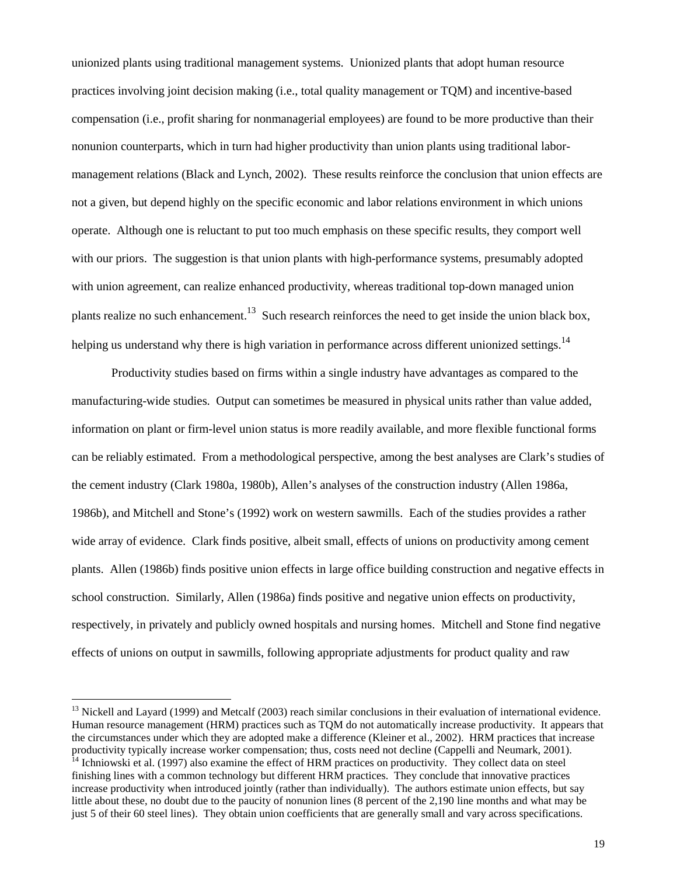unionized plants using traditional management systems. Unionized plants that adopt human resource practices involving joint decision making (i.e., total quality management or TQM) and incentive-based compensation (i.e., profit sharing for nonmanagerial employees) are found to be more productive than their nonunion counterparts, which in turn had higher productivity than union plants using traditional labormanagement relations (Black and Lynch, 2002). These results reinforce the conclusion that union effects are not a given, but depend highly on the specific economic and labor relations environment in which unions operate. Although one is reluctant to put too much emphasis on these specific results, they comport well with our priors. The suggestion is that union plants with high-performance systems, presumably adopted with union agreement, can realize enhanced productivity, whereas traditional top-down managed union plants realize no such enhancement.<sup>13</sup> Such research reinforces the need to get inside the union black box, helping us understand why there is high variation in performance across different unionized settings.<sup>14</sup>

Productivity studies based on firms within a single industry have advantages as compared to the manufacturing-wide studies. Output can sometimes be measured in physical units rather than value added, information on plant or firm-level union status is more readily available, and more flexible functional forms can be reliably estimated. From a methodological perspective, among the best analyses are Clark's studies of the cement industry (Clark 1980a, 1980b), Allen's analyses of the construction industry (Allen 1986a, 1986b), and Mitchell and Stone's (1992) work on western sawmills. Each of the studies provides a rather wide array of evidence. Clark finds positive, albeit small, effects of unions on productivity among cement plants. Allen (1986b) finds positive union effects in large office building construction and negative effects in school construction. Similarly, Allen (1986a) finds positive and negative union effects on productivity, respectively, in privately and publicly owned hospitals and nursing homes. Mitchell and Stone find negative effects of unions on output in sawmills, following appropriate adjustments for product quality and raw

 $13$  Nickell and Layard (1999) and Metcalf (2003) reach similar conclusions in their evaluation of international evidence. Human resource management (HRM) practices such as TQM do not automatically increase productivity. It appears that the circumstances under which they are adopted make a difference (Kleiner et al., 2002). HRM practices that increase productivity typically increase worker compensation; thus, costs need not decline (Cappelli and Neumark, 2001).

<sup>&</sup>lt;sup>14</sup> Ichniowski et al. (1997) also examine the effect of HRM practices on productivity. They collect data on steel finishing lines with a common technology but different HRM practices. They conclude that innovative practices increase productivity when introduced jointly (rather than individually). The authors estimate union effects, but say little about these, no doubt due to the paucity of nonunion lines (8 percent of the 2,190 line months and what may be just 5 of their 60 steel lines). They obtain union coefficients that are generally small and vary across specifications.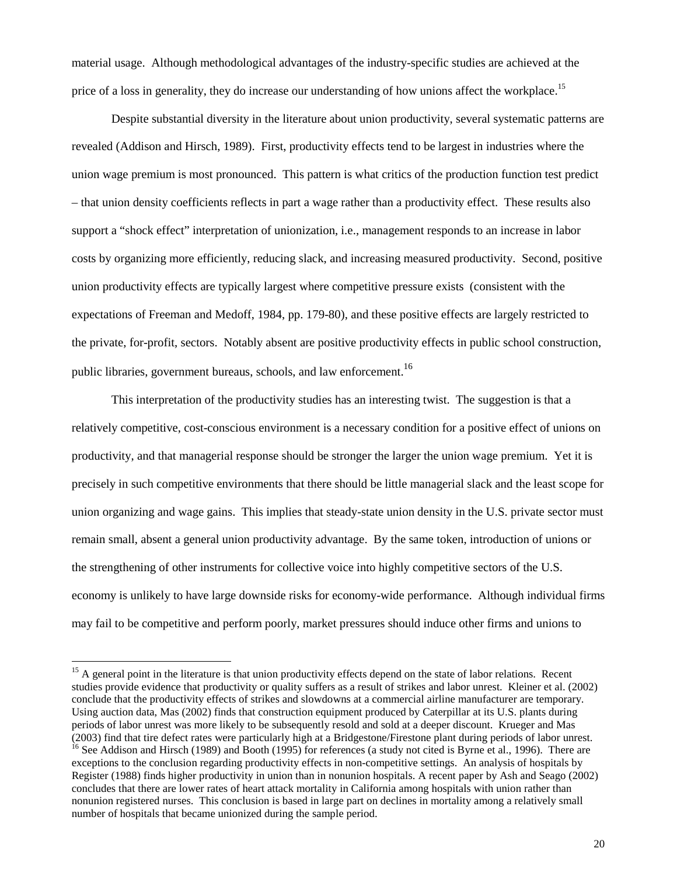material usage. Although methodological advantages of the industry-specific studies are achieved at the price of a loss in generality, they do increase our understanding of how unions affect the workplace.<sup>15</sup>

Despite substantial diversity in the literature about union productivity, several systematic patterns are revealed (Addison and Hirsch, 1989). First, productivity effects tend to be largest in industries where the union wage premium is most pronounced. This pattern is what critics of the production function test predict – that union density coefficients reflects in part a wage rather than a productivity effect. These results also support a "shock effect" interpretation of unionization, i.e., management responds to an increase in labor costs by organizing more efficiently, reducing slack, and increasing measured productivity. Second, positive union productivity effects are typically largest where competitive pressure exists (consistent with the expectations of Freeman and Medoff, 1984, pp. 179-80), and these positive effects are largely restricted to the private, for-profit, sectors. Notably absent are positive productivity effects in public school construction, public libraries, government bureaus, schools, and law enforcement.<sup>16</sup>

This interpretation of the productivity studies has an interesting twist. The suggestion is that a relatively competitive, cost-conscious environment is a necessary condition for a positive effect of unions on productivity, and that managerial response should be stronger the larger the union wage premium. Yet it is precisely in such competitive environments that there should be little managerial slack and the least scope for union organizing and wage gains. This implies that steady-state union density in the U.S. private sector must remain small, absent a general union productivity advantage. By the same token, introduction of unions or the strengthening of other instruments for collective voice into highly competitive sectors of the U.S. economy is unlikely to have large downside risks for economy-wide performance. Although individual firms may fail to be competitive and perform poorly, market pressures should induce other firms and unions to

 $15$  A general point in the literature is that union productivity effects depend on the state of labor relations. Recent studies provide evidence that productivity or quality suffers as a result of strikes and labor unrest. Kleiner et al. (2002) conclude that the productivity effects of strikes and slowdowns at a commercial airline manufacturer are temporary. Using auction data, Mas (2002) finds that construction equipment produced by Caterpillar at its U.S. plants during periods of labor unrest was more likely to be subsequently resold and sold at a deeper discount. Krueger and Mas (2003) find that tire defect rates were particularly high at a Bridgestone/Firestone plant during periods of labor unrest. <sup>16</sup> See Addison and Hirsch (1989) and Booth (1995) for references (a study not cited is Byrne et al., 1996). There are exceptions to the conclusion regarding productivity effects in non-competitive settings. An analysis of hospitals by Register (1988) finds higher productivity in union than in nonunion hospitals. A recent paper by Ash and Seago (2002) concludes that there are lower rates of heart attack mortality in California among hospitals with union rather than nonunion registered nurses. This conclusion is based in large part on declines in mortality among a relatively small number of hospitals that became unionized during the sample period.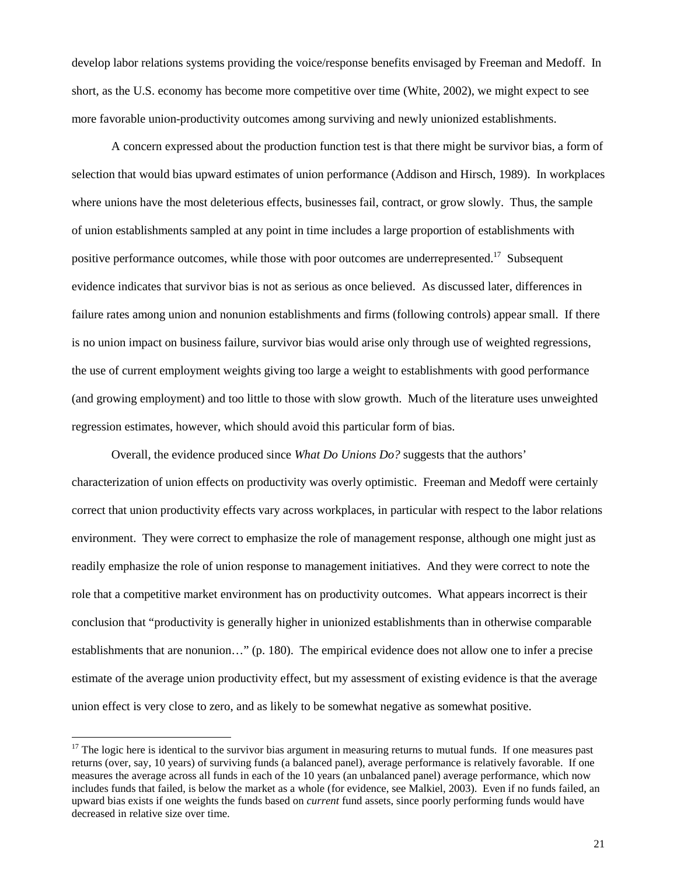develop labor relations systems providing the voice/response benefits envisaged by Freeman and Medoff. In short, as the U.S. economy has become more competitive over time (White, 2002), we might expect to see more favorable union-productivity outcomes among surviving and newly unionized establishments.

A concern expressed about the production function test is that there might be survivor bias, a form of selection that would bias upward estimates of union performance (Addison and Hirsch, 1989). In workplaces where unions have the most deleterious effects, businesses fail, contract, or grow slowly. Thus, the sample of union establishments sampled at any point in time includes a large proportion of establishments with positive performance outcomes, while those with poor outcomes are underrepresented.<sup>17</sup> Subsequent evidence indicates that survivor bias is not as serious as once believed. As discussed later, differences in failure rates among union and nonunion establishments and firms (following controls) appear small. If there is no union impact on business failure, survivor bias would arise only through use of weighted regressions, the use of current employment weights giving too large a weight to establishments with good performance (and growing employment) and too little to those with slow growth. Much of the literature uses unweighted regression estimates, however, which should avoid this particular form of bias.

Overall, the evidence produced since *What Do Unions Do?* suggests that the authors' characterization of union effects on productivity was overly optimistic. Freeman and Medoff were certainly correct that union productivity effects vary across workplaces, in particular with respect to the labor relations environment. They were correct to emphasize the role of management response, although one might just as readily emphasize the role of union response to management initiatives. And they were correct to note the role that a competitive market environment has on productivity outcomes. What appears incorrect is their conclusion that "productivity is generally higher in unionized establishments than in otherwise comparable establishments that are nonunion…" (p. 180). The empirical evidence does not allow one to infer a precise estimate of the average union productivity effect, but my assessment of existing evidence is that the average union effect is very close to zero, and as likely to be somewhat negative as somewhat positive.

 $17$  The logic here is identical to the survivor bias argument in measuring returns to mutual funds. If one measures past returns (over, say, 10 years) of surviving funds (a balanced panel), average performance is relatively favorable. If one measures the average across all funds in each of the 10 years (an unbalanced panel) average performance, which now includes funds that failed, is below the market as a whole (for evidence, see Malkiel, 2003). Even if no funds failed, an upward bias exists if one weights the funds based on *current* fund assets, since poorly performing funds would have decreased in relative size over time.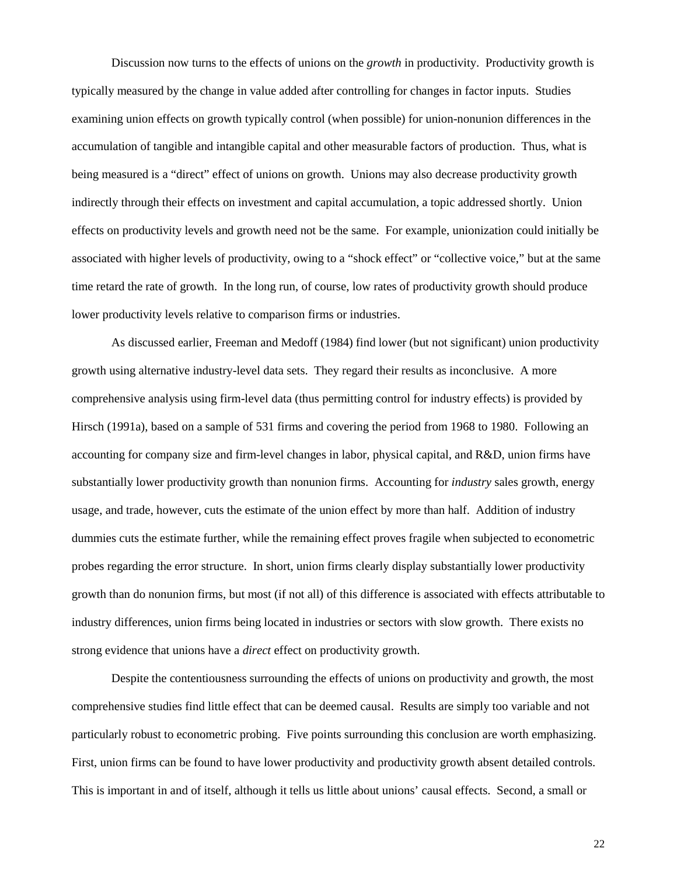Discussion now turns to the effects of unions on the *growth* in productivity. Productivity growth is typically measured by the change in value added after controlling for changes in factor inputs. Studies examining union effects on growth typically control (when possible) for union-nonunion differences in the accumulation of tangible and intangible capital and other measurable factors of production. Thus, what is being measured is a "direct" effect of unions on growth. Unions may also decrease productivity growth indirectly through their effects on investment and capital accumulation, a topic addressed shortly. Union effects on productivity levels and growth need not be the same. For example, unionization could initially be associated with higher levels of productivity, owing to a "shock effect" or "collective voice," but at the same time retard the rate of growth. In the long run, of course, low rates of productivity growth should produce lower productivity levels relative to comparison firms or industries.

As discussed earlier, Freeman and Medoff (1984) find lower (but not significant) union productivity growth using alternative industry-level data sets. They regard their results as inconclusive. A more comprehensive analysis using firm-level data (thus permitting control for industry effects) is provided by Hirsch (1991a), based on a sample of 531 firms and covering the period from 1968 to 1980. Following an accounting for company size and firm-level changes in labor, physical capital, and R&D, union firms have substantially lower productivity growth than nonunion firms. Accounting for *industry* sales growth, energy usage, and trade, however, cuts the estimate of the union effect by more than half. Addition of industry dummies cuts the estimate further, while the remaining effect proves fragile when subjected to econometric probes regarding the error structure. In short, union firms clearly display substantially lower productivity growth than do nonunion firms, but most (if not all) of this difference is associated with effects attributable to industry differences, union firms being located in industries or sectors with slow growth. There exists no strong evidence that unions have a *direct* effect on productivity growth.

Despite the contentiousness surrounding the effects of unions on productivity and growth, the most comprehensive studies find little effect that can be deemed causal. Results are simply too variable and not particularly robust to econometric probing. Five points surrounding this conclusion are worth emphasizing. First, union firms can be found to have lower productivity and productivity growth absent detailed controls. This is important in and of itself, although it tells us little about unions' causal effects. Second, a small or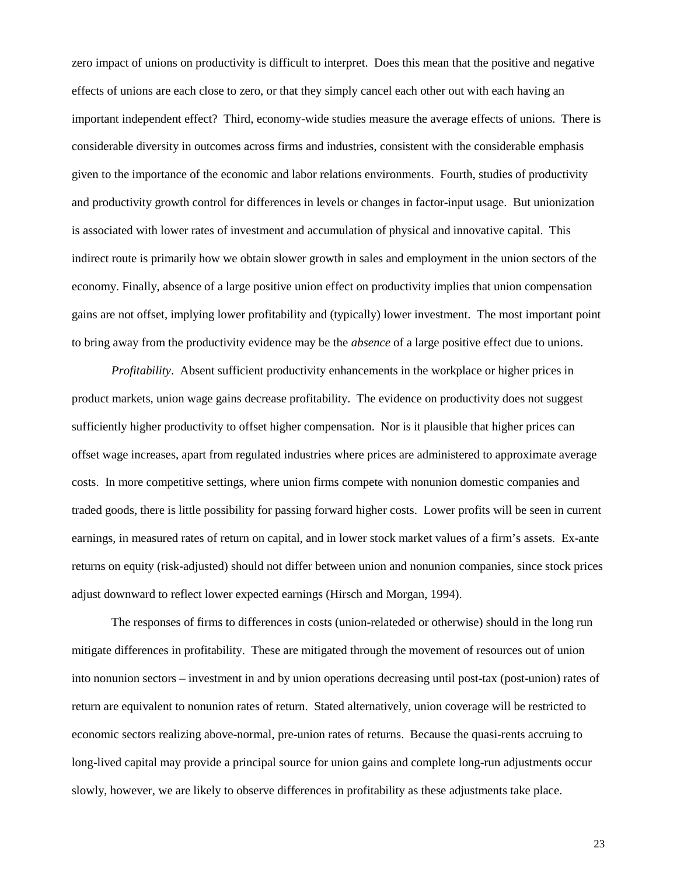zero impact of unions on productivity is difficult to interpret. Does this mean that the positive and negative effects of unions are each close to zero, or that they simply cancel each other out with each having an important independent effect? Third, economy-wide studies measure the average effects of unions. There is considerable diversity in outcomes across firms and industries, consistent with the considerable emphasis given to the importance of the economic and labor relations environments. Fourth, studies of productivity and productivity growth control for differences in levels or changes in factor-input usage. But unionization is associated with lower rates of investment and accumulation of physical and innovative capital. This indirect route is primarily how we obtain slower growth in sales and employment in the union sectors of the economy. Finally, absence of a large positive union effect on productivity implies that union compensation gains are not offset, implying lower profitability and (typically) lower investment. The most important point to bring away from the productivity evidence may be the *absence* of a large positive effect due to unions.

*Profitability*. Absent sufficient productivity enhancements in the workplace or higher prices in product markets, union wage gains decrease profitability. The evidence on productivity does not suggest sufficiently higher productivity to offset higher compensation. Nor is it plausible that higher prices can offset wage increases, apart from regulated industries where prices are administered to approximate average costs. In more competitive settings, where union firms compete with nonunion domestic companies and traded goods, there is little possibility for passing forward higher costs. Lower profits will be seen in current earnings, in measured rates of return on capital, and in lower stock market values of a firm's assets. Ex-ante returns on equity (risk-adjusted) should not differ between union and nonunion companies, since stock prices adjust downward to reflect lower expected earnings (Hirsch and Morgan, 1994).

The responses of firms to differences in costs (union-relateded or otherwise) should in the long run mitigate differences in profitability. These are mitigated through the movement of resources out of union into nonunion sectors – investment in and by union operations decreasing until post-tax (post-union) rates of return are equivalent to nonunion rates of return. Stated alternatively, union coverage will be restricted to economic sectors realizing above-normal, pre-union rates of returns. Because the quasi-rents accruing to long-lived capital may provide a principal source for union gains and complete long-run adjustments occur slowly, however, we are likely to observe differences in profitability as these adjustments take place.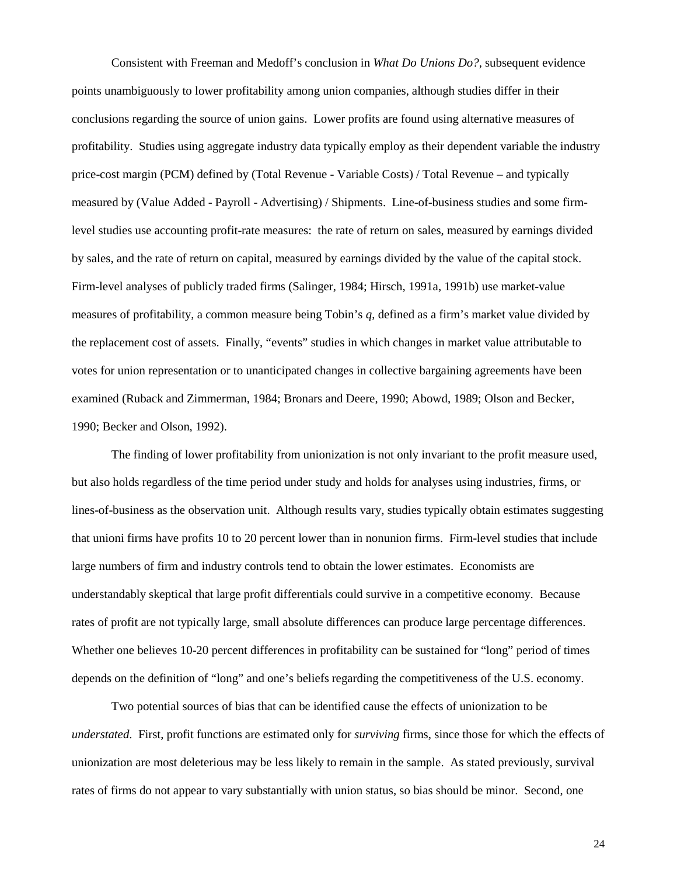Consistent with Freeman and Medoff's conclusion in *What Do Unions Do?*, subsequent evidence points unambiguously to lower profitability among union companies, although studies differ in their conclusions regarding the source of union gains. Lower profits are found using alternative measures of profitability. Studies using aggregate industry data typically employ as their dependent variable the industry price-cost margin (PCM) defined by (Total Revenue - Variable Costs) / Total Revenue – and typically measured by (Value Added - Payroll - Advertising) / Shipments. Line-of-business studies and some firmlevel studies use accounting profit-rate measures: the rate of return on sales, measured by earnings divided by sales, and the rate of return on capital, measured by earnings divided by the value of the capital stock. Firm-level analyses of publicly traded firms (Salinger, 1984; Hirsch, 1991a, 1991b) use market-value measures of profitability, a common measure being Tobin's *q*, defined as a firm's market value divided by the replacement cost of assets. Finally, "events" studies in which changes in market value attributable to votes for union representation or to unanticipated changes in collective bargaining agreements have been examined (Ruback and Zimmerman, 1984; Bronars and Deere, 1990; Abowd, 1989; Olson and Becker, 1990; Becker and Olson, 1992).

The finding of lower profitability from unionization is not only invariant to the profit measure used, but also holds regardless of the time period under study and holds for analyses using industries, firms, or lines-of-business as the observation unit. Although results vary, studies typically obtain estimates suggesting that unioni firms have profits 10 to 20 percent lower than in nonunion firms. Firm-level studies that include large numbers of firm and industry controls tend to obtain the lower estimates. Economists are understandably skeptical that large profit differentials could survive in a competitive economy. Because rates of profit are not typically large, small absolute differences can produce large percentage differences. Whether one believes 10-20 percent differences in profitability can be sustained for "long" period of times depends on the definition of "long" and one's beliefs regarding the competitiveness of the U.S. economy.

Two potential sources of bias that can be identified cause the effects of unionization to be *understated*. First, profit functions are estimated only for *surviving* firms, since those for which the effects of unionization are most deleterious may be less likely to remain in the sample. As stated previously, survival rates of firms do not appear to vary substantially with union status, so bias should be minor. Second, one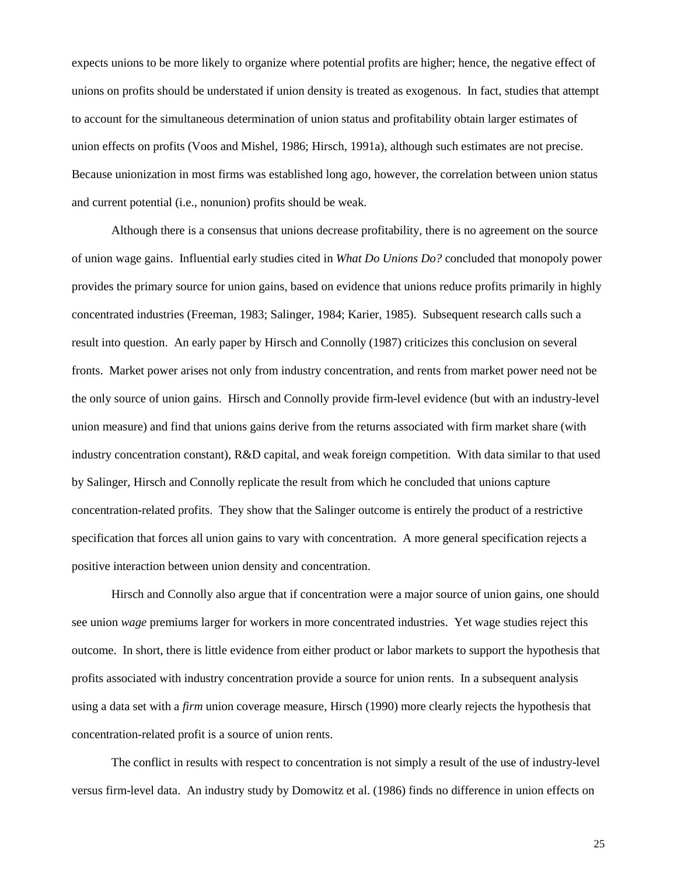expects unions to be more likely to organize where potential profits are higher; hence, the negative effect of unions on profits should be understated if union density is treated as exogenous. In fact, studies that attempt to account for the simultaneous determination of union status and profitability obtain larger estimates of union effects on profits (Voos and Mishel, 1986; Hirsch, 1991a), although such estimates are not precise. Because unionization in most firms was established long ago, however, the correlation between union status and current potential (i.e., nonunion) profits should be weak.

Although there is a consensus that unions decrease profitability, there is no agreement on the source of union wage gains. Influential early studies cited in *What Do Unions Do?* concluded that monopoly power provides the primary source for union gains, based on evidence that unions reduce profits primarily in highly concentrated industries (Freeman, 1983; Salinger, 1984; Karier, 1985). Subsequent research calls such a result into question. An early paper by Hirsch and Connolly (1987) criticizes this conclusion on several fronts. Market power arises not only from industry concentration, and rents from market power need not be the only source of union gains. Hirsch and Connolly provide firm-level evidence (but with an industry-level union measure) and find that unions gains derive from the returns associated with firm market share (with industry concentration constant), R&D capital, and weak foreign competition. With data similar to that used by Salinger, Hirsch and Connolly replicate the result from which he concluded that unions capture concentration-related profits. They show that the Salinger outcome is entirely the product of a restrictive specification that forces all union gains to vary with concentration. A more general specification rejects a positive interaction between union density and concentration.

Hirsch and Connolly also argue that if concentration were a major source of union gains, one should see union *wage* premiums larger for workers in more concentrated industries. Yet wage studies reject this outcome. In short, there is little evidence from either product or labor markets to support the hypothesis that profits associated with industry concentration provide a source for union rents. In a subsequent analysis using a data set with a *firm* union coverage measure, Hirsch (1990) more clearly rejects the hypothesis that concentration-related profit is a source of union rents.

The conflict in results with respect to concentration is not simply a result of the use of industry-level versus firm-level data. An industry study by Domowitz et al. (1986) finds no difference in union effects on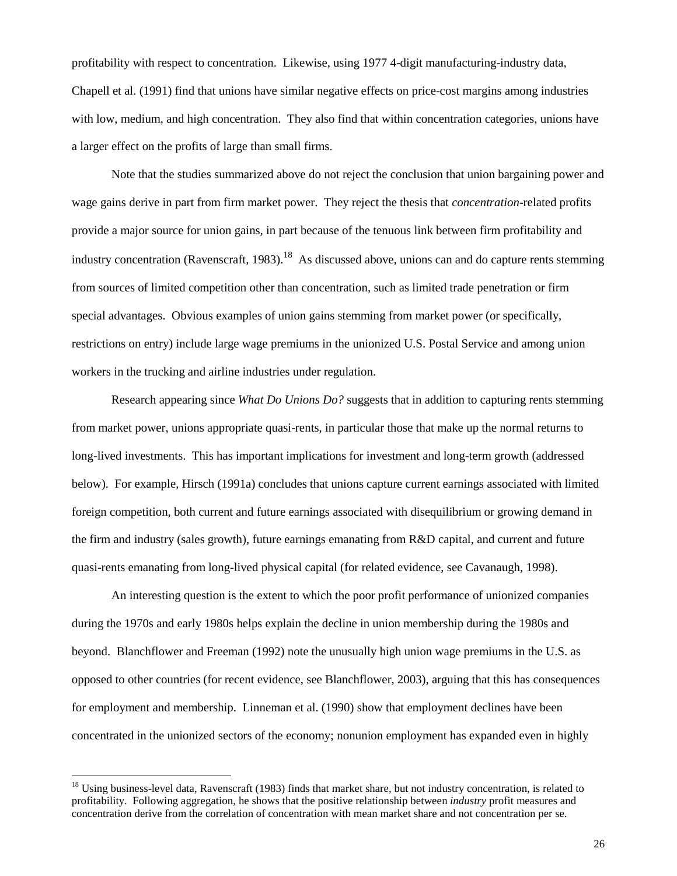profitability with respect to concentration. Likewise, using 1977 4-digit manufacturing-industry data, Chapell et al. (1991) find that unions have similar negative effects on price-cost margins among industries with low, medium, and high concentration. They also find that within concentration categories, unions have a larger effect on the profits of large than small firms.

Note that the studies summarized above do not reject the conclusion that union bargaining power and wage gains derive in part from firm market power. They reject the thesis that *concentration*-related profits provide a major source for union gains, in part because of the tenuous link between firm profitability and industry concentration (Ravenscraft, 1983).<sup>18</sup> As discussed above, unions can and do capture rents stemming from sources of limited competition other than concentration, such as limited trade penetration or firm special advantages. Obvious examples of union gains stemming from market power (or specifically, restrictions on entry) include large wage premiums in the unionized U.S. Postal Service and among union workers in the trucking and airline industries under regulation.

Research appearing since *What Do Unions Do?* suggests that in addition to capturing rents stemming from market power, unions appropriate quasi-rents, in particular those that make up the normal returns to long-lived investments. This has important implications for investment and long-term growth (addressed below). For example, Hirsch (1991a) concludes that unions capture current earnings associated with limited foreign competition, both current and future earnings associated with disequilibrium or growing demand in the firm and industry (sales growth), future earnings emanating from R&D capital, and current and future quasi-rents emanating from long-lived physical capital (for related evidence, see Cavanaugh, 1998).

An interesting question is the extent to which the poor profit performance of unionized companies during the 1970s and early 1980s helps explain the decline in union membership during the 1980s and beyond. Blanchflower and Freeman (1992) note the unusually high union wage premiums in the U.S. as opposed to other countries (for recent evidence, see Blanchflower, 2003), arguing that this has consequences for employment and membership. Linneman et al. (1990) show that employment declines have been concentrated in the unionized sectors of the economy; nonunion employment has expanded even in highly

 $18$  Using business-level data, Ravenscraft (1983) finds that market share, but not industry concentration, is related to profitability. Following aggregation, he shows that the positive relationship between *industry* profit measures and concentration derive from the correlation of concentration with mean market share and not concentration per se.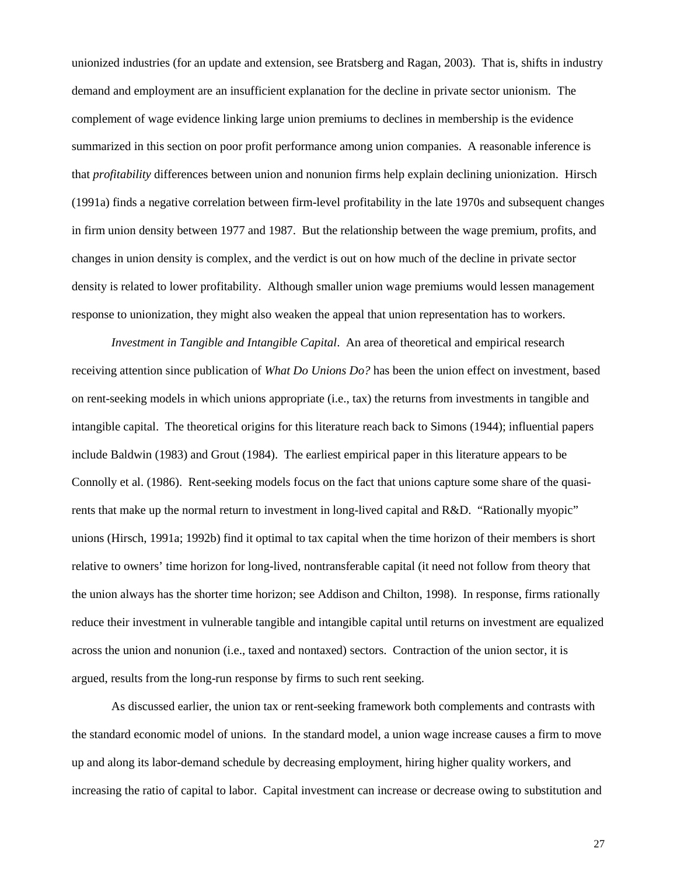unionized industries (for an update and extension, see Bratsberg and Ragan, 2003). That is, shifts in industry demand and employment are an insufficient explanation for the decline in private sector unionism. The complement of wage evidence linking large union premiums to declines in membership is the evidence summarized in this section on poor profit performance among union companies. A reasonable inference is that *profitability* differences between union and nonunion firms help explain declining unionization. Hirsch (1991a) finds a negative correlation between firm-level profitability in the late 1970s and subsequent changes in firm union density between 1977 and 1987. But the relationship between the wage premium, profits, and changes in union density is complex, and the verdict is out on how much of the decline in private sector density is related to lower profitability. Although smaller union wage premiums would lessen management response to unionization, they might also weaken the appeal that union representation has to workers.

*Investment in Tangible and Intangible Capital*. An area of theoretical and empirical research receiving attention since publication of *What Do Unions Do?* has been the union effect on investment, based on rent-seeking models in which unions appropriate (i.e., tax) the returns from investments in tangible and intangible capital. The theoretical origins for this literature reach back to Simons (1944); influential papers include Baldwin (1983) and Grout (1984). The earliest empirical paper in this literature appears to be Connolly et al. (1986). Rent-seeking models focus on the fact that unions capture some share of the quasirents that make up the normal return to investment in long-lived capital and R&D. "Rationally myopic" unions (Hirsch, 1991a; 1992b) find it optimal to tax capital when the time horizon of their members is short relative to owners' time horizon for long-lived, nontransferable capital (it need not follow from theory that the union always has the shorter time horizon; see Addison and Chilton, 1998). In response, firms rationally reduce their investment in vulnerable tangible and intangible capital until returns on investment are equalized across the union and nonunion (i.e., taxed and nontaxed) sectors. Contraction of the union sector, it is argued, results from the long-run response by firms to such rent seeking.

As discussed earlier, the union tax or rent-seeking framework both complements and contrasts with the standard economic model of unions. In the standard model, a union wage increase causes a firm to move up and along its labor-demand schedule by decreasing employment, hiring higher quality workers, and increasing the ratio of capital to labor. Capital investment can increase or decrease owing to substitution and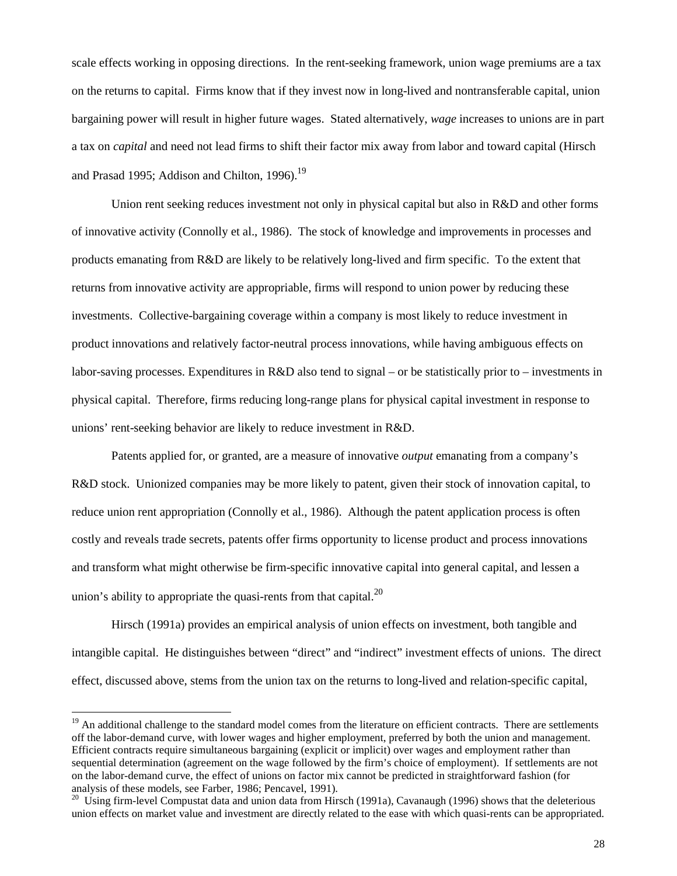scale effects working in opposing directions. In the rent-seeking framework, union wage premiums are a tax on the returns to capital. Firms know that if they invest now in long-lived and nontransferable capital, union bargaining power will result in higher future wages. Stated alternatively, *wage* increases to unions are in part a tax on *capital* and need not lead firms to shift their factor mix away from labor and toward capital (Hirsch and Prasad 1995; Addison and Chilton,  $1996$ <sup>19</sup>

Union rent seeking reduces investment not only in physical capital but also in R&D and other forms of innovative activity (Connolly et al., 1986). The stock of knowledge and improvements in processes and products emanating from R&D are likely to be relatively long-lived and firm specific. To the extent that returns from innovative activity are appropriable, firms will respond to union power by reducing these investments. Collective-bargaining coverage within a company is most likely to reduce investment in product innovations and relatively factor-neutral process innovations, while having ambiguous effects on labor-saving processes. Expenditures in R&D also tend to signal – or be statistically prior to – investments in physical capital. Therefore, firms reducing long-range plans for physical capital investment in response to unions' rent-seeking behavior are likely to reduce investment in R&D.

Patents applied for, or granted, are a measure of innovative *output* emanating from a company's R&D stock. Unionized companies may be more likely to patent, given their stock of innovation capital, to reduce union rent appropriation (Connolly et al., 1986). Although the patent application process is often costly and reveals trade secrets, patents offer firms opportunity to license product and process innovations and transform what might otherwise be firm-specific innovative capital into general capital, and lessen a union's ability to appropriate the quasi-rents from that capital. $^{20}$ 

Hirsch (1991a) provides an empirical analysis of union effects on investment, both tangible and intangible capital. He distinguishes between "direct" and "indirect" investment effects of unions. The direct effect, discussed above, stems from the union tax on the returns to long-lived and relation-specific capital,

<sup>&</sup>lt;sup>19</sup> An additional challenge to the standard model comes from the literature on efficient contracts. There are settlements off the labor-demand curve, with lower wages and higher employment, preferred by both the union and management. Efficient contracts require simultaneous bargaining (explicit or implicit) over wages and employment rather than sequential determination (agreement on the wage followed by the firm's choice of employment). If settlements are not on the labor-demand curve, the effect of unions on factor mix cannot be predicted in straightforward fashion (for analysis of these models, see Farber, 1986; Pencavel, 1991).

 $20$  Using firm-level Compustat data and union data from Hirsch (1991a), Cavanaugh (1996) shows that the deleterious union effects on market value and investment are directly related to the ease with which quasi-rents can be appropriated.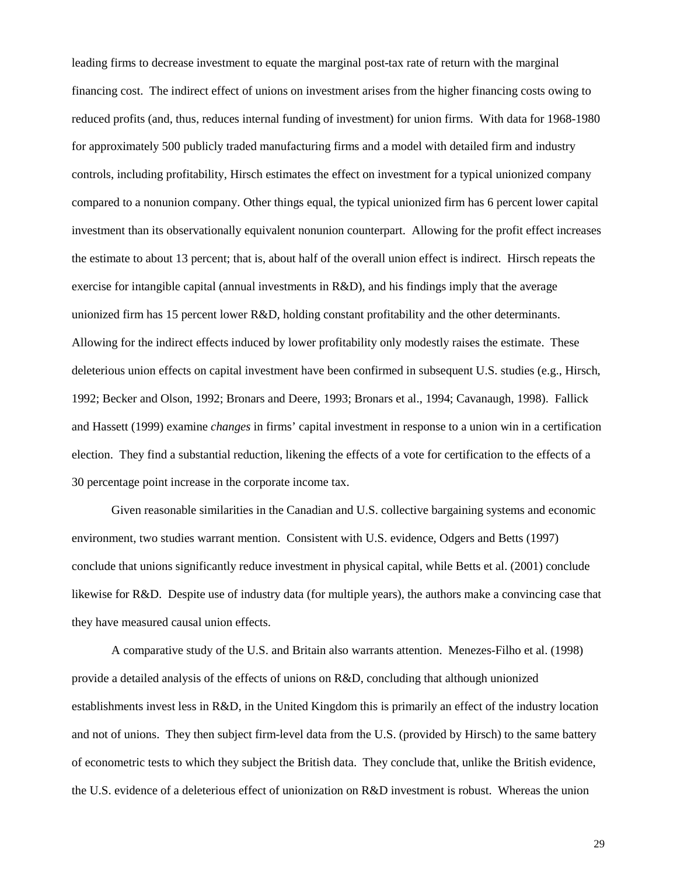leading firms to decrease investment to equate the marginal post-tax rate of return with the marginal financing cost. The indirect effect of unions on investment arises from the higher financing costs owing to reduced profits (and, thus, reduces internal funding of investment) for union firms. With data for 1968-1980 for approximately 500 publicly traded manufacturing firms and a model with detailed firm and industry controls, including profitability, Hirsch estimates the effect on investment for a typical unionized company compared to a nonunion company. Other things equal, the typical unionized firm has 6 percent lower capital investment than its observationally equivalent nonunion counterpart. Allowing for the profit effect increases the estimate to about 13 percent; that is, about half of the overall union effect is indirect. Hirsch repeats the exercise for intangible capital (annual investments in  $R&D$ ), and his findings imply that the average unionized firm has 15 percent lower R&D, holding constant profitability and the other determinants. Allowing for the indirect effects induced by lower profitability only modestly raises the estimate. These deleterious union effects on capital investment have been confirmed in subsequent U.S. studies (e.g., Hirsch, 1992; Becker and Olson, 1992; Bronars and Deere, 1993; Bronars et al., 1994; Cavanaugh, 1998). Fallick and Hassett (1999) examine *changes* in firms' capital investment in response to a union win in a certification election. They find a substantial reduction, likening the effects of a vote for certification to the effects of a 30 percentage point increase in the corporate income tax.

Given reasonable similarities in the Canadian and U.S. collective bargaining systems and economic environment, two studies warrant mention. Consistent with U.S. evidence, Odgers and Betts (1997) conclude that unions significantly reduce investment in physical capital, while Betts et al. (2001) conclude likewise for R&D. Despite use of industry data (for multiple years), the authors make a convincing case that they have measured causal union effects.

A comparative study of the U.S. and Britain also warrants attention. Menezes-Filho et al. (1998) provide a detailed analysis of the effects of unions on R&D, concluding that although unionized establishments invest less in R&D, in the United Kingdom this is primarily an effect of the industry location and not of unions. They then subject firm-level data from the U.S. (provided by Hirsch) to the same battery of econometric tests to which they subject the British data. They conclude that, unlike the British evidence, the U.S. evidence of a deleterious effect of unionization on R&D investment is robust. Whereas the union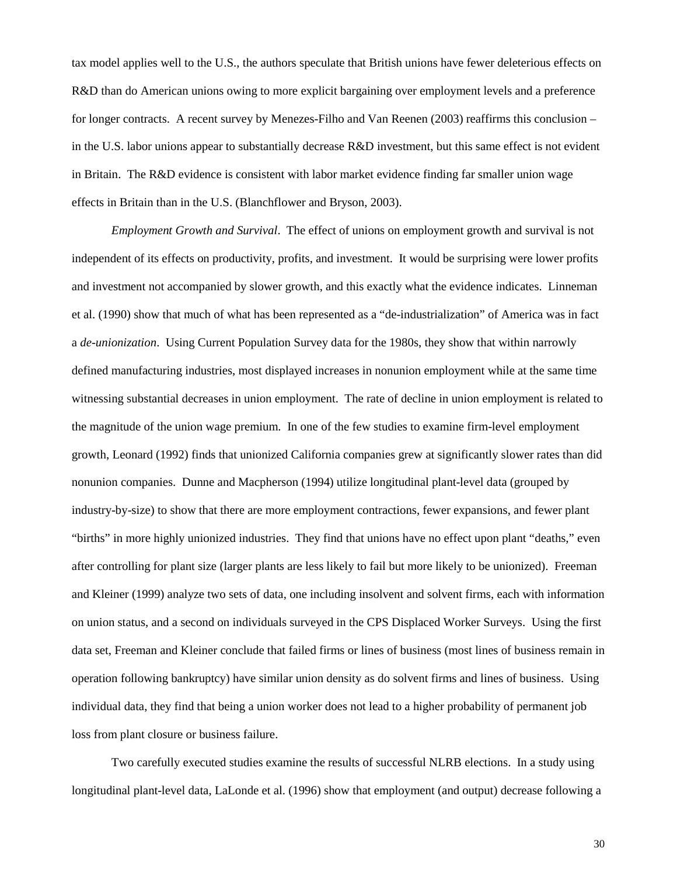tax model applies well to the U.S., the authors speculate that British unions have fewer deleterious effects on R&D than do American unions owing to more explicit bargaining over employment levels and a preference for longer contracts. A recent survey by Menezes-Filho and Van Reenen (2003) reaffirms this conclusion – in the U.S. labor unions appear to substantially decrease R&D investment, but this same effect is not evident in Britain. The R&D evidence is consistent with labor market evidence finding far smaller union wage effects in Britain than in the U.S. (Blanchflower and Bryson, 2003).

*Employment Growth and Survival*. The effect of unions on employment growth and survival is not independent of its effects on productivity, profits, and investment. It would be surprising were lower profits and investment not accompanied by slower growth, and this exactly what the evidence indicates. Linneman et al. (1990) show that much of what has been represented as a "de-industrialization" of America was in fact a *de-unionization*. Using Current Population Survey data for the 1980s, they show that within narrowly defined manufacturing industries, most displayed increases in nonunion employment while at the same time witnessing substantial decreases in union employment. The rate of decline in union employment is related to the magnitude of the union wage premium. In one of the few studies to examine firm-level employment growth, Leonard (1992) finds that unionized California companies grew at significantly slower rates than did nonunion companies. Dunne and Macpherson (1994) utilize longitudinal plant-level data (grouped by industry-by-size) to show that there are more employment contractions, fewer expansions, and fewer plant "births" in more highly unionized industries. They find that unions have no effect upon plant "deaths," even after controlling for plant size (larger plants are less likely to fail but more likely to be unionized). Freeman and Kleiner (1999) analyze two sets of data, one including insolvent and solvent firms, each with information on union status, and a second on individuals surveyed in the CPS Displaced Worker Surveys. Using the first data set, Freeman and Kleiner conclude that failed firms or lines of business (most lines of business remain in operation following bankruptcy) have similar union density as do solvent firms and lines of business. Using individual data, they find that being a union worker does not lead to a higher probability of permanent job loss from plant closure or business failure.

Two carefully executed studies examine the results of successful NLRB elections. In a study using longitudinal plant-level data, LaLonde et al. (1996) show that employment (and output) decrease following a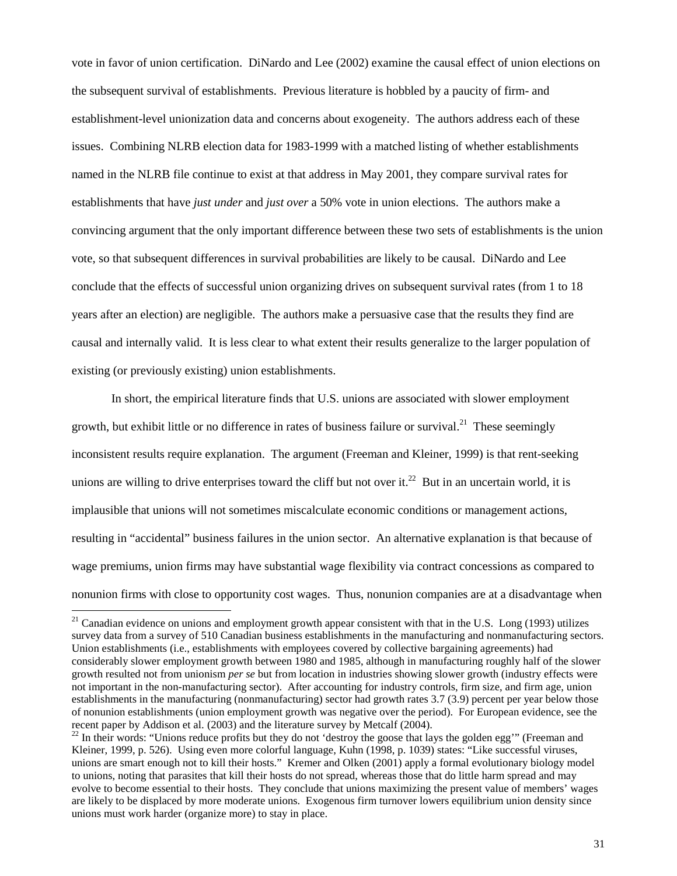vote in favor of union certification. DiNardo and Lee (2002) examine the causal effect of union elections on the subsequent survival of establishments. Previous literature is hobbled by a paucity of firm- and establishment-level unionization data and concerns about exogeneity. The authors address each of these issues. Combining NLRB election data for 1983-1999 with a matched listing of whether establishments named in the NLRB file continue to exist at that address in May 2001, they compare survival rates for establishments that have *just under* and *just over* a 50% vote in union elections. The authors make a convincing argument that the only important difference between these two sets of establishments is the union vote, so that subsequent differences in survival probabilities are likely to be causal. DiNardo and Lee conclude that the effects of successful union organizing drives on subsequent survival rates (from 1 to 18 years after an election) are negligible. The authors make a persuasive case that the results they find are causal and internally valid. It is less clear to what extent their results generalize to the larger population of existing (or previously existing) union establishments.

In short, the empirical literature finds that U.S. unions are associated with slower employment growth, but exhibit little or no difference in rates of business failure or survival.<sup>21</sup> These seemingly inconsistent results require explanation. The argument (Freeman and Kleiner, 1999) is that rent-seeking unions are willing to drive enterprises toward the cliff but not over it.<sup>22</sup> But in an uncertain world, it is implausible that unions will not sometimes miscalculate economic conditions or management actions, resulting in "accidental" business failures in the union sector. An alternative explanation is that because of wage premiums, union firms may have substantial wage flexibility via contract concessions as compared to nonunion firms with close to opportunity cost wages. Thus, nonunion companies are at a disadvantage when

 $21$  Canadian evidence on unions and employment growth appear consistent with that in the U.S. Long (1993) utilizes survey data from a survey of 510 Canadian business establishments in the manufacturing and nonmanufacturing sectors. Union establishments (i.e., establishments with employees covered by collective bargaining agreements) had considerably slower employment growth between 1980 and 1985, although in manufacturing roughly half of the slower growth resulted not from unionism *per se* but from location in industries showing slower growth (industry effects were not important in the non-manufacturing sector). After accounting for industry controls, firm size, and firm age, union establishments in the manufacturing (nonmanufacturing) sector had growth rates 3.7 (3.9) percent per year below those of nonunion establishments (union employment growth was negative over the period). For European evidence, see the recent paper by Addison et al. (2003) and the literature survey by Metcalf (2004).<br><sup>22</sup> In their words: "Unions reduce profits but they do not 'destroy the goose that lays the golden egg'" (Freeman and

Kleiner, 1999, p. 526). Using even more colorful language, Kuhn (1998, p. 1039) states: "Like successful viruses, unions are smart enough not to kill their hosts." Kremer and Olken (2001) apply a formal evolutionary biology model to unions, noting that parasites that kill their hosts do not spread, whereas those that do little harm spread and may evolve to become essential to their hosts. They conclude that unions maximizing the present value of members' wages are likely to be displaced by more moderate unions. Exogenous firm turnover lowers equilibrium union density since unions must work harder (organize more) to stay in place.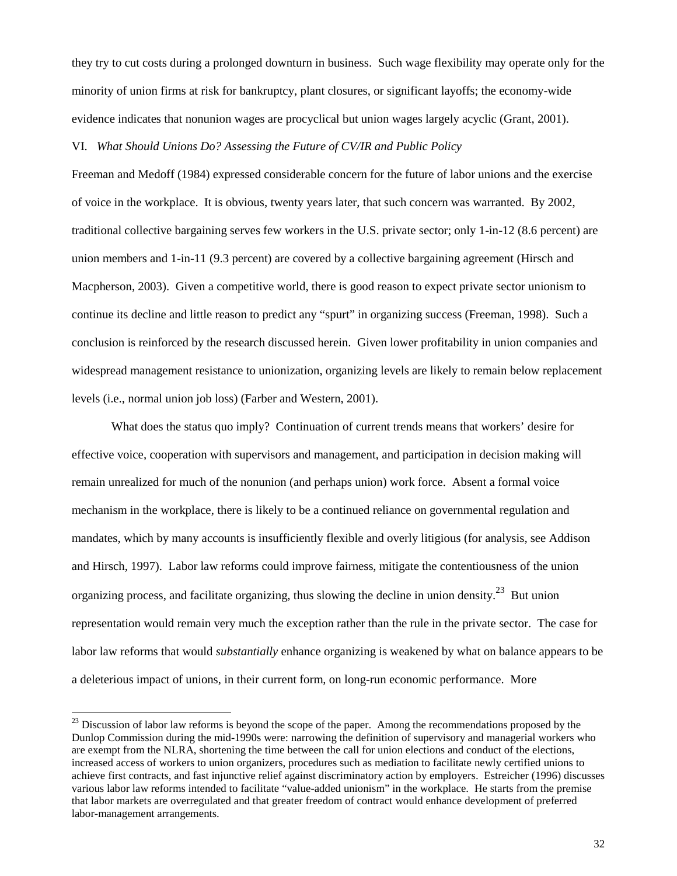they try to cut costs during a prolonged downturn in business. Such wage flexibility may operate only for the minority of union firms at risk for bankruptcy, plant closures, or significant layoffs; the economy-wide evidence indicates that nonunion wages are procyclical but union wages largely acyclic (Grant, 2001).

#### VI. *What Should Unions Do? Assessing the Future of CV/IR and Public Policy*

Freeman and Medoff (1984) expressed considerable concern for the future of labor unions and the exercise of voice in the workplace. It is obvious, twenty years later, that such concern was warranted. By 2002, traditional collective bargaining serves few workers in the U.S. private sector; only 1-in-12 (8.6 percent) are union members and 1-in-11 (9.3 percent) are covered by a collective bargaining agreement (Hirsch and Macpherson, 2003). Given a competitive world, there is good reason to expect private sector unionism to continue its decline and little reason to predict any "spurt" in organizing success (Freeman, 1998). Such a conclusion is reinforced by the research discussed herein. Given lower profitability in union companies and widespread management resistance to unionization, organizing levels are likely to remain below replacement levels (i.e., normal union job loss) (Farber and Western, 2001).

What does the status quo imply? Continuation of current trends means that workers' desire for effective voice, cooperation with supervisors and management, and participation in decision making will remain unrealized for much of the nonunion (and perhaps union) work force. Absent a formal voice mechanism in the workplace, there is likely to be a continued reliance on governmental regulation and mandates, which by many accounts is insufficiently flexible and overly litigious (for analysis, see Addison and Hirsch, 1997). Labor law reforms could improve fairness, mitigate the contentiousness of the union organizing process, and facilitate organizing, thus slowing the decline in union density.<sup>23</sup> But union representation would remain very much the exception rather than the rule in the private sector. The case for labor law reforms that would *substantially* enhance organizing is weakened by what on balance appears to be a deleterious impact of unions, in their current form, on long-run economic performance. More

<sup>&</sup>lt;sup>23</sup> Discussion of labor law reforms is beyond the scope of the paper. Among the recommendations proposed by the Dunlop Commission during the mid-1990s were: narrowing the definition of supervisory and managerial workers who are exempt from the NLRA, shortening the time between the call for union elections and conduct of the elections, increased access of workers to union organizers, procedures such as mediation to facilitate newly certified unions to achieve first contracts, and fast injunctive relief against discriminatory action by employers. Estreicher (1996) discusses various labor law reforms intended to facilitate "value-added unionism" in the workplace. He starts from the premise that labor markets are overregulated and that greater freedom of contract would enhance development of preferred labor-management arrangements.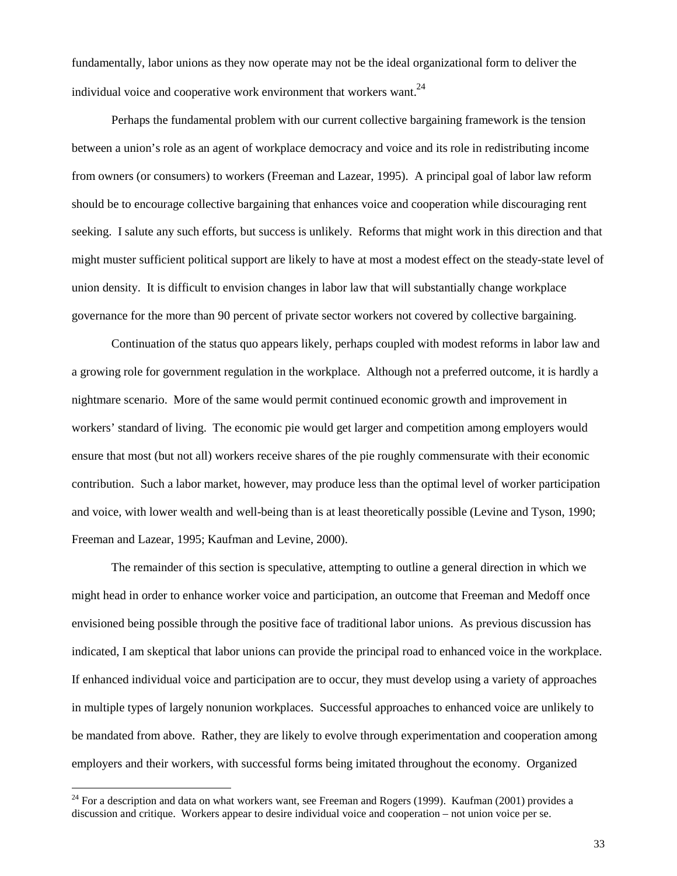fundamentally, labor unions as they now operate may not be the ideal organizational form to deliver the individual voice and cooperative work environment that workers want. $^{24}$ 

Perhaps the fundamental problem with our current collective bargaining framework is the tension between a union's role as an agent of workplace democracy and voice and its role in redistributing income from owners (or consumers) to workers (Freeman and Lazear, 1995). A principal goal of labor law reform should be to encourage collective bargaining that enhances voice and cooperation while discouraging rent seeking. I salute any such efforts, but success is unlikely. Reforms that might work in this direction and that might muster sufficient political support are likely to have at most a modest effect on the steady-state level of union density. It is difficult to envision changes in labor law that will substantially change workplace governance for the more than 90 percent of private sector workers not covered by collective bargaining.

Continuation of the status quo appears likely, perhaps coupled with modest reforms in labor law and a growing role for government regulation in the workplace. Although not a preferred outcome, it is hardly a nightmare scenario. More of the same would permit continued economic growth and improvement in workers' standard of living. The economic pie would get larger and competition among employers would ensure that most (but not all) workers receive shares of the pie roughly commensurate with their economic contribution. Such a labor market, however, may produce less than the optimal level of worker participation and voice, with lower wealth and well-being than is at least theoretically possible (Levine and Tyson, 1990; Freeman and Lazear, 1995; Kaufman and Levine, 2000).

The remainder of this section is speculative, attempting to outline a general direction in which we might head in order to enhance worker voice and participation, an outcome that Freeman and Medoff once envisioned being possible through the positive face of traditional labor unions. As previous discussion has indicated, I am skeptical that labor unions can provide the principal road to enhanced voice in the workplace. If enhanced individual voice and participation are to occur, they must develop using a variety of approaches in multiple types of largely nonunion workplaces. Successful approaches to enhanced voice are unlikely to be mandated from above. Rather, they are likely to evolve through experimentation and cooperation among employers and their workers, with successful forms being imitated throughout the economy. Organized

 $24$  For a description and data on what workers want, see Freeman and Rogers (1999). Kaufman (2001) provides a discussion and critique. Workers appear to desire individual voice and cooperation – not union voice per se.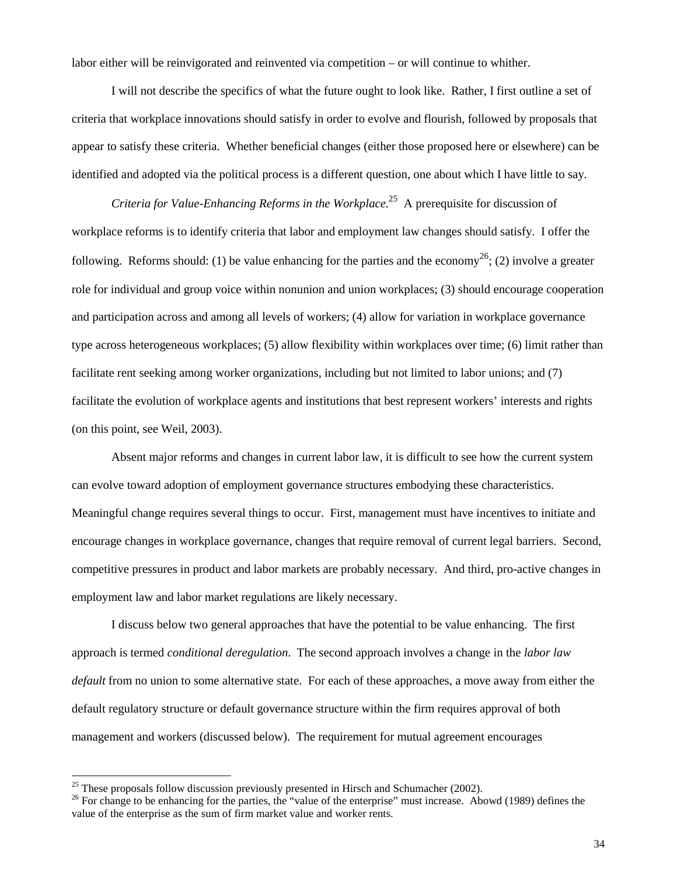labor either will be reinvigorated and reinvented via competition – or will continue to whither.

I will not describe the specifics of what the future ought to look like. Rather, I first outline a set of criteria that workplace innovations should satisfy in order to evolve and flourish, followed by proposals that appear to satisfy these criteria. Whether beneficial changes (either those proposed here or elsewhere) can be identified and adopted via the political process is a different question, one about which I have little to say.

*Criteria for Value-Enhancing Reforms in the Workplace.*<sup>25</sup>A prerequisite for discussion of workplace reforms is to identify criteria that labor and employment law changes should satisfy. I offer the following. Reforms should: (1) be value enhancing for the parties and the economy<sup>26</sup>; (2) involve a greater role for individual and group voice within nonunion and union workplaces; (3) should encourage cooperation and participation across and among all levels of workers; (4) allow for variation in workplace governance type across heterogeneous workplaces; (5) allow flexibility within workplaces over time; (6) limit rather than facilitate rent seeking among worker organizations, including but not limited to labor unions; and (7) facilitate the evolution of workplace agents and institutions that best represent workers' interests and rights (on this point, see Weil, 2003).

Absent major reforms and changes in current labor law, it is difficult to see how the current system can evolve toward adoption of employment governance structures embodying these characteristics. Meaningful change requires several things to occur. First, management must have incentives to initiate and encourage changes in workplace governance, changes that require removal of current legal barriers. Second, competitive pressures in product and labor markets are probably necessary. And third, pro-active changes in employment law and labor market regulations are likely necessary.

I discuss below two general approaches that have the potential to be value enhancing. The first approach is termed *conditional deregulation*. The second approach involves a change in the *labor law default* from no union to some alternative state. For each of these approaches, a move away from either the default regulatory structure or default governance structure within the firm requires approval of both management and workers (discussed below). The requirement for mutual agreement encourages

 $25$  These proposals follow discussion previously presented in Hirsch and Schumacher (2002).

<sup>&</sup>lt;sup>26</sup> For change to be enhancing for the parties, the "value of the enterprise" must increase. Abowd (1989) defines the value of the enterprise as the sum of firm market value and worker rents.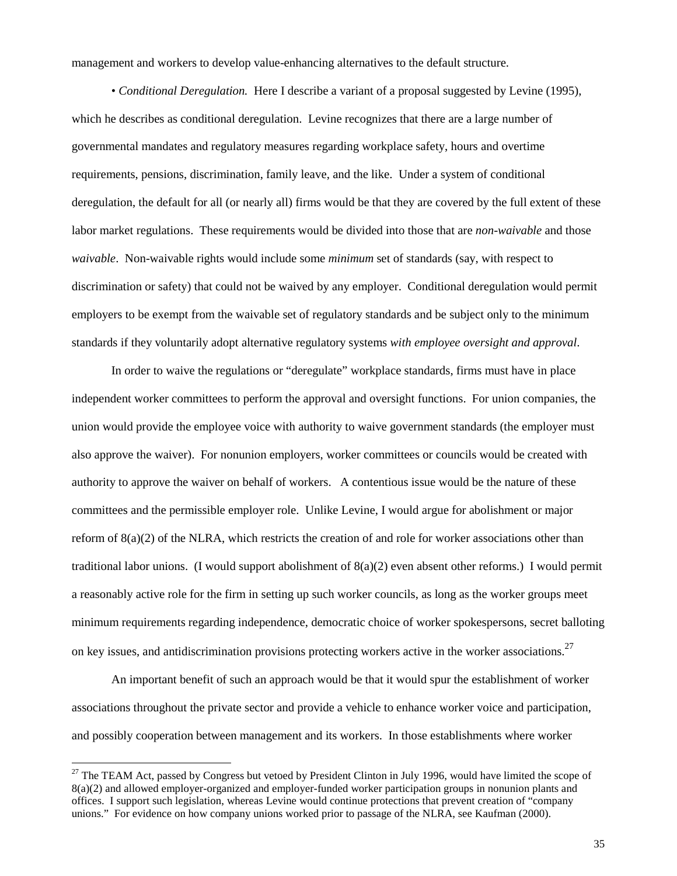management and workers to develop value-enhancing alternatives to the default structure.

• *Conditional Deregulation.* Here I describe a variant of a proposal suggested by Levine (1995), which he describes as conditional deregulation. Levine recognizes that there are a large number of governmental mandates and regulatory measures regarding workplace safety, hours and overtime requirements, pensions, discrimination, family leave, and the like. Under a system of conditional deregulation, the default for all (or nearly all) firms would be that they are covered by the full extent of these labor market regulations. These requirements would be divided into those that are *non-waivable* and those *waivable*. Non-waivable rights would include some *minimum* set of standards (say, with respect to discrimination or safety) that could not be waived by any employer. Conditional deregulation would permit employers to be exempt from the waivable set of regulatory standards and be subject only to the minimum standards if they voluntarily adopt alternative regulatory systems *with employee oversight and approval*.

In order to waive the regulations or "deregulate" workplace standards, firms must have in place independent worker committees to perform the approval and oversight functions. For union companies, the union would provide the employee voice with authority to waive government standards (the employer must also approve the waiver). For nonunion employers, worker committees or councils would be created with authority to approve the waiver on behalf of workers. A contentious issue would be the nature of these committees and the permissible employer role. Unlike Levine, I would argue for abolishment or major reform of 8(a)(2) of the NLRA, which restricts the creation of and role for worker associations other than traditional labor unions. (I would support abolishment of  $8(a)(2)$  even absent other reforms.) I would permit a reasonably active role for the firm in setting up such worker councils, as long as the worker groups meet minimum requirements regarding independence, democratic choice of worker spokespersons, secret balloting on key issues, and antidiscrimination provisions protecting workers active in the worker associations.<sup>27</sup>

An important benefit of such an approach would be that it would spur the establishment of worker associations throughout the private sector and provide a vehicle to enhance worker voice and participation, and possibly cooperation between management and its workers. In those establishments where worker

 $27$  The TEAM Act, passed by Congress but vetoed by President Clinton in July 1996, would have limited the scope of 8(a)(2) and allowed employer-organized and employer-funded worker participation groups in nonunion plants and offices. I support such legislation, whereas Levine would continue protections that prevent creation of "company unions." For evidence on how company unions worked prior to passage of the NLRA, see Kaufman (2000).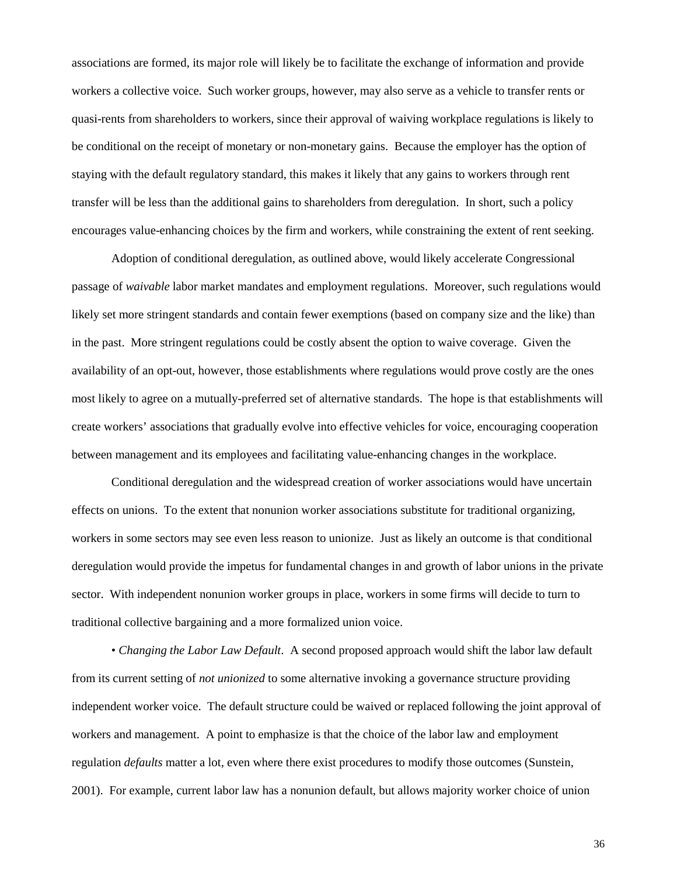associations are formed, its major role will likely be to facilitate the exchange of information and provide workers a collective voice. Such worker groups, however, may also serve as a vehicle to transfer rents or quasi-rents from shareholders to workers, since their approval of waiving workplace regulations is likely to be conditional on the receipt of monetary or non-monetary gains. Because the employer has the option of staying with the default regulatory standard, this makes it likely that any gains to workers through rent transfer will be less than the additional gains to shareholders from deregulation. In short, such a policy encourages value-enhancing choices by the firm and workers, while constraining the extent of rent seeking.

Adoption of conditional deregulation, as outlined above, would likely accelerate Congressional passage of *waivable* labor market mandates and employment regulations. Moreover, such regulations would likely set more stringent standards and contain fewer exemptions (based on company size and the like) than in the past. More stringent regulations could be costly absent the option to waive coverage. Given the availability of an opt-out, however, those establishments where regulations would prove costly are the ones most likely to agree on a mutually-preferred set of alternative standards. The hope is that establishments will create workers' associations that gradually evolve into effective vehicles for voice, encouraging cooperation between management and its employees and facilitating value-enhancing changes in the workplace.

Conditional deregulation and the widespread creation of worker associations would have uncertain effects on unions. To the extent that nonunion worker associations substitute for traditional organizing, workers in some sectors may see even less reason to unionize. Just as likely an outcome is that conditional deregulation would provide the impetus for fundamental changes in and growth of labor unions in the private sector. With independent nonunion worker groups in place, workers in some firms will decide to turn to traditional collective bargaining and a more formalized union voice.

• *Changing the Labor Law Default*. A second proposed approach would shift the labor law default from its current setting of *not unionized* to some alternative invoking a governance structure providing independent worker voice. The default structure could be waived or replaced following the joint approval of workers and management. A point to emphasize is that the choice of the labor law and employment regulation *defaults* matter a lot, even where there exist procedures to modify those outcomes (Sunstein, 2001). For example, current labor law has a nonunion default, but allows majority worker choice of union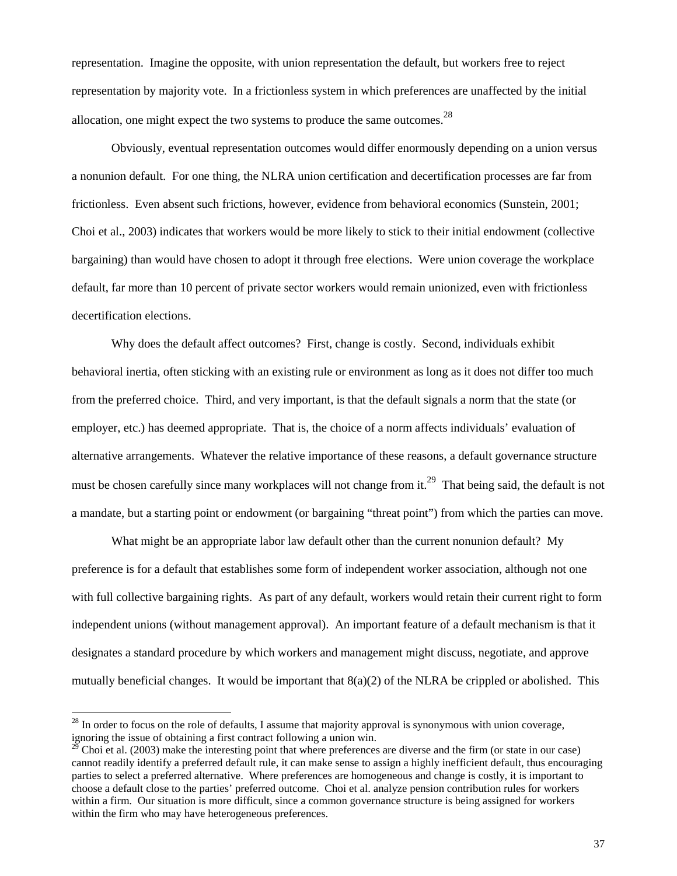representation. Imagine the opposite, with union representation the default, but workers free to reject representation by majority vote. In a frictionless system in which preferences are unaffected by the initial allocation, one might expect the two systems to produce the same outcomes.<sup>28</sup>

Obviously, eventual representation outcomes would differ enormously depending on a union versus a nonunion default. For one thing, the NLRA union certification and decertification processes are far from frictionless. Even absent such frictions, however, evidence from behavioral economics (Sunstein, 2001; Choi et al., 2003) indicates that workers would be more likely to stick to their initial endowment (collective bargaining) than would have chosen to adopt it through free elections. Were union coverage the workplace default, far more than 10 percent of private sector workers would remain unionized, even with frictionless decertification elections.

Why does the default affect outcomes? First, change is costly. Second, individuals exhibit behavioral inertia, often sticking with an existing rule or environment as long as it does not differ too much from the preferred choice. Third, and very important, is that the default signals a norm that the state (or employer, etc.) has deemed appropriate. That is, the choice of a norm affects individuals' evaluation of alternative arrangements. Whatever the relative importance of these reasons, a default governance structure must be chosen carefully since many workplaces will not change from it.<sup>29</sup> That being said, the default is not a mandate, but a starting point or endowment (or bargaining "threat point") from which the parties can move.

What might be an appropriate labor law default other than the current nonunion default? My preference is for a default that establishes some form of independent worker association, although not one with full collective bargaining rights. As part of any default, workers would retain their current right to form independent unions (without management approval). An important feature of a default mechanism is that it designates a standard procedure by which workers and management might discuss, negotiate, and approve mutually beneficial changes. It would be important that 8(a)(2) of the NLRA be crippled or abolished. This

 $2<sup>28</sup>$  In order to focus on the role of defaults, I assume that majority approval is synonymous with union coverage, ignoring the issue of obtaining a first contract following a union win.

<sup>&</sup>lt;sup>29</sup> Choi et al. (2003) make the interesting point that where preferences are diverse and the firm (or state in our case) cannot readily identify a preferred default rule, it can make sense to assign a highly inefficient default, thus encouraging parties to select a preferred alternative. Where preferences are homogeneous and change is costly, it is important to choose a default close to the parties' preferred outcome. Choi et al. analyze pension contribution rules for workers within a firm. Our situation is more difficult, since a common governance structure is being assigned for workers within the firm who may have heterogeneous preferences.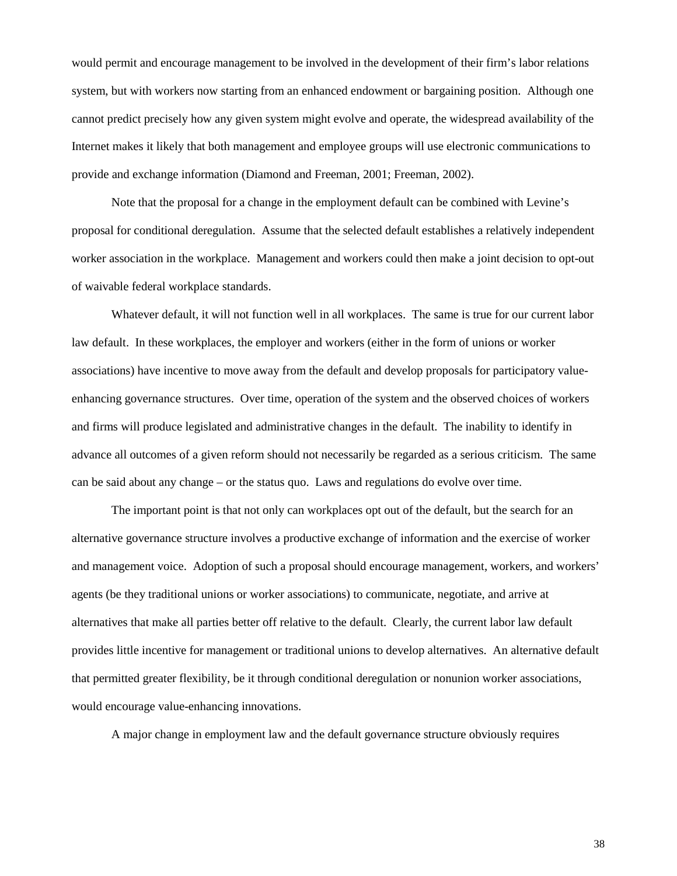would permit and encourage management to be involved in the development of their firm's labor relations system, but with workers now starting from an enhanced endowment or bargaining position. Although one cannot predict precisely how any given system might evolve and operate, the widespread availability of the Internet makes it likely that both management and employee groups will use electronic communications to provide and exchange information (Diamond and Freeman, 2001; Freeman, 2002).

Note that the proposal for a change in the employment default can be combined with Levine's proposal for conditional deregulation. Assume that the selected default establishes a relatively independent worker association in the workplace. Management and workers could then make a joint decision to opt-out of waivable federal workplace standards.

Whatever default, it will not function well in all workplaces. The same is true for our current labor law default. In these workplaces, the employer and workers (either in the form of unions or worker associations) have incentive to move away from the default and develop proposals for participatory valueenhancing governance structures. Over time, operation of the system and the observed choices of workers and firms will produce legislated and administrative changes in the default. The inability to identify in advance all outcomes of a given reform should not necessarily be regarded as a serious criticism. The same can be said about any change – or the status quo. Laws and regulations do evolve over time.

The important point is that not only can workplaces opt out of the default, but the search for an alternative governance structure involves a productive exchange of information and the exercise of worker and management voice. Adoption of such a proposal should encourage management, workers, and workers' agents (be they traditional unions or worker associations) to communicate, negotiate, and arrive at alternatives that make all parties better off relative to the default. Clearly, the current labor law default provides little incentive for management or traditional unions to develop alternatives. An alternative default that permitted greater flexibility, be it through conditional deregulation or nonunion worker associations, would encourage value-enhancing innovations.

A major change in employment law and the default governance structure obviously requires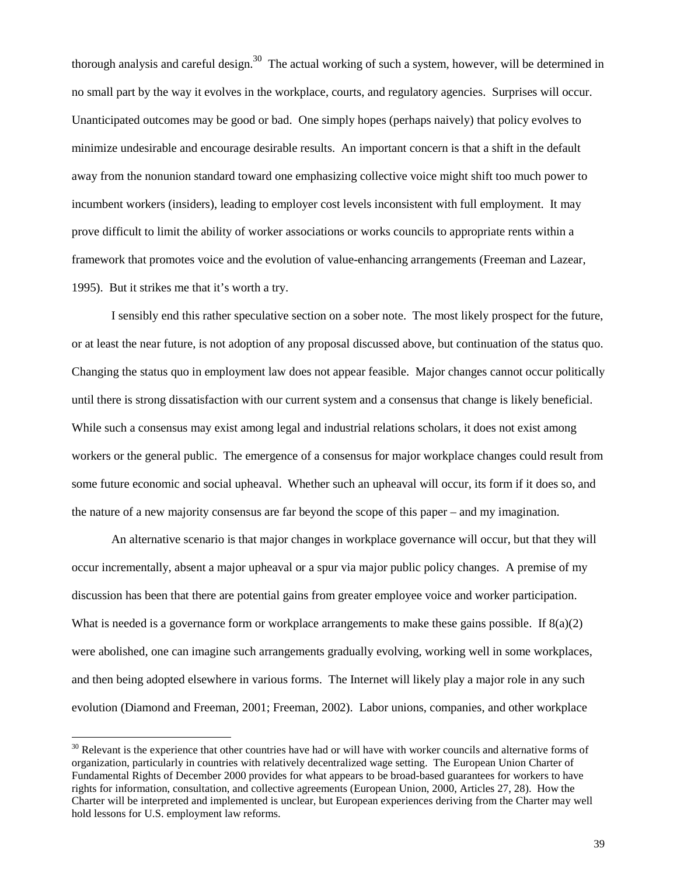thorough analysis and careful design.<sup>30</sup> The actual working of such a system, however, will be determined in no small part by the way it evolves in the workplace, courts, and regulatory agencies. Surprises will occur. Unanticipated outcomes may be good or bad. One simply hopes (perhaps naively) that policy evolves to minimize undesirable and encourage desirable results. An important concern is that a shift in the default away from the nonunion standard toward one emphasizing collective voice might shift too much power to incumbent workers (insiders), leading to employer cost levels inconsistent with full employment. It may prove difficult to limit the ability of worker associations or works councils to appropriate rents within a framework that promotes voice and the evolution of value-enhancing arrangements (Freeman and Lazear, 1995). But it strikes me that it's worth a try.

I sensibly end this rather speculative section on a sober note. The most likely prospect for the future, or at least the near future, is not adoption of any proposal discussed above, but continuation of the status quo. Changing the status quo in employment law does not appear feasible. Major changes cannot occur politically until there is strong dissatisfaction with our current system and a consensus that change is likely beneficial. While such a consensus may exist among legal and industrial relations scholars, it does not exist among workers or the general public. The emergence of a consensus for major workplace changes could result from some future economic and social upheaval. Whether such an upheaval will occur, its form if it does so, and the nature of a new majority consensus are far beyond the scope of this paper – and my imagination.

An alternative scenario is that major changes in workplace governance will occur, but that they will occur incrementally, absent a major upheaval or a spur via major public policy changes. A premise of my discussion has been that there are potential gains from greater employee voice and worker participation. What is needed is a governance form or workplace arrangements to make these gains possible. If  $8(a)(2)$ were abolished, one can imagine such arrangements gradually evolving, working well in some workplaces, and then being adopted elsewhere in various forms. The Internet will likely play a major role in any such evolution (Diamond and Freeman, 2001; Freeman, 2002). Labor unions, companies, and other workplace

 $30$  Relevant is the experience that other countries have had or will have with worker councils and alternative forms of organization, particularly in countries with relatively decentralized wage setting. The European Union Charter of Fundamental Rights of December 2000 provides for what appears to be broad-based guarantees for workers to have rights for information, consultation, and collective agreements (European Union, 2000, Articles 27, 28). How the Charter will be interpreted and implemented is unclear, but European experiences deriving from the Charter may well hold lessons for U.S. employment law reforms.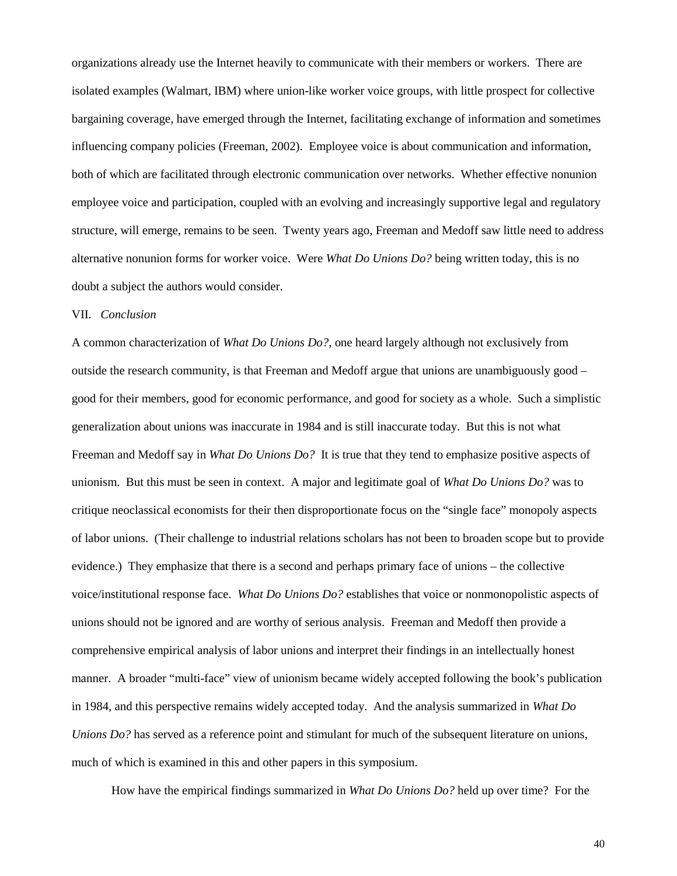organizations already use the Internet heavily to communicate with their members or workers. There are isolated examples (Walmart, IBM) where union-like worker voice groups, with little prospect for collective bargaining coverage, have emerged through the Internet, facilitating exchange of information and sometimes influencing company policies (Freeman, 2002). Employee voice is about communication and information, both of which are facilitated through electronic communication over networks. Whether effective nonunion employee voice and participation, coupled with an evolving and increasingly supportive legal and regulatory structure, will emerge, remains to be seen. Twenty years ago, Freeman and Medoff saw little need to address alternative nonunion forms for worker voice. Were *What Do Unions Do?* being written today, this is no doubt a subject the authors would consider.

#### VII. *Conclusion*

A common characterization of *What Do Unions Do?*, one heard largely although not exclusively from outside the research community, is that Freeman and Medoff argue that unions are unambiguously good – good for their members, good for economic performance, and good for society as a whole. Such a simplistic generalization about unions was inaccurate in 1984 and is still inaccurate today. But this is not what Freeman and Medoff say in *What Do Unions Do?* It is true that they tend to emphasize positive aspects of unionism. But this must be seen in context. A major and legitimate goal of *What Do Unions Do?* was to critique neoclassical economists for their then disproportionate focus on the "single face" monopoly aspects of labor unions. (Their challenge to industrial relations scholars has not been to broaden scope but to provide evidence.) They emphasize that there is a second and perhaps primary face of unions – the collective voice/institutional response face. *What Do Unions Do?* establishes that voice or nonmonopolistic aspects of unions should not be ignored and are worthy of serious analysis. Freeman and Medoff then provide a comprehensive empirical analysis of labor unions and interpret their findings in an intellectually honest manner. A broader "multi-face" view of unionism became widely accepted following the book's publication in 1984, and this perspective remains widely accepted today. And the analysis summarized in *What Do Unions Do?* has served as a reference point and stimulant for much of the subsequent literature on unions, much of which is examined in this and other papers in this symposium.

How have the empirical findings summarized in *What Do Unions Do?* held up over time? For the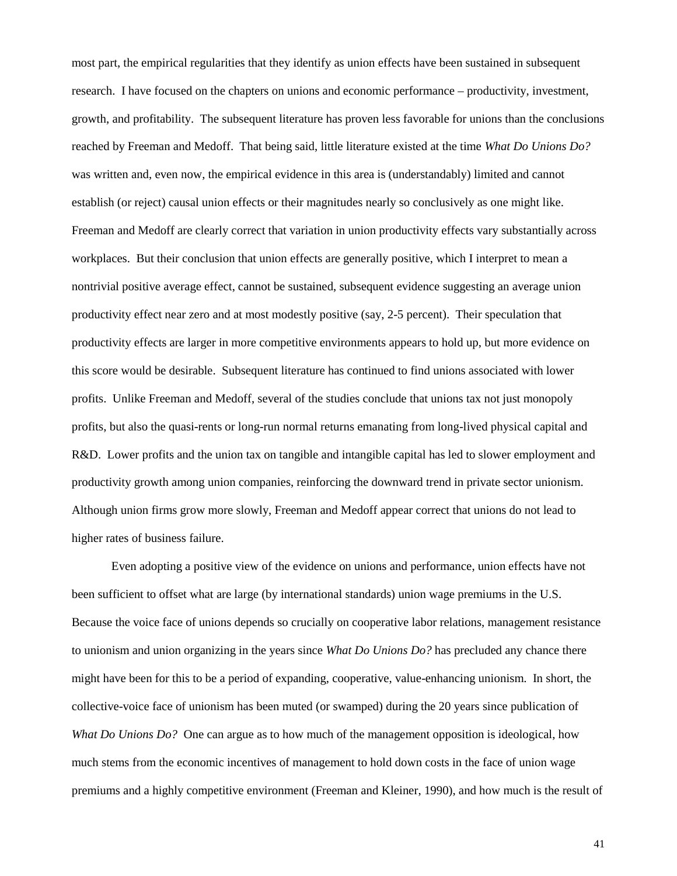most part, the empirical regularities that they identify as union effects have been sustained in subsequent research. I have focused on the chapters on unions and economic performance – productivity, investment, growth, and profitability. The subsequent literature has proven less favorable for unions than the conclusions reached by Freeman and Medoff. That being said, little literature existed at the time *What Do Unions Do?*  was written and, even now, the empirical evidence in this area is (understandably) limited and cannot establish (or reject) causal union effects or their magnitudes nearly so conclusively as one might like. Freeman and Medoff are clearly correct that variation in union productivity effects vary substantially across workplaces. But their conclusion that union effects are generally positive, which I interpret to mean a nontrivial positive average effect, cannot be sustained, subsequent evidence suggesting an average union productivity effect near zero and at most modestly positive (say, 2-5 percent). Their speculation that productivity effects are larger in more competitive environments appears to hold up, but more evidence on this score would be desirable. Subsequent literature has continued to find unions associated with lower profits. Unlike Freeman and Medoff, several of the studies conclude that unions tax not just monopoly profits, but also the quasi-rents or long-run normal returns emanating from long-lived physical capital and R&D. Lower profits and the union tax on tangible and intangible capital has led to slower employment and productivity growth among union companies, reinforcing the downward trend in private sector unionism. Although union firms grow more slowly, Freeman and Medoff appear correct that unions do not lead to higher rates of business failure.

Even adopting a positive view of the evidence on unions and performance, union effects have not been sufficient to offset what are large (by international standards) union wage premiums in the U.S. Because the voice face of unions depends so crucially on cooperative labor relations, management resistance to unionism and union organizing in the years since *What Do Unions Do?* has precluded any chance there might have been for this to be a period of expanding, cooperative, value-enhancing unionism. In short, the collective-voice face of unionism has been muted (or swamped) during the 20 years since publication of *What Do Unions Do?* One can argue as to how much of the management opposition is ideological, how much stems from the economic incentives of management to hold down costs in the face of union wage premiums and a highly competitive environment (Freeman and Kleiner, 1990), and how much is the result of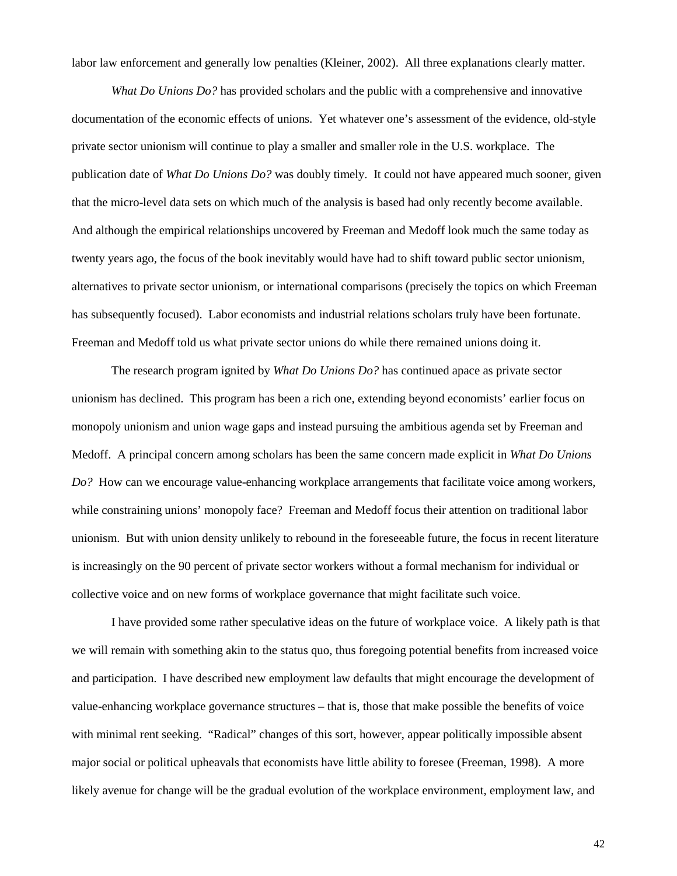labor law enforcement and generally low penalties (Kleiner, 2002). All three explanations clearly matter.

*What Do Unions Do?* has provided scholars and the public with a comprehensive and innovative documentation of the economic effects of unions. Yet whatever one's assessment of the evidence, old-style private sector unionism will continue to play a smaller and smaller role in the U.S. workplace. The publication date of *What Do Unions Do?* was doubly timely. It could not have appeared much sooner, given that the micro-level data sets on which much of the analysis is based had only recently become available. And although the empirical relationships uncovered by Freeman and Medoff look much the same today as twenty years ago, the focus of the book inevitably would have had to shift toward public sector unionism, alternatives to private sector unionism, or international comparisons (precisely the topics on which Freeman has subsequently focused). Labor economists and industrial relations scholars truly have been fortunate. Freeman and Medoff told us what private sector unions do while there remained unions doing it.

The research program ignited by *What Do Unions Do?* has continued apace as private sector unionism has declined. This program has been a rich one, extending beyond economists' earlier focus on monopoly unionism and union wage gaps and instead pursuing the ambitious agenda set by Freeman and Medoff. A principal concern among scholars has been the same concern made explicit in *What Do Unions Do?* How can we encourage value-enhancing workplace arrangements that facilitate voice among workers, while constraining unions' monopoly face? Freeman and Medoff focus their attention on traditional labor unionism. But with union density unlikely to rebound in the foreseeable future, the focus in recent literature is increasingly on the 90 percent of private sector workers without a formal mechanism for individual or collective voice and on new forms of workplace governance that might facilitate such voice.

I have provided some rather speculative ideas on the future of workplace voice. A likely path is that we will remain with something akin to the status quo, thus foregoing potential benefits from increased voice and participation. I have described new employment law defaults that might encourage the development of value-enhancing workplace governance structures – that is, those that make possible the benefits of voice with minimal rent seeking. "Radical" changes of this sort, however, appear politically impossible absent major social or political upheavals that economists have little ability to foresee (Freeman, 1998). A more likely avenue for change will be the gradual evolution of the workplace environment, employment law, and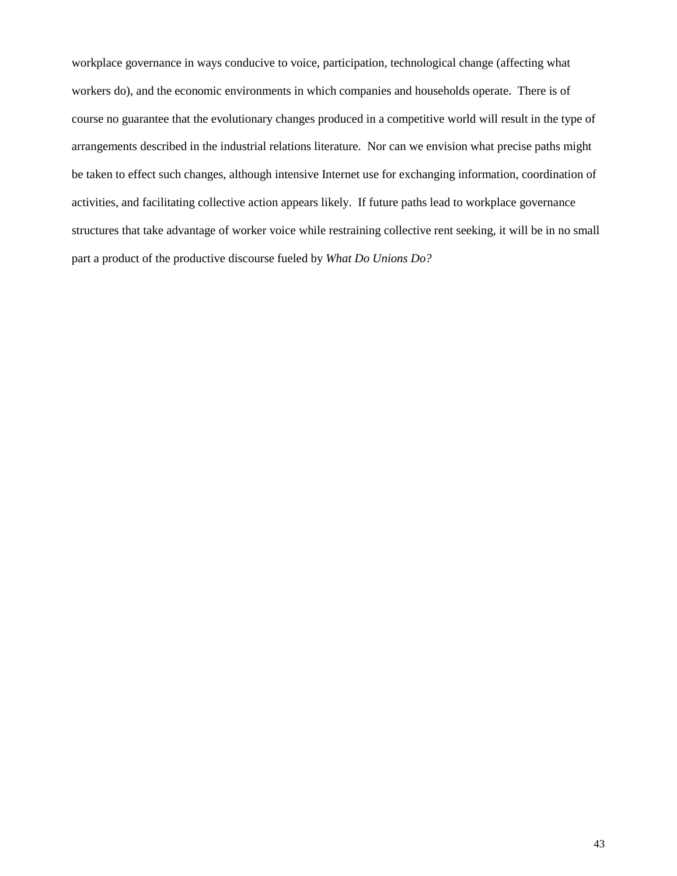workplace governance in ways conducive to voice, participation, technological change (affecting what workers do), and the economic environments in which companies and households operate. There is of course no guarantee that the evolutionary changes produced in a competitive world will result in the type of arrangements described in the industrial relations literature. Nor can we envision what precise paths might be taken to effect such changes, although intensive Internet use for exchanging information, coordination of activities, and facilitating collective action appears likely. If future paths lead to workplace governance structures that take advantage of worker voice while restraining collective rent seeking, it will be in no small part a product of the productive discourse fueled by *What Do Unions Do?*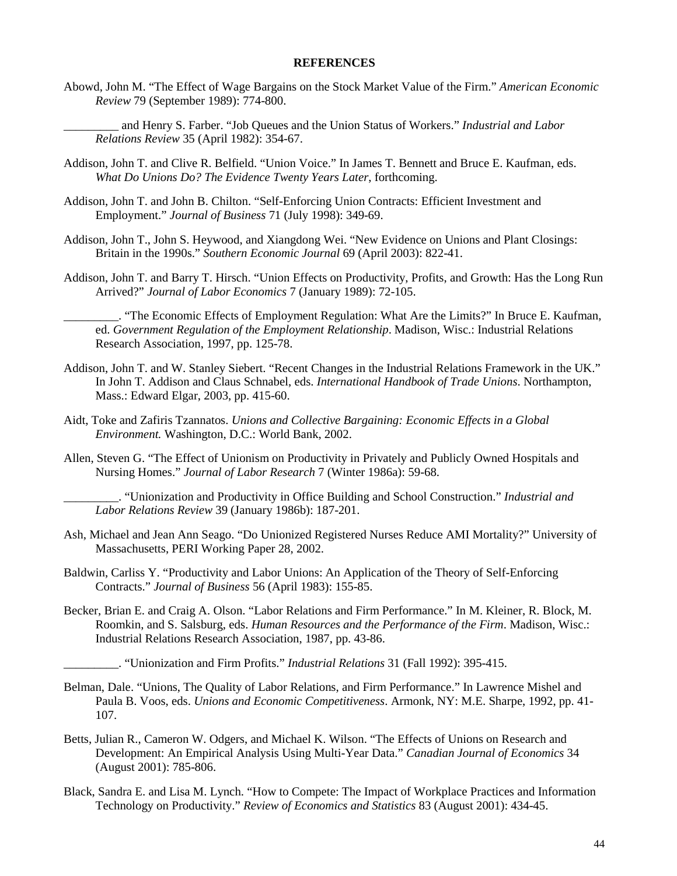#### **REFERENCES**

- Abowd, John M. "The Effect of Wage Bargains on the Stock Market Value of the Firm." *American Economic Review* 79 (September 1989): 774-800.
	- \_\_\_\_\_\_\_\_\_ and Henry S. Farber. "Job Queues and the Union Status of Workers." *Industrial and Labor Relations Review* 35 (April 1982): 354-67.
- Addison, John T. and Clive R. Belfield. "Union Voice." In James T. Bennett and Bruce E. Kaufman, eds. *What Do Unions Do? The Evidence Twenty Years Later*, forthcoming.
- Addison, John T. and John B. Chilton. "Self-Enforcing Union Contracts: Efficient Investment and Employment." *Journal of Business* 71 (July 1998): 349-69.
- Addison, John T., John S. Heywood, and Xiangdong Wei. "New Evidence on Unions and Plant Closings: Britain in the 1990s." *Southern Economic Journal* 69 (April 2003): 822-41.
- Addison, John T. and Barry T. Hirsch. "Union Effects on Productivity, Profits, and Growth: Has the Long Run Arrived?" *Journal of Labor Economics* 7 (January 1989): 72-105.

\_\_\_\_\_\_\_\_\_. "The Economic Effects of Employment Regulation: What Are the Limits?" In Bruce E. Kaufman, ed. *Government Regulation of the Employment Relationship*. Madison, Wisc.: Industrial Relations Research Association, 1997, pp. 125-78.

- Addison, John T. and W. Stanley Siebert. "Recent Changes in the Industrial Relations Framework in the UK." In John T. Addison and Claus Schnabel, eds. *International Handbook of Trade Unions*. Northampton, Mass.: Edward Elgar, 2003, pp. 415-60.
- Aidt, Toke and Zafiris Tzannatos. *Unions and Collective Bargaining: Economic Effects in a Global Environment.* Washington, D.C.: World Bank, 2002.
- Allen, Steven G. "The Effect of Unionism on Productivity in Privately and Publicly Owned Hospitals and Nursing Homes." *Journal of Labor Research* 7 (Winter 1986a): 59-68.

\_\_\_\_\_\_\_\_\_. "Unionization and Productivity in Office Building and School Construction." *Industrial and Labor Relations Review* 39 (January 1986b): 187-201.

- Ash, Michael and Jean Ann Seago. "Do Unionized Registered Nurses Reduce AMI Mortality?" University of Massachusetts, PERI Working Paper 28, 2002.
- Baldwin, Carliss Y. "Productivity and Labor Unions: An Application of the Theory of Self-Enforcing Contracts." *Journal of Business* 56 (April 1983): 155-85.
- Becker, Brian E. and Craig A. Olson. "Labor Relations and Firm Performance." In M. Kleiner, R. Block, M. Roomkin, and S. Salsburg, eds. *Human Resources and the Performance of the Firm*. Madison, Wisc.: Industrial Relations Research Association, 1987, pp. 43-86.

\_\_\_\_\_\_\_\_\_. "Unionization and Firm Profits." *Industrial Relations* 31 (Fall 1992): 395-415.

- Belman, Dale. "Unions, The Quality of Labor Relations, and Firm Performance." In Lawrence Mishel and Paula B. Voos, eds. *Unions and Economic Competitiveness*. Armonk, NY: M.E. Sharpe, 1992, pp. 41- 107.
- Betts, Julian R., Cameron W. Odgers, and Michael K. Wilson. "The Effects of Unions on Research and Development: An Empirical Analysis Using Multi-Year Data." *Canadian Journal of Economics* 34 (August 2001): 785-806.
- Black, Sandra E. and Lisa M. Lynch. "How to Compete: The Impact of Workplace Practices and Information Technology on Productivity." *Review of Economics and Statistics* 83 (August 2001): 434-45.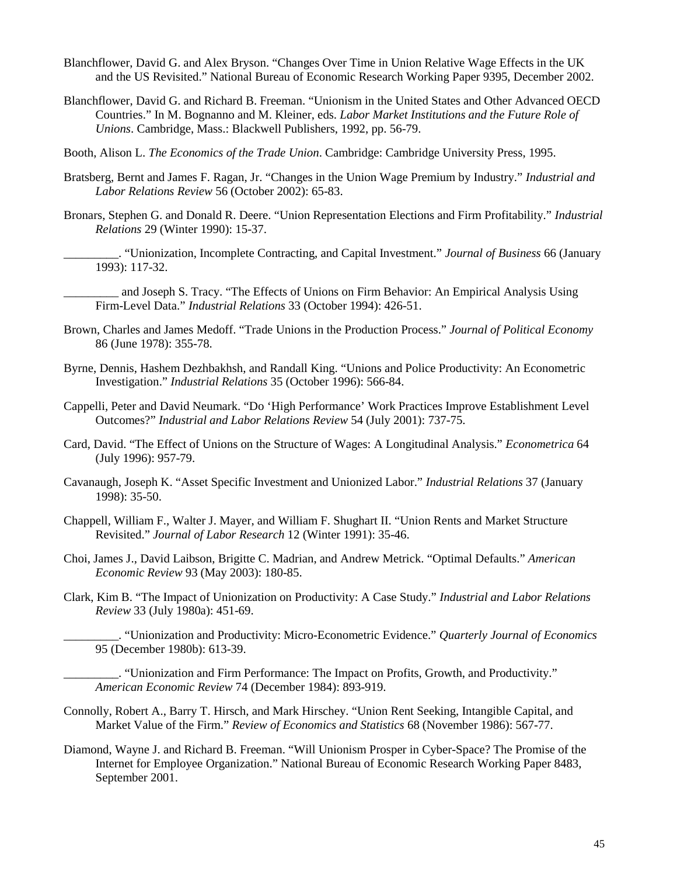- Blanchflower, David G. and Alex Bryson. "Changes Over Time in Union Relative Wage Effects in the UK and the US Revisited." National Bureau of Economic Research Working Paper 9395, December 2002.
- Blanchflower, David G. and Richard B. Freeman. "Unionism in the United States and Other Advanced OECD Countries." In M. Bognanno and M. Kleiner, eds. *Labor Market Institutions and the Future Role of Unions*. Cambridge, Mass.: Blackwell Publishers, 1992, pp. 56-79.
- Booth, Alison L. *The Economics of the Trade Union*. Cambridge: Cambridge University Press, 1995.
- Bratsberg, Bernt and James F. Ragan, Jr. "Changes in the Union Wage Premium by Industry." *Industrial and Labor Relations Review* 56 (October 2002): 65-83.
- Bronars, Stephen G. and Donald R. Deere. "Union Representation Elections and Firm Profitability." *Industrial Relations* 29 (Winter 1990): 15-37.
	- \_\_\_\_\_\_\_\_\_. "Unionization, Incomplete Contracting, and Capital Investment." *Journal of Business* 66 (January 1993): 117-32.

\_\_\_\_\_\_\_\_\_ and Joseph S. Tracy. "The Effects of Unions on Firm Behavior: An Empirical Analysis Using Firm-Level Data." *Industrial Relations* 33 (October 1994): 426-51.

- Brown, Charles and James Medoff. "Trade Unions in the Production Process." *Journal of Political Economy* 86 (June 1978): 355-78.
- Byrne, Dennis, Hashem Dezhbakhsh, and Randall King. "Unions and Police Productivity: An Econometric Investigation." *Industrial Relations* 35 (October 1996): 566-84.
- Cappelli, Peter and David Neumark. "Do 'High Performance' Work Practices Improve Establishment Level Outcomes?" *Industrial and Labor Relations Review* 54 (July 2001): 737-75.
- Card, David. "The Effect of Unions on the Structure of Wages: A Longitudinal Analysis." *Econometrica* 64 (July 1996): 957-79.
- Cavanaugh, Joseph K. "Asset Specific Investment and Unionized Labor." *Industrial Relations* 37 (January 1998): 35-50.
- Chappell, William F., Walter J. Mayer, and William F. Shughart II. "Union Rents and Market Structure Revisited." *Journal of Labor Research* 12 (Winter 1991): 35-46.
- Choi, James J., David Laibson, Brigitte C. Madrian, and Andrew Metrick. "Optimal Defaults." *American Economic Review* 93 (May 2003): 180-85.
- Clark, Kim B. "The Impact of Unionization on Productivity: A Case Study." *Industrial and Labor Relations Review* 33 (July 1980a): 451-69.

\_\_\_\_\_\_\_\_\_. "Unionization and Productivity: Micro-Econometric Evidence." *Quarterly Journal of Economics* 95 (December 1980b): 613-39.

\_\_\_\_\_\_\_\_\_. "Unionization and Firm Performance: The Impact on Profits, Growth, and Productivity." *American Economic Review* 74 (December 1984): 893-919.

- Connolly, Robert A., Barry T. Hirsch, and Mark Hirschey. "Union Rent Seeking, Intangible Capital, and Market Value of the Firm." *Review of Economics and Statistics* 68 (November 1986): 567-77.
- Diamond, Wayne J. and Richard B. Freeman. "Will Unionism Prosper in Cyber-Space? The Promise of the Internet for Employee Organization." National Bureau of Economic Research Working Paper 8483, September 2001.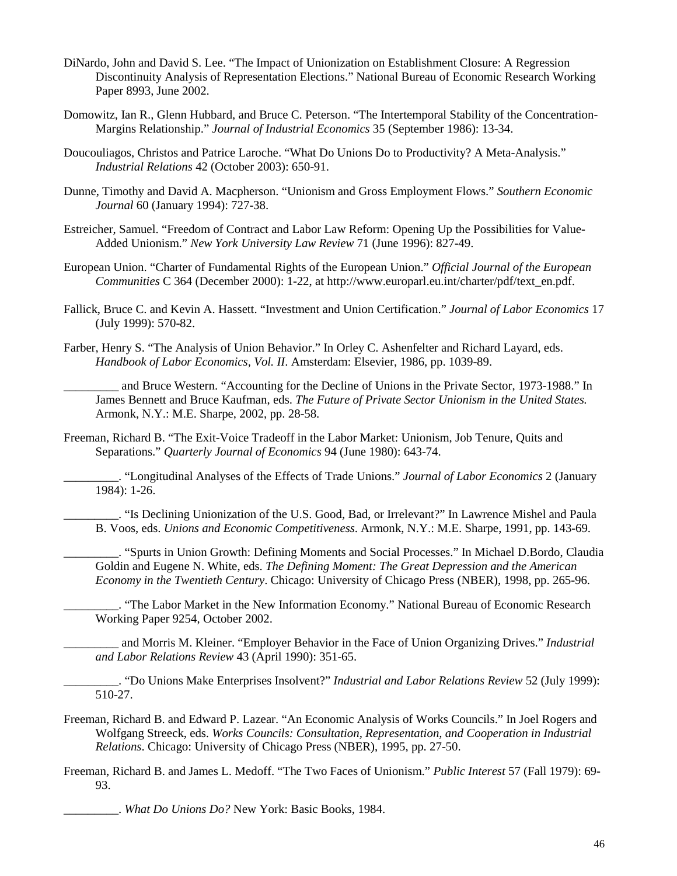- DiNardo, John and David S. Lee. "The Impact of Unionization on Establishment Closure: A Regression Discontinuity Analysis of Representation Elections." National Bureau of Economic Research Working Paper 8993, June 2002.
- Domowitz, Ian R., Glenn Hubbard, and Bruce C. Peterson. "The Intertemporal Stability of the Concentration-Margins Relationship." *Journal of Industrial Economics* 35 (September 1986): 13-34.
- Doucouliagos, Christos and Patrice Laroche. "What Do Unions Do to Productivity? A Meta-Analysis." *Industrial Relations* 42 (October 2003): 650-91.
- Dunne, Timothy and David A. Macpherson. "Unionism and Gross Employment Flows." *Southern Economic Journal* 60 (January 1994): 727-38.
- Estreicher, Samuel. "Freedom of Contract and Labor Law Reform: Opening Up the Possibilities for Value-Added Unionism." *New York University Law Review* 71 (June 1996): 827-49.

European Union. "Charter of Fundamental Rights of the European Union." *Official Journal of the European Communities* C 364 (December 2000): 1-22, at http://www.europarl.eu.int/charter/pdf/text\_en.pdf.

- Fallick, Bruce C. and Kevin A. Hassett. "Investment and Union Certification." *Journal of Labor Economics* 17 (July 1999): 570-82.
- Farber, Henry S. "The Analysis of Union Behavior." In Orley C. Ashenfelter and Richard Layard, eds. *Handbook of Labor Economics, Vol. II*. Amsterdam: Elsevier, 1986, pp. 1039-89.

\_\_\_\_\_\_\_\_\_ and Bruce Western. "Accounting for the Decline of Unions in the Private Sector, 1973-1988." In James Bennett and Bruce Kaufman, eds. *The Future of Private Sector Unionism in the United States.* Armonk, N.Y.: M.E. Sharpe, 2002, pp. 28-58.

Freeman, Richard B. "The Exit-Voice Tradeoff in the Labor Market: Unionism, Job Tenure, Quits and Separations." *Quarterly Journal of Economics* 94 (June 1980): 643-74.

\_\_\_\_\_\_\_\_\_. "Longitudinal Analyses of the Effects of Trade Unions." *Journal of Labor Economics* 2 (January 1984): 1-26.

\_\_\_\_\_\_\_\_\_. "Is Declining Unionization of the U.S. Good, Bad, or Irrelevant?" In Lawrence Mishel and Paula B. Voos, eds. *Unions and Economic Competitiveness*. Armonk, N.Y.: M.E. Sharpe, 1991, pp. 143-69.

\_\_\_\_\_\_\_\_\_. "Spurts in Union Growth: Defining Moments and Social Processes." In Michael D.Bordo, Claudia Goldin and Eugene N. White, eds. *The Defining Moment: The Great Depression and the American Economy in the Twentieth Century*. Chicago: University of Chicago Press (NBER), 1998, pp. 265-96.

\_\_\_\_\_\_\_\_\_. "The Labor Market in the New Information Economy." National Bureau of Economic Research Working Paper 9254, October 2002.

\_\_\_\_\_\_\_\_\_ and Morris M. Kleiner. "Employer Behavior in the Face of Union Organizing Drives." *Industrial and Labor Relations Review* 43 (April 1990): 351-65.

\_\_\_\_\_\_\_\_\_. "Do Unions Make Enterprises Insolvent?" *Industrial and Labor Relations Review* 52 (July 1999): 510-27.

- Freeman, Richard B. and Edward P. Lazear. "An Economic Analysis of Works Councils." In Joel Rogers and Wolfgang Streeck, eds. *Works Councils: Consultation, Representation, and Cooperation in Industrial Relations*. Chicago: University of Chicago Press (NBER), 1995, pp. 27-50.
- Freeman, Richard B. and James L. Medoff. "The Two Faces of Unionism." *Public Interest* 57 (Fall 1979): 69- 93.

\_\_\_\_\_\_\_\_\_. *What Do Unions Do?* New York: Basic Books, 1984.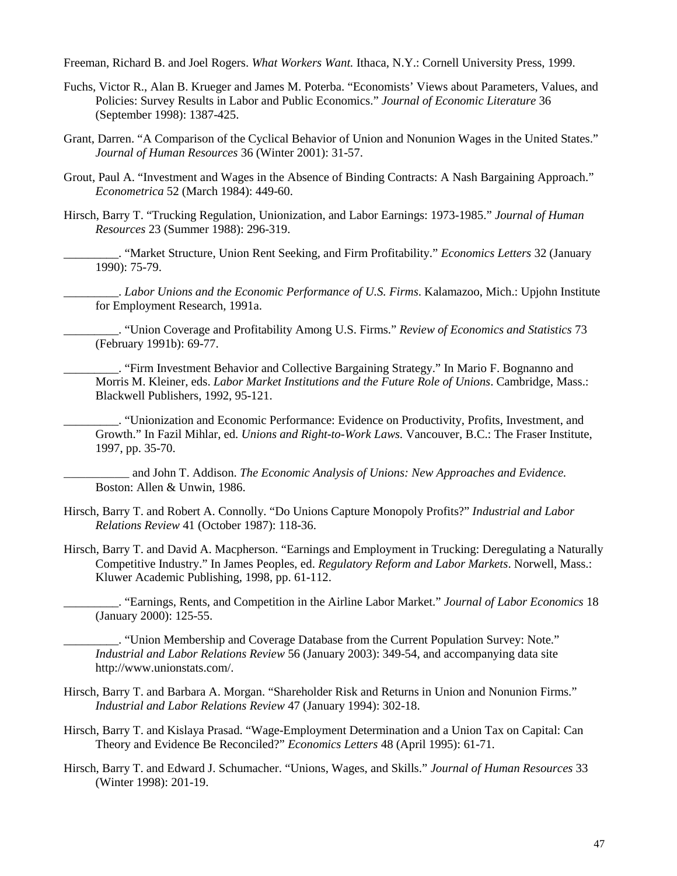Freeman, Richard B. and Joel Rogers. *What Workers Want.* Ithaca, N.Y.: Cornell University Press, 1999.

- Fuchs, Victor R., Alan B. Krueger and James M. Poterba. "Economists' Views about Parameters, Values, and Policies: Survey Results in Labor and Public Economics." *Journal of Economic Literature* 36 (September 1998): 1387-425.
- Grant, Darren. "A Comparison of the Cyclical Behavior of Union and Nonunion Wages in the United States." *Journal of Human Resources* 36 (Winter 2001): 31-57.
- Grout, Paul A. "Investment and Wages in the Absence of Binding Contracts: A Nash Bargaining Approach." *Econometrica* 52 (March 1984): 449-60.
- Hirsch, Barry T. "Trucking Regulation, Unionization, and Labor Earnings: 1973-1985." *Journal of Human Resources* 23 (Summer 1988): 296-319.

\_\_\_\_\_\_\_\_\_. "Market Structure, Union Rent Seeking, and Firm Profitability." *Economics Letters* 32 (January 1990): 75-79.

\_\_\_\_\_\_\_\_\_. *Labor Unions and the Economic Performance of U.S. Firms*. Kalamazoo, Mich.: Upjohn Institute for Employment Research, 1991a.

\_\_\_\_\_\_\_\_\_. "Union Coverage and Profitability Among U.S. Firms." *Review of Economics and Statistics* 73 (February 1991b): 69-77.

\_\_\_\_\_\_\_\_\_. "Firm Investment Behavior and Collective Bargaining Strategy." In Mario F. Bognanno and Morris M. Kleiner, eds. *Labor Market Institutions and the Future Role of Unions*. Cambridge, Mass.: Blackwell Publishers, 1992, 95-121.

\_\_\_\_\_\_\_\_\_. "Unionization and Economic Performance: Evidence on Productivity, Profits, Investment, and Growth." In Fazil Mihlar, ed. *Unions and Right-to-Work Laws.* Vancouver, B.C.: The Fraser Institute, 1997, pp. 35-70.

\_\_\_\_\_\_\_\_\_ and John T. Addison. *The Economic Analysis of Unions: New Approaches and Evidence.* Boston: Allen & Unwin, 1986.

- Hirsch, Barry T. and Robert A. Connolly. "Do Unions Capture Monopoly Profits?" *Industrial and Labor Relations Review* 41 (October 1987): 118-36.
- Hirsch, Barry T. and David A. Macpherson. "Earnings and Employment in Trucking: Deregulating a Naturally Competitive Industry." In James Peoples, ed. *Regulatory Reform and Labor Markets*. Norwell, Mass.: Kluwer Academic Publishing, 1998, pp. 61-112.

\_\_\_\_\_\_\_\_\_. "Earnings, Rents, and Competition in the Airline Labor Market." *Journal of Labor Economics* 18 (January 2000): 125-55.

\_\_\_\_\_\_\_\_\_. "Union Membership and Coverage Database from the Current Population Survey: Note." *Industrial and Labor Relations Review* 56 (January 2003): 349-54, and accompanying data site http://www.unionstats.com/.

- Hirsch, Barry T. and Barbara A. Morgan. "Shareholder Risk and Returns in Union and Nonunion Firms." *Industrial and Labor Relations Review* 47 (January 1994): 302-18.
- Hirsch, Barry T. and Kislaya Prasad. "Wage-Employment Determination and a Union Tax on Capital: Can Theory and Evidence Be Reconciled?" *Economics Letters* 48 (April 1995): 61-71.
- Hirsch, Barry T. and Edward J. Schumacher. "Unions, Wages, and Skills." *Journal of Human Resources* 33 (Winter 1998): 201-19.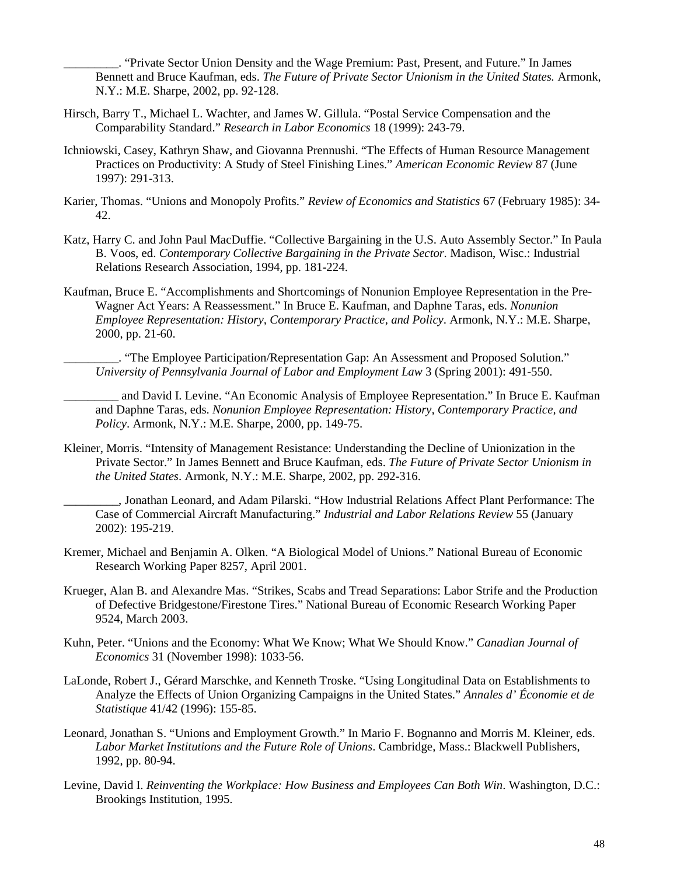\_\_\_\_\_\_\_\_\_. "Private Sector Union Density and the Wage Premium: Past, Present, and Future." In James Bennett and Bruce Kaufman, eds. *The Future of Private Sector Unionism in the United States.* Armonk, N.Y.: M.E. Sharpe, 2002, pp. 92-128.

- Hirsch, Barry T., Michael L. Wachter, and James W. Gillula. "Postal Service Compensation and the Comparability Standard." *Research in Labor Economics* 18 (1999): 243-79.
- Ichniowski, Casey, Kathryn Shaw, and Giovanna Prennushi. "The Effects of Human Resource Management Practices on Productivity: A Study of Steel Finishing Lines." *American Economic Review* 87 (June 1997): 291-313.
- Karier, Thomas. "Unions and Monopoly Profits." *Review of Economics and Statistics* 67 (February 1985): 34- 42.
- Katz, Harry C. and John Paul MacDuffie. "Collective Bargaining in the U.S. Auto Assembly Sector." In Paula B. Voos, ed. *Contemporary Collective Bargaining in the Private Sector.* Madison, Wisc.: Industrial Relations Research Association, 1994, pp. 181-224.
- Kaufman, Bruce E. "Accomplishments and Shortcomings of Nonunion Employee Representation in the Pre-Wagner Act Years: A Reassessment." In Bruce E. Kaufman, and Daphne Taras, eds. *Nonunion Employee Representation: History, Contemporary Practice, and Policy*. Armonk, N.Y.: M.E. Sharpe, 2000, pp. 21-60.

\_\_\_\_\_\_\_\_\_. "The Employee Participation/Representation Gap: An Assessment and Proposed Solution." *University of Pennsylvania Journal of Labor and Employment Law* 3 (Spring 2001): 491-550.

and David I. Levine. "An Economic Analysis of Employee Representation." In Bruce E. Kaufman and Daphne Taras, eds. *Nonunion Employee Representation: History, Contemporary Practice, and Policy*. Armonk, N.Y.: M.E. Sharpe, 2000, pp. 149-75.

Kleiner, Morris. "Intensity of Management Resistance: Understanding the Decline of Unionization in the Private Sector." In James Bennett and Bruce Kaufman, eds. *The Future of Private Sector Unionism in the United States*. Armonk, N.Y.: M.E. Sharpe, 2002, pp. 292-316.

\_\_\_\_\_\_\_\_\_, Jonathan Leonard, and Adam Pilarski. "How Industrial Relations Affect Plant Performance: The Case of Commercial Aircraft Manufacturing." *Industrial and Labor Relations Review* 55 (January 2002): 195-219.

- Kremer, Michael and Benjamin A. Olken. "A Biological Model of Unions." National Bureau of Economic Research Working Paper 8257, April 2001.
- Krueger, Alan B. and Alexandre Mas. "Strikes, Scabs and Tread Separations: Labor Strife and the Production of Defective Bridgestone/Firestone Tires." National Bureau of Economic Research Working Paper 9524, March 2003.
- Kuhn, Peter. "Unions and the Economy: What We Know; What We Should Know." *Canadian Journal of Economics* 31 (November 1998): 1033-56.
- LaLonde, Robert J., Gérard Marschke, and Kenneth Troske. "Using Longitudinal Data on Establishments to Analyze the Effects of Union Organizing Campaigns in the United States." *Annales d' Économie et de Statistique* 41/42 (1996): 155-85.
- Leonard, Jonathan S. "Unions and Employment Growth." In Mario F. Bognanno and Morris M. Kleiner, eds. *Labor Market Institutions and the Future Role of Unions*. Cambridge, Mass.: Blackwell Publishers, 1992, pp. 80-94.
- Levine, David I. *Reinventing the Workplace: How Business and Employees Can Both Win*. Washington, D.C.: Brookings Institution, 1995.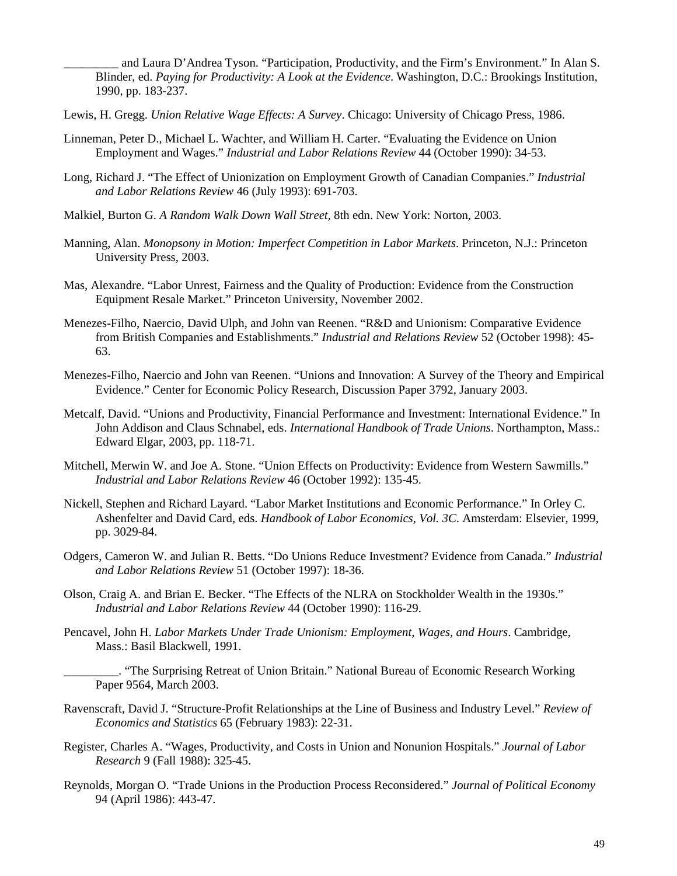\_\_\_\_\_\_\_\_\_ and Laura D'Andrea Tyson. "Participation, Productivity, and the Firm's Environment." In Alan S. Blinder, ed. *Paying for Productivity: A Look at the Evidence*. Washington, D.C.: Brookings Institution, 1990, pp. 183-237.

- Lewis, H. Gregg. *Union Relative Wage Effects: A Survey*. Chicago: University of Chicago Press, 1986.
- Linneman, Peter D., Michael L. Wachter, and William H. Carter. "Evaluating the Evidence on Union Employment and Wages." *Industrial and Labor Relations Review* 44 (October 1990): 34-53.
- Long, Richard J. "The Effect of Unionization on Employment Growth of Canadian Companies." *Industrial and Labor Relations Review* 46 (July 1993): 691-703.
- Malkiel, Burton G. *A Random Walk Down Wall Street*, 8th edn. New York: Norton, 2003.
- Manning, Alan. *Monopsony in Motion: Imperfect Competition in Labor Markets*. Princeton, N.J.: Princeton University Press, 2003.
- Mas, Alexandre. "Labor Unrest, Fairness and the Quality of Production: Evidence from the Construction Equipment Resale Market." Princeton University, November 2002.
- Menezes-Filho, Naercio, David Ulph, and John van Reenen. "R&D and Unionism: Comparative Evidence from British Companies and Establishments." *Industrial and Relations Review* 52 (October 1998): 45- 63.
- Menezes-Filho, Naercio and John van Reenen. "Unions and Innovation: A Survey of the Theory and Empirical Evidence." Center for Economic Policy Research, Discussion Paper 3792, January 2003.
- Metcalf, David. "Unions and Productivity, Financial Performance and Investment: International Evidence." In John Addison and Claus Schnabel, eds. *International Handbook of Trade Unions*. Northampton, Mass.: Edward Elgar, 2003, pp. 118-71.
- Mitchell, Merwin W. and Joe A. Stone. "Union Effects on Productivity: Evidence from Western Sawmills." *Industrial and Labor Relations Review* 46 (October 1992): 135-45.
- Nickell, Stephen and Richard Layard. "Labor Market Institutions and Economic Performance." In Orley C. Ashenfelter and David Card, eds. *Handbook of Labor Economics, Vol. 3C*. Amsterdam: Elsevier, 1999, pp. 3029-84.
- Odgers, Cameron W. and Julian R. Betts. "Do Unions Reduce Investment? Evidence from Canada." *Industrial and Labor Relations Review* 51 (October 1997): 18-36.
- Olson, Craig A. and Brian E. Becker. "The Effects of the NLRA on Stockholder Wealth in the 1930s." *Industrial and Labor Relations Review* 44 (October 1990): 116-29.
- Pencavel, John H. *Labor Markets Under Trade Unionism: Employment, Wages, and Hours*. Cambridge, Mass.: Basil Blackwell, 1991.
	- \_\_\_\_\_\_\_\_\_. "The Surprising Retreat of Union Britain." National Bureau of Economic Research Working Paper 9564, March 2003.
- Ravenscraft, David J. "Structure-Profit Relationships at the Line of Business and Industry Level." *Review of Economics and Statistics* 65 (February 1983): 22-31.
- Register, Charles A. "Wages, Productivity, and Costs in Union and Nonunion Hospitals." *Journal of Labor Research* 9 (Fall 1988): 325-45.
- Reynolds, Morgan O. "Trade Unions in the Production Process Reconsidered." *Journal of Political Economy* 94 (April 1986): 443-47.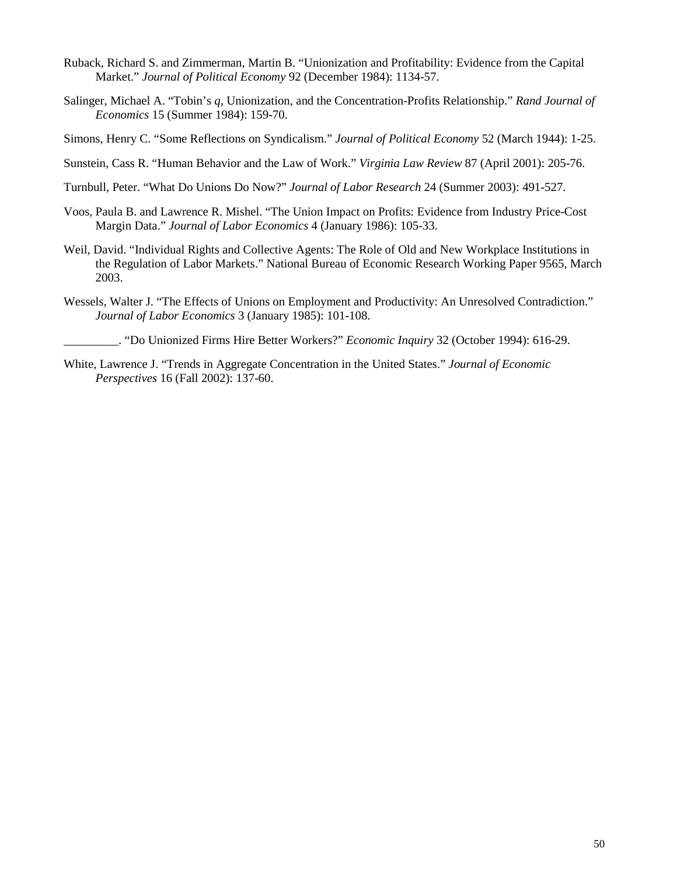- Ruback, Richard S. and Zimmerman, Martin B. "Unionization and Profitability: Evidence from the Capital Market." *Journal of Political Economy* 92 (December 1984): 1134-57.
- Salinger, Michael A. "Tobin's *q*, Unionization, and the Concentration-Profits Relationship." *Rand Journal of Economics* 15 (Summer 1984): 159-70.

Simons, Henry C. "Some Reflections on Syndicalism." *Journal of Political Economy* 52 (March 1944): 1-25.

Sunstein, Cass R. "Human Behavior and the Law of Work." *Virginia Law Review* 87 (April 2001): 205-76.

Turnbull, Peter. "What Do Unions Do Now?" *Journal of Labor Research* 24 (Summer 2003): 491-527.

- Voos, Paula B. and Lawrence R. Mishel. "The Union Impact on Profits: Evidence from Industry Price-Cost Margin Data." *Journal of Labor Economics* 4 (January 1986): 105-33.
- Weil, David. "Individual Rights and Collective Agents: The Role of Old and New Workplace Institutions in the Regulation of Labor Markets." National Bureau of Economic Research Working Paper 9565, March 2003.
- Wessels, Walter J. "The Effects of Unions on Employment and Productivity: An Unresolved Contradiction." *Journal of Labor Economics* 3 (January 1985): 101-108.

\_\_\_\_\_\_\_\_\_. "Do Unionized Firms Hire Better Workers?" *Economic Inquiry* 32 (October 1994): 616-29.

White, Lawrence J. "Trends in Aggregate Concentration in the United States." *Journal of Economic Perspectives* 16 (Fall 2002): 137-60.